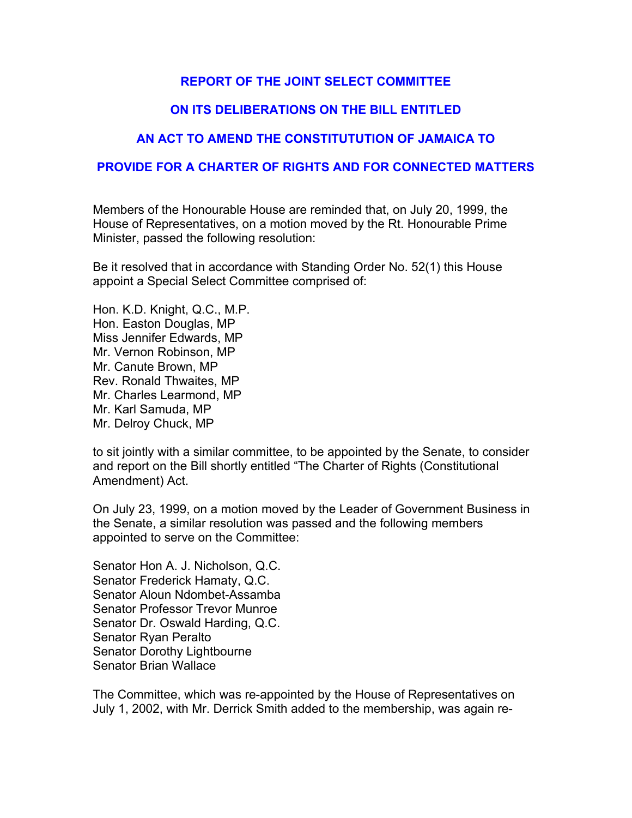# **REPORT OF THE JOINT SELECT COMMITTEE**

# **ON ITS DELIBERATIONS ON THE BILL ENTITLED**

# **AN ACT TO AMEND THE CONSTITUTUTION OF JAMAICA TO**

# **PROVIDE FOR A CHARTER OF RIGHTS AND FOR CONNECTED MATTERS**

Members of the Honourable House are reminded that, on July 20, 1999, the House of Representatives, on a motion moved by the Rt. Honourable Prime Minister, passed the following resolution:

Be it resolved that in accordance with Standing Order No. 52(1) this House appoint a Special Select Committee comprised of:

Hon. K.D. Knight, Q.C., M.P. Hon. Easton Douglas, MP Miss Jennifer Edwards, MP Mr. Vernon Robinson, MP Mr. Canute Brown, MP Rev. Ronald Thwaites, MP Mr. Charles Learmond, MP Mr. Karl Samuda, MP Mr. Delroy Chuck, MP

to sit jointly with a similar committee, to be appointed by the Senate, to consider and report on the Bill shortly entitled "The Charter of Rights (Constitutional Amendment) Act.

On July 23, 1999, on a motion moved by the Leader of Government Business in the Senate, a similar resolution was passed and the following members appointed to serve on the Committee:

Senator Hon A. J. Nicholson, Q.C. Senator Frederick Hamaty, Q.C. Senator Aloun Ndombet-Assamba Senator Professor Trevor Munroe Senator Dr. Oswald Harding, Q.C. Senator Ryan Peralto Senator Dorothy Lightbourne Senator Brian Wallace

The Committee, which was re-appointed by the House of Representatives on July 1, 2002, with Mr. Derrick Smith added to the membership, was again re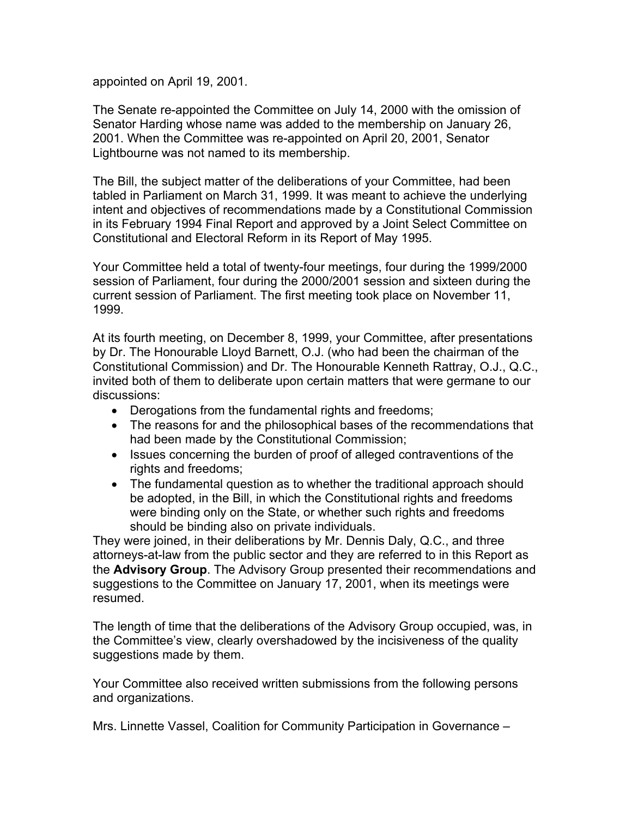appointed on April 19, 2001.

The Senate re-appointed the Committee on July 14, 2000 with the omission of Senator Harding whose name was added to the membership on January 26, 2001. When the Committee was re-appointed on April 20, 2001, Senator Lightbourne was not named to its membership.

The Bill, the subject matter of the deliberations of your Committee, had been tabled in Parliament on March 31, 1999. It was meant to achieve the underlying intent and objectives of recommendations made by a Constitutional Commission in its February 1994 Final Report and approved by a Joint Select Committee on Constitutional and Electoral Reform in its Report of May 1995.

Your Committee held a total of twenty-four meetings, four during the 1999/2000 session of Parliament, four during the 2000/2001 session and sixteen during the current session of Parliament. The first meeting took place on November 11, 1999.

At its fourth meeting, on December 8, 1999, your Committee, after presentations by Dr. The Honourable Lloyd Barnett, O.J. (who had been the chairman of the Constitutional Commission) and Dr. The Honourable Kenneth Rattray, O.J., Q.C., invited both of them to deliberate upon certain matters that were germane to our discussions:

- Derogations from the fundamental rights and freedoms;
- The reasons for and the philosophical bases of the recommendations that had been made by the Constitutional Commission;
- Issues concerning the burden of proof of alleged contraventions of the rights and freedoms;
- The fundamental question as to whether the traditional approach should be adopted, in the Bill, in which the Constitutional rights and freedoms were binding only on the State, or whether such rights and freedoms should be binding also on private individuals.

They were joined, in their deliberations by Mr. Dennis Daly, Q.C., and three attorneys-at-law from the public sector and they are referred to in this Report as the **Advisory Group**. The Advisory Group presented their recommendations and suggestions to the Committee on January 17, 2001, when its meetings were resumed.

The length of time that the deliberations of the Advisory Group occupied, was, in the Committee's view, clearly overshadowed by the incisiveness of the quality suggestions made by them.

Your Committee also received written submissions from the following persons and organizations.

Mrs. Linnette Vassel, Coalition for Community Participation in Governance –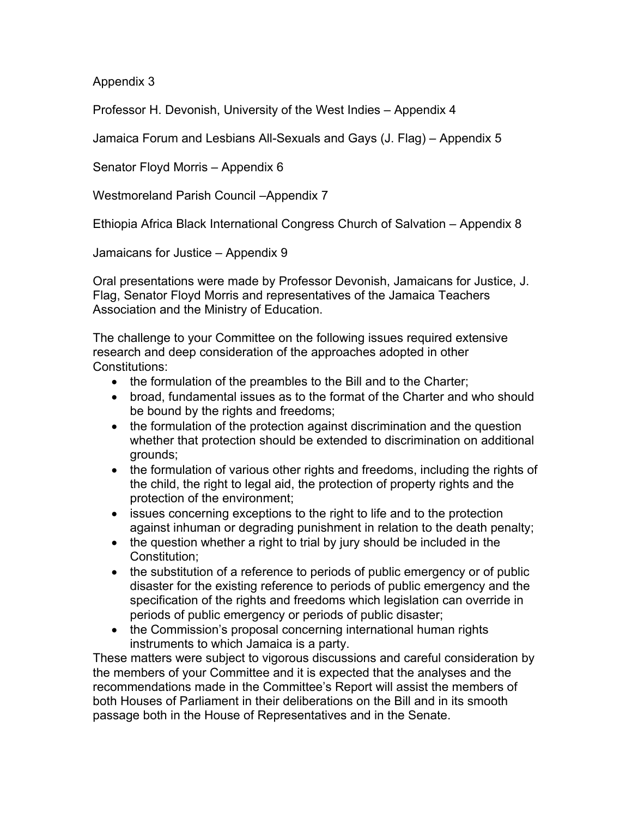Appendix 3

Professor H. Devonish, University of the West Indies – Appendix 4

Jamaica Forum and Lesbians All-Sexuals and Gays (J. Flag) – Appendix 5

Senator Floyd Morris – Appendix 6

Westmoreland Parish Council –Appendix 7

Ethiopia Africa Black International Congress Church of Salvation – Appendix 8

Jamaicans for Justice – Appendix 9

Oral presentations were made by Professor Devonish, Jamaicans for Justice, J. Flag, Senator Floyd Morris and representatives of the Jamaica Teachers Association and the Ministry of Education.

The challenge to your Committee on the following issues required extensive research and deep consideration of the approaches adopted in other Constitutions:

- the formulation of the preambles to the Bill and to the Charter;
- broad, fundamental issues as to the format of the Charter and who should be bound by the rights and freedoms;
- the formulation of the protection against discrimination and the question whether that protection should be extended to discrimination on additional grounds;
- the formulation of various other rights and freedoms, including the rights of the child, the right to legal aid, the protection of property rights and the protection of the environment;
- issues concerning exceptions to the right to life and to the protection against inhuman or degrading punishment in relation to the death penalty;
- the question whether a right to trial by jury should be included in the Constitution;
- the substitution of a reference to periods of public emergency or of public disaster for the existing reference to periods of public emergency and the specification of the rights and freedoms which legislation can override in periods of public emergency or periods of public disaster;
- the Commission's proposal concerning international human rights instruments to which Jamaica is a party.

These matters were subject to vigorous discussions and careful consideration by the members of your Committee and it is expected that the analyses and the recommendations made in the Committee's Report will assist the members of both Houses of Parliament in their deliberations on the Bill and in its smooth passage both in the House of Representatives and in the Senate.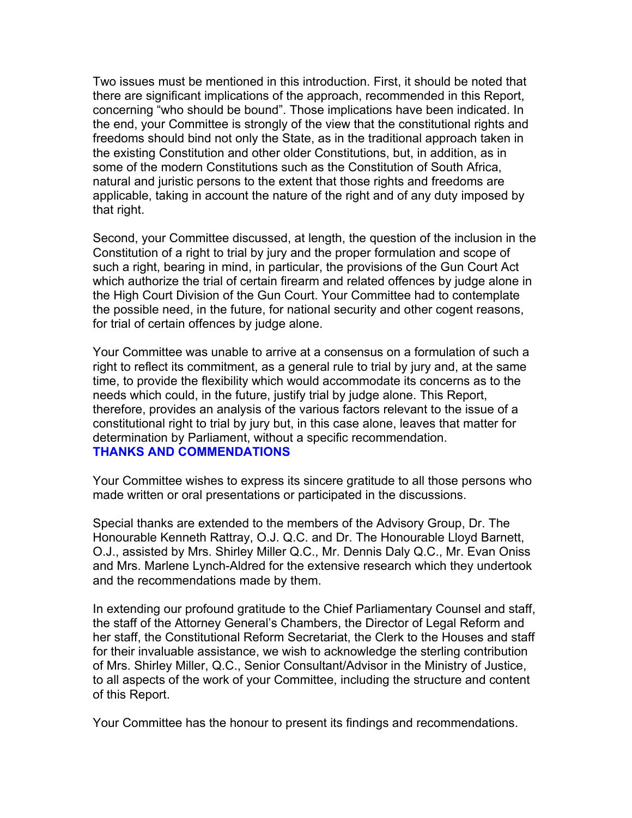Two issues must be mentioned in this introduction. First, it should be noted that there are significant implications of the approach, recommended in this Report, concerning "who should be bound". Those implications have been indicated. In the end, your Committee is strongly of the view that the constitutional rights and freedoms should bind not only the State, as in the traditional approach taken in the existing Constitution and other older Constitutions, but, in addition, as in some of the modern Constitutions such as the Constitution of South Africa, natural and juristic persons to the extent that those rights and freedoms are applicable, taking in account the nature of the right and of any duty imposed by that right.

Second, your Committee discussed, at length, the question of the inclusion in the Constitution of a right to trial by jury and the proper formulation and scope of such a right, bearing in mind, in particular, the provisions of the Gun Court Act which authorize the trial of certain firearm and related offences by judge alone in the High Court Division of the Gun Court. Your Committee had to contemplate the possible need, in the future, for national security and other cogent reasons, for trial of certain offences by judge alone.

Your Committee was unable to arrive at a consensus on a formulation of such a right to reflect its commitment, as a general rule to trial by jury and, at the same time, to provide the flexibility which would accommodate its concerns as to the needs which could, in the future, justify trial by judge alone. This Report, therefore, provides an analysis of the various factors relevant to the issue of a constitutional right to trial by jury but, in this case alone, leaves that matter for determination by Parliament, without a specific recommendation. **THANKS AND COMMENDATIONS**

Your Committee wishes to express its sincere gratitude to all those persons who made written or oral presentations or participated in the discussions.

Special thanks are extended to the members of the Advisory Group, Dr. The Honourable Kenneth Rattray, O.J. Q.C. and Dr. The Honourable Lloyd Barnett, O.J., assisted by Mrs. Shirley Miller Q.C., Mr. Dennis Daly Q.C., Mr. Evan Oniss and Mrs. Marlene Lynch-Aldred for the extensive research which they undertook and the recommendations made by them.

In extending our profound gratitude to the Chief Parliamentary Counsel and staff, the staff of the Attorney General's Chambers, the Director of Legal Reform and her staff, the Constitutional Reform Secretariat, the Clerk to the Houses and staff for their invaluable assistance, we wish to acknowledge the sterling contribution of Mrs. Shirley Miller, Q.C., Senior Consultant/Advisor in the Ministry of Justice, to all aspects of the work of your Committee, including the structure and content of this Report.

Your Committee has the honour to present its findings and recommendations.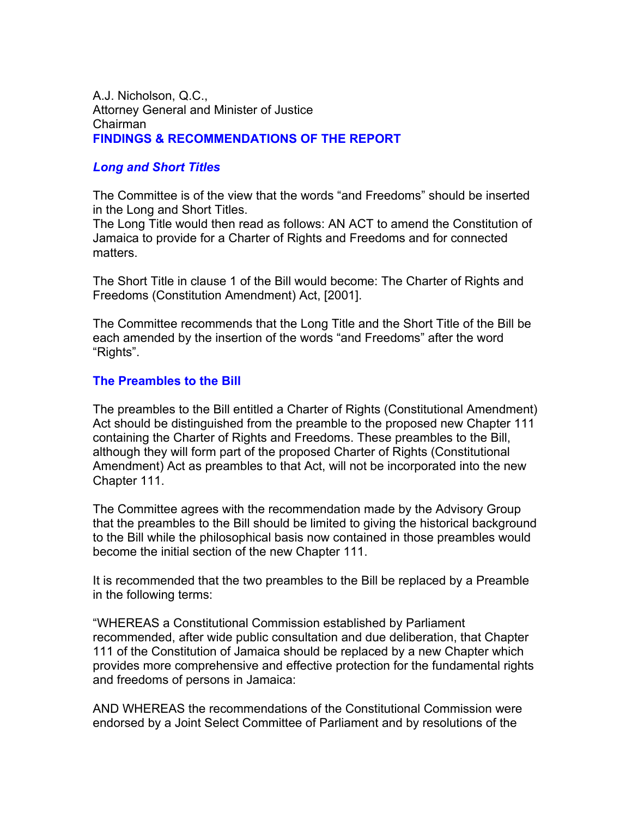## A.J. Nicholson, Q.C., Attorney General and Minister of Justice Chairman **FINDINGS & RECOMMENDATIONS OF THE REPORT**

# *Long and Short Titles*

The Committee is of the view that the words "and Freedoms" should be inserted in the Long and Short Titles.

The Long Title would then read as follows: AN ACT to amend the Constitution of Jamaica to provide for a Charter of Rights and Freedoms and for connected matters.

The Short Title in clause 1 of the Bill would become: The Charter of Rights and Freedoms (Constitution Amendment) Act, [2001].

The Committee recommends that the Long Title and the Short Title of the Bill be each amended by the insertion of the words "and Freedoms" after the word "Rights".

# **The Preambles to the Bill**

The preambles to the Bill entitled a Charter of Rights (Constitutional Amendment) Act should be distinguished from the preamble to the proposed new Chapter 111 containing the Charter of Rights and Freedoms. These preambles to the Bill, although they will form part of the proposed Charter of Rights (Constitutional Amendment) Act as preambles to that Act, will not be incorporated into the new Chapter 111.

The Committee agrees with the recommendation made by the Advisory Group that the preambles to the Bill should be limited to giving the historical background to the Bill while the philosophical basis now contained in those preambles would become the initial section of the new Chapter 111.

It is recommended that the two preambles to the Bill be replaced by a Preamble in the following terms:

"WHEREAS a Constitutional Commission established by Parliament recommended, after wide public consultation and due deliberation, that Chapter 111 of the Constitution of Jamaica should be replaced by a new Chapter which provides more comprehensive and effective protection for the fundamental rights and freedoms of persons in Jamaica:

AND WHEREAS the recommendations of the Constitutional Commission were endorsed by a Joint Select Committee of Parliament and by resolutions of the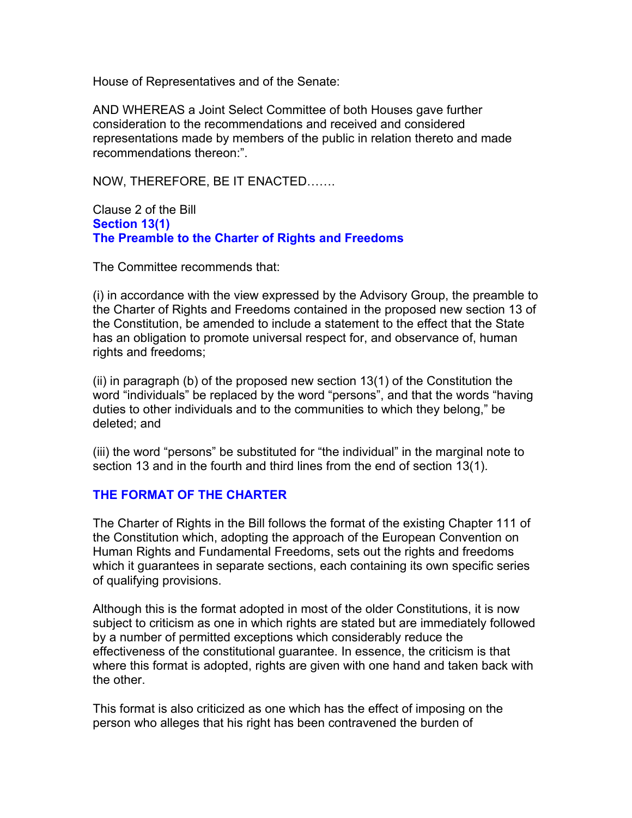House of Representatives and of the Senate:

AND WHEREAS a Joint Select Committee of both Houses gave further consideration to the recommendations and received and considered representations made by members of the public in relation thereto and made recommendations thereon:".

NOW, THEREFORE, BE IT ENACTED…….

Clause 2 of the Bill **Section 13(1) The Preamble to the Charter of Rights and Freedoms**

The Committee recommends that:

(i) in accordance with the view expressed by the Advisory Group, the preamble to the Charter of Rights and Freedoms contained in the proposed new section 13 of the Constitution, be amended to include a statement to the effect that the State has an obligation to promote universal respect for, and observance of, human rights and freedoms;

(ii) in paragraph (b) of the proposed new section 13(1) of the Constitution the word "individuals" be replaced by the word "persons", and that the words "having duties to other individuals and to the communities to which they belong," be deleted; and

(iii) the word "persons" be substituted for "the individual" in the marginal note to section 13 and in the fourth and third lines from the end of section 13(1).

# **THE FORMAT OF THE CHARTER**

The Charter of Rights in the Bill follows the format of the existing Chapter 111 of the Constitution which, adopting the approach of the European Convention on Human Rights and Fundamental Freedoms, sets out the rights and freedoms which it guarantees in separate sections, each containing its own specific series of qualifying provisions.

Although this is the format adopted in most of the older Constitutions, it is now subject to criticism as one in which rights are stated but are immediately followed by a number of permitted exceptions which considerably reduce the effectiveness of the constitutional guarantee. In essence, the criticism is that where this format is adopted, rights are given with one hand and taken back with the other.

This format is also criticized as one which has the effect of imposing on the person who alleges that his right has been contravened the burden of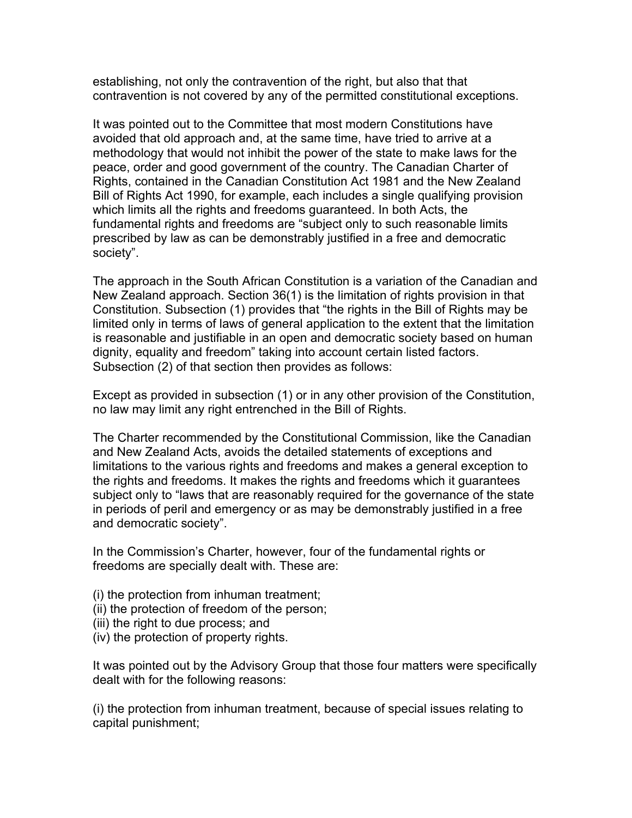establishing, not only the contravention of the right, but also that that contravention is not covered by any of the permitted constitutional exceptions.

It was pointed out to the Committee that most modern Constitutions have avoided that old approach and, at the same time, have tried to arrive at a methodology that would not inhibit the power of the state to make laws for the peace, order and good government of the country. The Canadian Charter of Rights, contained in the Canadian Constitution Act 1981 and the New Zealand Bill of Rights Act 1990, for example, each includes a single qualifying provision which limits all the rights and freedoms guaranteed. In both Acts, the fundamental rights and freedoms are "subject only to such reasonable limits prescribed by law as can be demonstrably justified in a free and democratic society".

The approach in the South African Constitution is a variation of the Canadian and New Zealand approach. Section 36(1) is the limitation of rights provision in that Constitution. Subsection (1) provides that "the rights in the Bill of Rights may be limited only in terms of laws of general application to the extent that the limitation is reasonable and justifiable in an open and democratic society based on human dignity, equality and freedom" taking into account certain listed factors. Subsection (2) of that section then provides as follows:

Except as provided in subsection (1) or in any other provision of the Constitution, no law may limit any right entrenched in the Bill of Rights.

The Charter recommended by the Constitutional Commission, like the Canadian and New Zealand Acts, avoids the detailed statements of exceptions and limitations to the various rights and freedoms and makes a general exception to the rights and freedoms. It makes the rights and freedoms which it guarantees subject only to "laws that are reasonably required for the governance of the state in periods of peril and emergency or as may be demonstrably justified in a free and democratic society".

In the Commission's Charter, however, four of the fundamental rights or freedoms are specially dealt with. These are:

- (i) the protection from inhuman treatment;
- (ii) the protection of freedom of the person;
- (iii) the right to due process; and
- (iv) the protection of property rights.

It was pointed out by the Advisory Group that those four matters were specifically dealt with for the following reasons:

(i) the protection from inhuman treatment, because of special issues relating to capital punishment;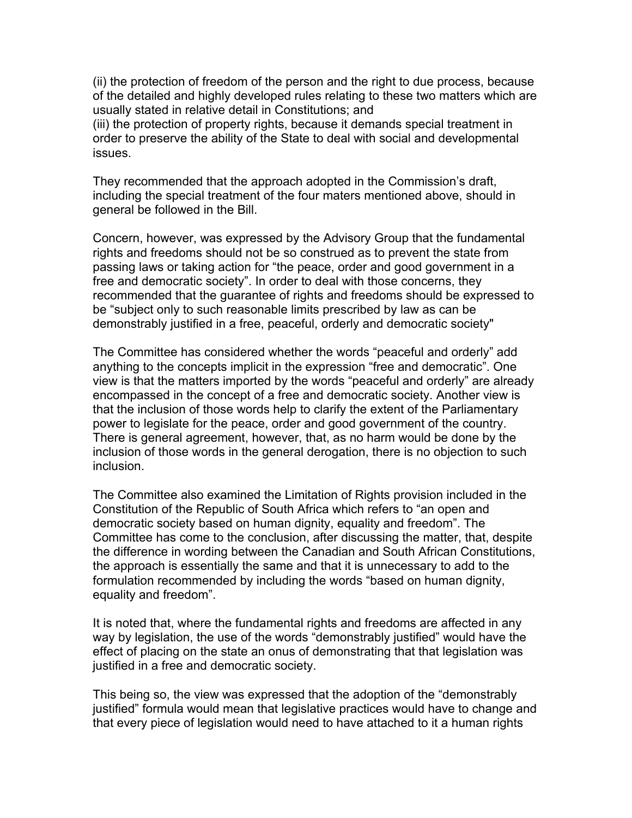(ii) the protection of freedom of the person and the right to due process, because of the detailed and highly developed rules relating to these two matters which are usually stated in relative detail in Constitutions; and

(iii) the protection of property rights, because it demands special treatment in order to preserve the ability of the State to deal with social and developmental issues.

They recommended that the approach adopted in the Commission's draft, including the special treatment of the four maters mentioned above, should in general be followed in the Bill.

Concern, however, was expressed by the Advisory Group that the fundamental rights and freedoms should not be so construed as to prevent the state from passing laws or taking action for "the peace, order and good government in a free and democratic society". In order to deal with those concerns, they recommended that the guarantee of rights and freedoms should be expressed to be "subject only to such reasonable limits prescribed by law as can be demonstrably justified in a free, peaceful, orderly and democratic society"

The Committee has considered whether the words "peaceful and orderly" add anything to the concepts implicit in the expression "free and democratic". One view is that the matters imported by the words "peaceful and orderly" are already encompassed in the concept of a free and democratic society. Another view is that the inclusion of those words help to clarify the extent of the Parliamentary power to legislate for the peace, order and good government of the country. There is general agreement, however, that, as no harm would be done by the inclusion of those words in the general derogation, there is no objection to such inclusion.

The Committee also examined the Limitation of Rights provision included in the Constitution of the Republic of South Africa which refers to "an open and democratic society based on human dignity, equality and freedom". The Committee has come to the conclusion, after discussing the matter, that, despite the difference in wording between the Canadian and South African Constitutions, the approach is essentially the same and that it is unnecessary to add to the formulation recommended by including the words "based on human dignity, equality and freedom".

It is noted that, where the fundamental rights and freedoms are affected in any way by legislation, the use of the words "demonstrably justified" would have the effect of placing on the state an onus of demonstrating that that legislation was justified in a free and democratic society.

This being so, the view was expressed that the adoption of the "demonstrably justified" formula would mean that legislative practices would have to change and that every piece of legislation would need to have attached to it a human rights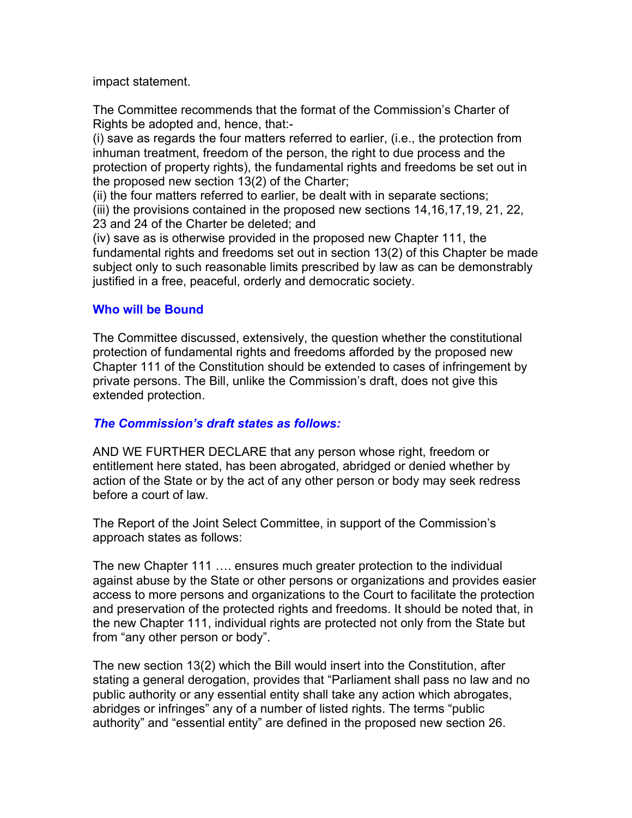impact statement.

The Committee recommends that the format of the Commission's Charter of Rights be adopted and, hence, that:-

(i) save as regards the four matters referred to earlier, (i.e., the protection from inhuman treatment, freedom of the person, the right to due process and the protection of property rights), the fundamental rights and freedoms be set out in the proposed new section 13(2) of the Charter;

(ii) the four matters referred to earlier, be dealt with in separate sections;

(iii) the provisions contained in the proposed new sections 14,16,17,19, 21, 22, 23 and 24 of the Charter be deleted; and

(iv) save as is otherwise provided in the proposed new Chapter 111, the fundamental rights and freedoms set out in section 13(2) of this Chapter be made subject only to such reasonable limits prescribed by law as can be demonstrably justified in a free, peaceful, orderly and democratic society.

# **Who will be Bound**

The Committee discussed, extensively, the question whether the constitutional protection of fundamental rights and freedoms afforded by the proposed new Chapter 111 of the Constitution should be extended to cases of infringement by private persons. The Bill, unlike the Commission's draft, does not give this extended protection.

# *The Commission's draft states as follows:*

AND WE FURTHER DECLARE that any person whose right, freedom or entitlement here stated, has been abrogated, abridged or denied whether by action of the State or by the act of any other person or body may seek redress before a court of law.

The Report of the Joint Select Committee, in support of the Commission's approach states as follows:

The new Chapter 111 …. ensures much greater protection to the individual against abuse by the State or other persons or organizations and provides easier access to more persons and organizations to the Court to facilitate the protection and preservation of the protected rights and freedoms. It should be noted that, in the new Chapter 111, individual rights are protected not only from the State but from "any other person or body".

The new section 13(2) which the Bill would insert into the Constitution, after stating a general derogation, provides that "Parliament shall pass no law and no public authority or any essential entity shall take any action which abrogates, abridges or infringes" any of a number of listed rights. The terms "public authority" and "essential entity" are defined in the proposed new section 26.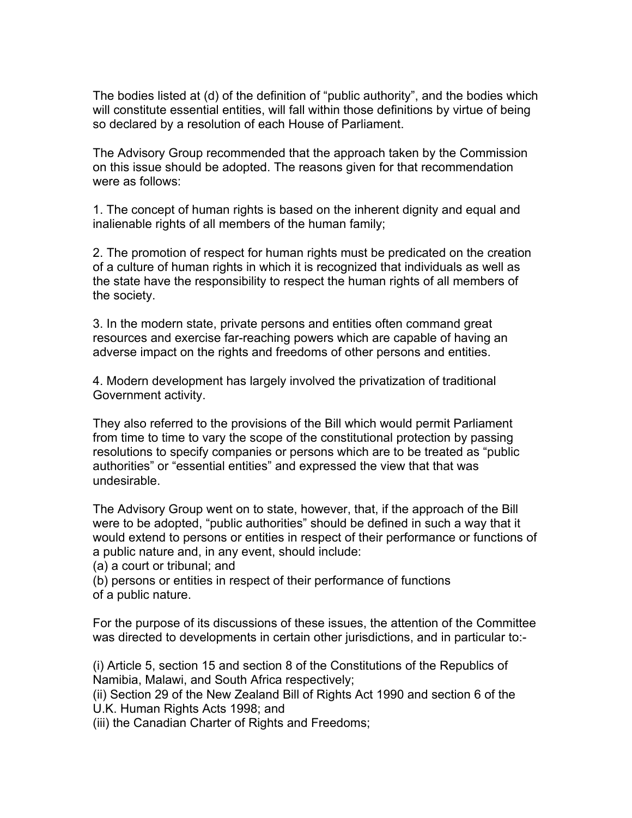The bodies listed at (d) of the definition of "public authority", and the bodies which will constitute essential entities, will fall within those definitions by virtue of being so declared by a resolution of each House of Parliament.

The Advisory Group recommended that the approach taken by the Commission on this issue should be adopted. The reasons given for that recommendation were as follows:

1. The concept of human rights is based on the inherent dignity and equal and inalienable rights of all members of the human family;

2. The promotion of respect for human rights must be predicated on the creation of a culture of human rights in which it is recognized that individuals as well as the state have the responsibility to respect the human rights of all members of the society.

3. In the modern state, private persons and entities often command great resources and exercise far-reaching powers which are capable of having an adverse impact on the rights and freedoms of other persons and entities.

4. Modern development has largely involved the privatization of traditional Government activity.

They also referred to the provisions of the Bill which would permit Parliament from time to time to vary the scope of the constitutional protection by passing resolutions to specify companies or persons which are to be treated as "public authorities" or "essential entities" and expressed the view that that was undesirable.

The Advisory Group went on to state, however, that, if the approach of the Bill were to be adopted, "public authorities" should be defined in such a way that it would extend to persons or entities in respect of their performance or functions of a public nature and, in any event, should include:

(a) a court or tribunal; and

(b) persons or entities in respect of their performance of functions of a public nature.

For the purpose of its discussions of these issues, the attention of the Committee was directed to developments in certain other jurisdictions, and in particular to:-

(i) Article 5, section 15 and section 8 of the Constitutions of the Republics of Namibia, Malawi, and South Africa respectively;

(ii) Section 29 of the New Zealand Bill of Rights Act 1990 and section 6 of the U.K. Human Rights Acts 1998; and

(iii) the Canadian Charter of Rights and Freedoms;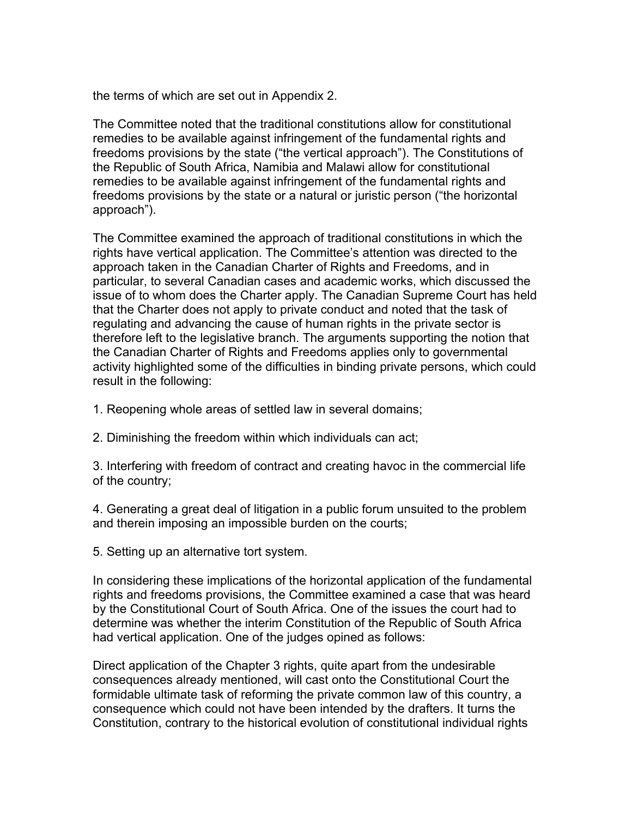the terms of which are set out in Appendix 2.

The Committee noted that the traditional constitutions allow for constitutional remedies to be available against infringement of the fundamental rights and freedoms provisions by the state ("the vertical approach"). The Constitutions of the Republic of South Africa, Namibia and Malawi allow for constitutional remedies to be available against infringement of the fundamental rights and freedoms provisions by the state or a natural or juristic person ("the horizontal approach").

The Committee examined the approach of traditional constitutions in which the rights have vertical application. The Committee's attention was directed to the approach taken in the Canadian Charter of Rights and Freedoms, and in particular, to several Canadian cases and academic works, which discussed the issue of to whom does the Charter apply. The Canadian Supreme Court has held that the Charter does not apply to private conduct and noted that the task of regulating and advancing the cause of human rights in the private sector is therefore left to the legislative branch. The arguments supporting the notion that the Canadian Charter of Rights and Freedoms applies only to governmental activity highlighted some of the difficulties in binding private persons, which could result in the following:

1. Reopening whole areas of settled law in several domains;

2. Diminishing the freedom within which individuals can act;

3. Interfering with freedom of contract and creating havoc in the commercial life of the country;

4. Generating a great deal of litigation in a public forum unsuited to the problem and therein imposing an impossible burden on the courts;

5. Setting up an alternative tort system.

In considering these implications of the horizontal application of the fundamental rights and freedoms provisions, the Committee examined a case that was heard by the Constitutional Court of South Africa. One of the issues the court had to determine was whether the interim Constitution of the Republic of South Africa had vertical application. One of the judges opined as follows:

Direct application of the Chapter 3 rights, quite apart from the undesirable consequences already mentioned, will cast onto the Constitutional Court the formidable ultimate task of reforming the private common law of this country, a consequence which could not have been intended by the drafters. It turns the Constitution, contrary to the historical evolution of constitutional individual rights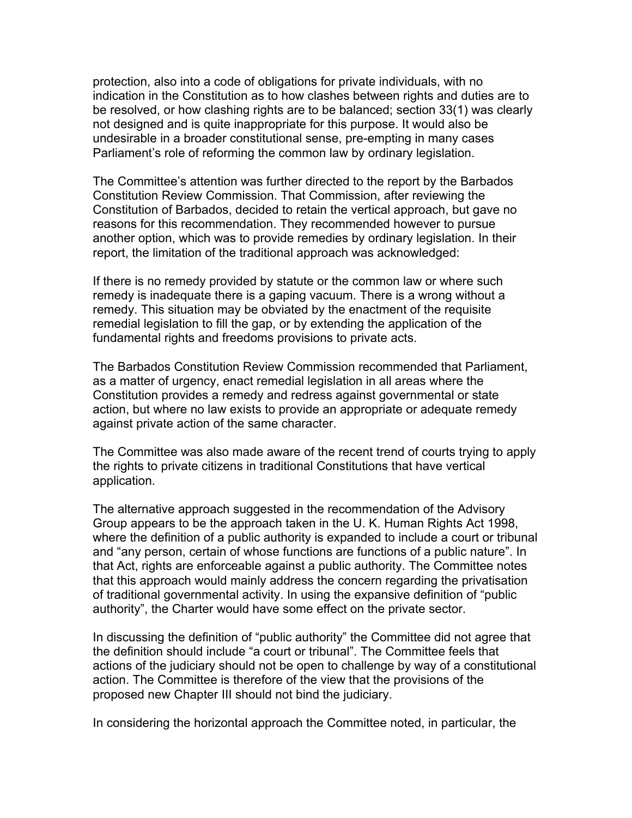protection, also into a code of obligations for private individuals, with no indication in the Constitution as to how clashes between rights and duties are to be resolved, or how clashing rights are to be balanced; section 33(1) was clearly not designed and is quite inappropriate for this purpose. It would also be undesirable in a broader constitutional sense, pre-empting in many cases Parliament's role of reforming the common law by ordinary legislation.

The Committee's attention was further directed to the report by the Barbados Constitution Review Commission. That Commission, after reviewing the Constitution of Barbados, decided to retain the vertical approach, but gave no reasons for this recommendation. They recommended however to pursue another option, which was to provide remedies by ordinary legislation. In their report, the limitation of the traditional approach was acknowledged:

If there is no remedy provided by statute or the common law or where such remedy is inadequate there is a gaping vacuum. There is a wrong without a remedy. This situation may be obviated by the enactment of the requisite remedial legislation to fill the gap, or by extending the application of the fundamental rights and freedoms provisions to private acts.

The Barbados Constitution Review Commission recommended that Parliament, as a matter of urgency, enact remedial legislation in all areas where the Constitution provides a remedy and redress against governmental or state action, but where no law exists to provide an appropriate or adequate remedy against private action of the same character.

The Committee was also made aware of the recent trend of courts trying to apply the rights to private citizens in traditional Constitutions that have vertical application.

The alternative approach suggested in the recommendation of the Advisory Group appears to be the approach taken in the U. K. Human Rights Act 1998, where the definition of a public authority is expanded to include a court or tribunal and "any person, certain of whose functions are functions of a public nature". In that Act, rights are enforceable against a public authority. The Committee notes that this approach would mainly address the concern regarding the privatisation of traditional governmental activity. In using the expansive definition of "public authority", the Charter would have some effect on the private sector.

In discussing the definition of "public authority" the Committee did not agree that the definition should include "a court or tribunal". The Committee feels that actions of the judiciary should not be open to challenge by way of a constitutional action. The Committee is therefore of the view that the provisions of the proposed new Chapter III should not bind the judiciary.

In considering the horizontal approach the Committee noted, in particular, the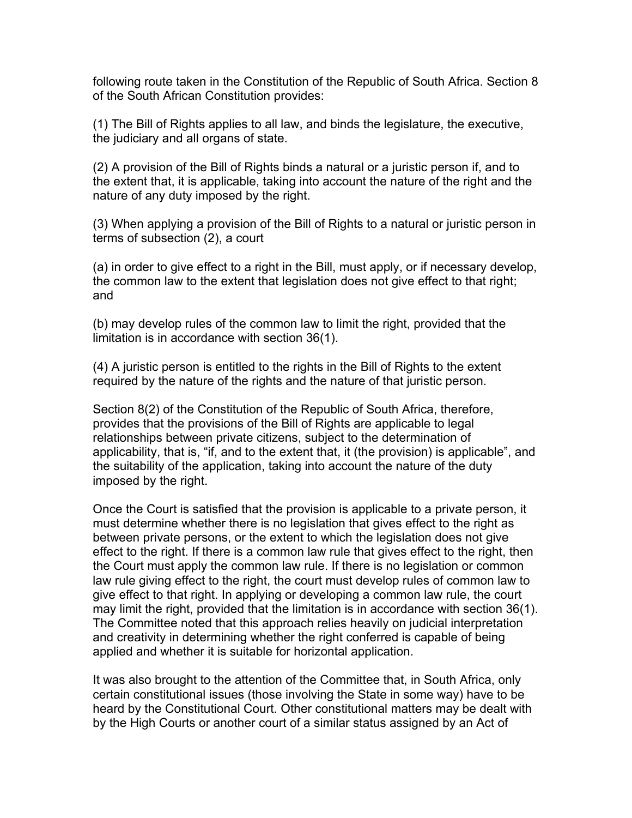following route taken in the Constitution of the Republic of South Africa. Section 8 of the South African Constitution provides:

(1) The Bill of Rights applies to all law, and binds the legislature, the executive, the judiciary and all organs of state.

(2) A provision of the Bill of Rights binds a natural or a juristic person if, and to the extent that, it is applicable, taking into account the nature of the right and the nature of any duty imposed by the right.

(3) When applying a provision of the Bill of Rights to a natural or juristic person in terms of subsection (2), a court

(a) in order to give effect to a right in the Bill, must apply, or if necessary develop, the common law to the extent that legislation does not give effect to that right; and

(b) may develop rules of the common law to limit the right, provided that the limitation is in accordance with section 36(1).

(4) A juristic person is entitled to the rights in the Bill of Rights to the extent required by the nature of the rights and the nature of that juristic person.

Section 8(2) of the Constitution of the Republic of South Africa, therefore, provides that the provisions of the Bill of Rights are applicable to legal relationships between private citizens, subject to the determination of applicability, that is, "if, and to the extent that, it (the provision) is applicable", and the suitability of the application, taking into account the nature of the duty imposed by the right.

Once the Court is satisfied that the provision is applicable to a private person, it must determine whether there is no legislation that gives effect to the right as between private persons, or the extent to which the legislation does not give effect to the right. If there is a common law rule that gives effect to the right, then the Court must apply the common law rule. If there is no legislation or common law rule giving effect to the right, the court must develop rules of common law to give effect to that right. In applying or developing a common law rule, the court may limit the right, provided that the limitation is in accordance with section 36(1). The Committee noted that this approach relies heavily on judicial interpretation and creativity in determining whether the right conferred is capable of being applied and whether it is suitable for horizontal application.

It was also brought to the attention of the Committee that, in South Africa, only certain constitutional issues (those involving the State in some way) have to be heard by the Constitutional Court. Other constitutional matters may be dealt with by the High Courts or another court of a similar status assigned by an Act of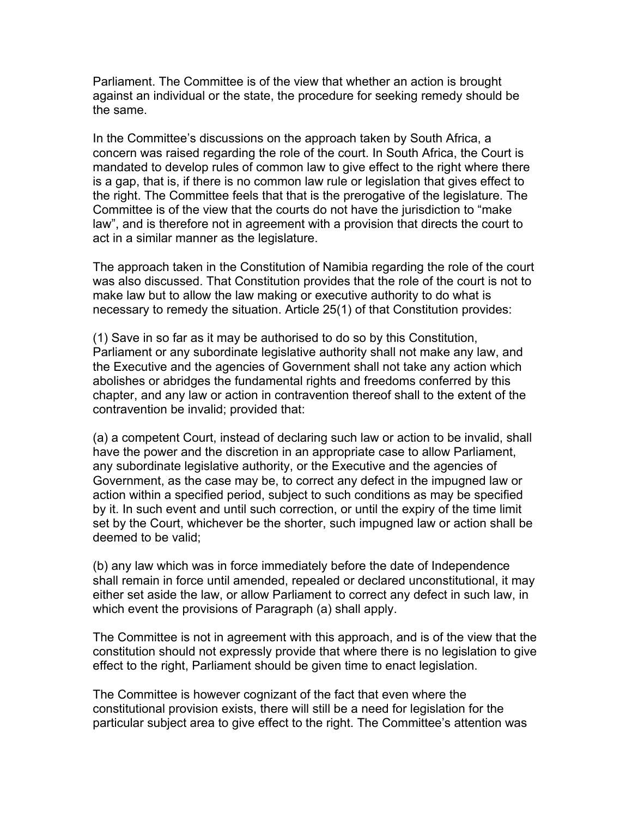Parliament. The Committee is of the view that whether an action is brought against an individual or the state, the procedure for seeking remedy should be the same.

In the Committee's discussions on the approach taken by South Africa, a concern was raised regarding the role of the court. In South Africa, the Court is mandated to develop rules of common law to give effect to the right where there is a gap, that is, if there is no common law rule or legislation that gives effect to the right. The Committee feels that that is the prerogative of the legislature. The Committee is of the view that the courts do not have the jurisdiction to "make law", and is therefore not in agreement with a provision that directs the court to act in a similar manner as the legislature.

The approach taken in the Constitution of Namibia regarding the role of the court was also discussed. That Constitution provides that the role of the court is not to make law but to allow the law making or executive authority to do what is necessary to remedy the situation. Article 25(1) of that Constitution provides:

(1) Save in so far as it may be authorised to do so by this Constitution, Parliament or any subordinate legislative authority shall not make any law, and the Executive and the agencies of Government shall not take any action which abolishes or abridges the fundamental rights and freedoms conferred by this chapter, and any law or action in contravention thereof shall to the extent of the contravention be invalid; provided that:

(a) a competent Court, instead of declaring such law or action to be invalid, shall have the power and the discretion in an appropriate case to allow Parliament, any subordinate legislative authority, or the Executive and the agencies of Government, as the case may be, to correct any defect in the impugned law or action within a specified period, subject to such conditions as may be specified by it. In such event and until such correction, or until the expiry of the time limit set by the Court, whichever be the shorter, such impugned law or action shall be deemed to be valid;

(b) any law which was in force immediately before the date of Independence shall remain in force until amended, repealed or declared unconstitutional, it may either set aside the law, or allow Parliament to correct any defect in such law, in which event the provisions of Paragraph (a) shall apply.

The Committee is not in agreement with this approach, and is of the view that the constitution should not expressly provide that where there is no legislation to give effect to the right, Parliament should be given time to enact legislation.

The Committee is however cognizant of the fact that even where the constitutional provision exists, there will still be a need for legislation for the particular subject area to give effect to the right. The Committee's attention was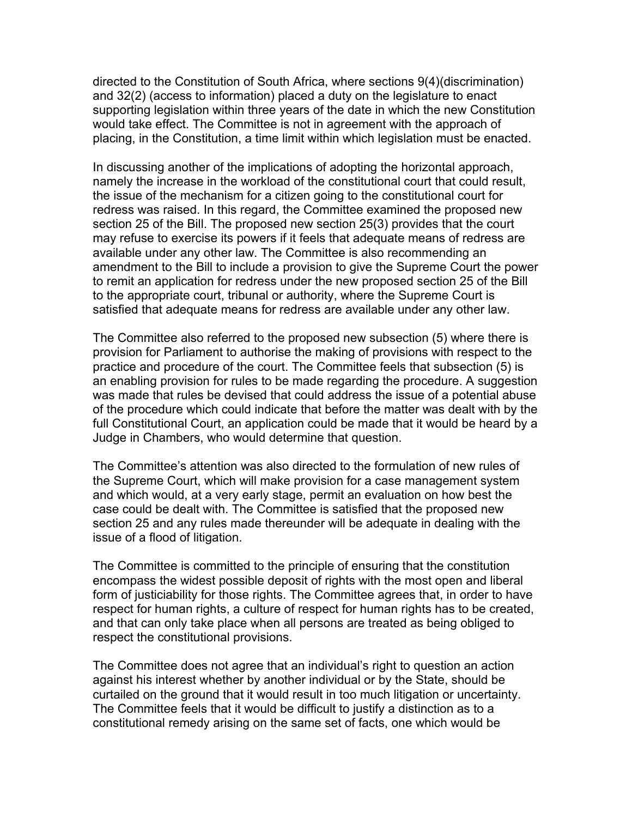directed to the Constitution of South Africa, where sections 9(4)(discrimination) and 32(2) (access to information) placed a duty on the legislature to enact supporting legislation within three years of the date in which the new Constitution would take effect. The Committee is not in agreement with the approach of placing, in the Constitution, a time limit within which legislation must be enacted.

In discussing another of the implications of adopting the horizontal approach, namely the increase in the workload of the constitutional court that could result, the issue of the mechanism for a citizen going to the constitutional court for redress was raised. In this regard, the Committee examined the proposed new section 25 of the Bill. The proposed new section 25(3) provides that the court may refuse to exercise its powers if it feels that adequate means of redress are available under any other law. The Committee is also recommending an amendment to the Bill to include a provision to give the Supreme Court the power to remit an application for redress under the new proposed section 25 of the Bill to the appropriate court, tribunal or authority, where the Supreme Court is satisfied that adequate means for redress are available under any other law.

The Committee also referred to the proposed new subsection (5) where there is provision for Parliament to authorise the making of provisions with respect to the practice and procedure of the court. The Committee feels that subsection (5) is an enabling provision for rules to be made regarding the procedure. A suggestion was made that rules be devised that could address the issue of a potential abuse of the procedure which could indicate that before the matter was dealt with by the full Constitutional Court, an application could be made that it would be heard by a Judge in Chambers, who would determine that question.

The Committee's attention was also directed to the formulation of new rules of the Supreme Court, which will make provision for a case management system and which would, at a very early stage, permit an evaluation on how best the case could be dealt with. The Committee is satisfied that the proposed new section 25 and any rules made thereunder will be adequate in dealing with the issue of a flood of litigation.

The Committee is committed to the principle of ensuring that the constitution encompass the widest possible deposit of rights with the most open and liberal form of justiciability for those rights. The Committee agrees that, in order to have respect for human rights, a culture of respect for human rights has to be created, and that can only take place when all persons are treated as being obliged to respect the constitutional provisions.

The Committee does not agree that an individual's right to question an action against his interest whether by another individual or by the State, should be curtailed on the ground that it would result in too much litigation or uncertainty. The Committee feels that it would be difficult to justify a distinction as to a constitutional remedy arising on the same set of facts, one which would be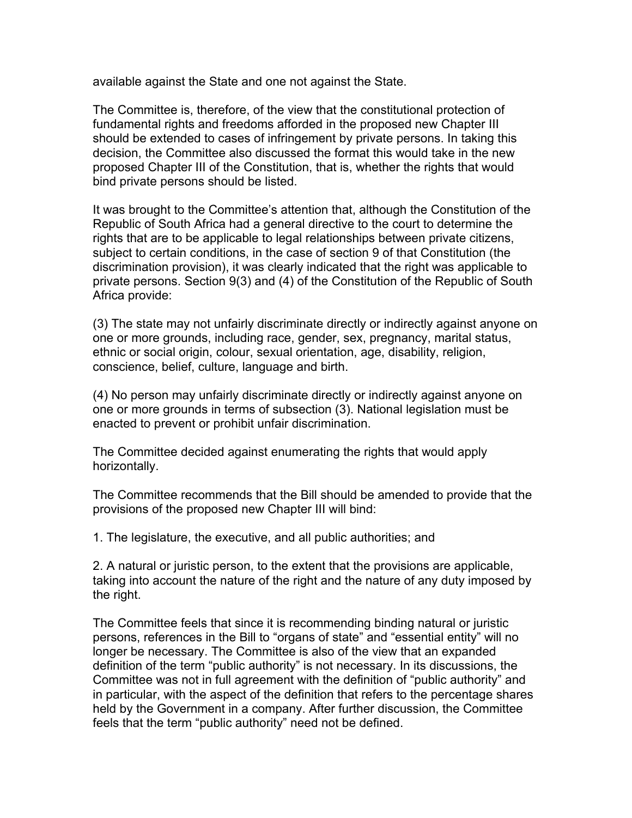available against the State and one not against the State.

The Committee is, therefore, of the view that the constitutional protection of fundamental rights and freedoms afforded in the proposed new Chapter III should be extended to cases of infringement by private persons. In taking this decision, the Committee also discussed the format this would take in the new proposed Chapter III of the Constitution, that is, whether the rights that would bind private persons should be listed.

It was brought to the Committee's attention that, although the Constitution of the Republic of South Africa had a general directive to the court to determine the rights that are to be applicable to legal relationships between private citizens, subject to certain conditions, in the case of section 9 of that Constitution (the discrimination provision), it was clearly indicated that the right was applicable to private persons. Section 9(3) and (4) of the Constitution of the Republic of South Africa provide:

(3) The state may not unfairly discriminate directly or indirectly against anyone on one or more grounds, including race, gender, sex, pregnancy, marital status, ethnic or social origin, colour, sexual orientation, age, disability, religion, conscience, belief, culture, language and birth.

(4) No person may unfairly discriminate directly or indirectly against anyone on one or more grounds in terms of subsection (3). National legislation must be enacted to prevent or prohibit unfair discrimination.

The Committee decided against enumerating the rights that would apply horizontally.

The Committee recommends that the Bill should be amended to provide that the provisions of the proposed new Chapter III will bind:

1. The legislature, the executive, and all public authorities; and

2. A natural or juristic person, to the extent that the provisions are applicable, taking into account the nature of the right and the nature of any duty imposed by the right.

The Committee feels that since it is recommending binding natural or juristic persons, references in the Bill to "organs of state" and "essential entity" will no longer be necessary. The Committee is also of the view that an expanded definition of the term "public authority" is not necessary. In its discussions, the Committee was not in full agreement with the definition of "public authority" and in particular, with the aspect of the definition that refers to the percentage shares held by the Government in a company. After further discussion, the Committee feels that the term "public authority" need not be defined.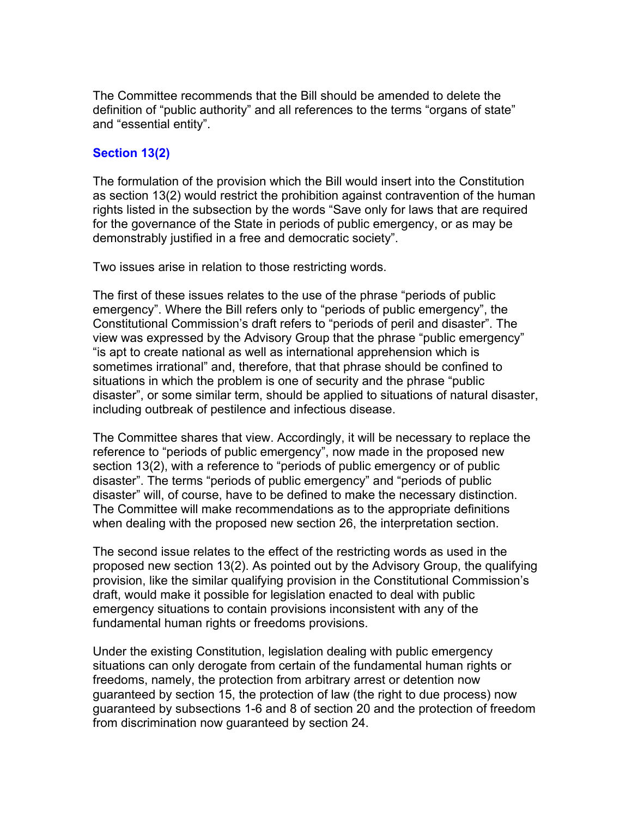The Committee recommends that the Bill should be amended to delete the definition of "public authority" and all references to the terms "organs of state" and "essential entity".

# **Section 13(2)**

The formulation of the provision which the Bill would insert into the Constitution as section 13(2) would restrict the prohibition against contravention of the human rights listed in the subsection by the words "Save only for laws that are required for the governance of the State in periods of public emergency, or as may be demonstrably justified in a free and democratic society".

Two issues arise in relation to those restricting words.

The first of these issues relates to the use of the phrase "periods of public emergency". Where the Bill refers only to "periods of public emergency", the Constitutional Commission's draft refers to "periods of peril and disaster". The view was expressed by the Advisory Group that the phrase "public emergency" "is apt to create national as well as international apprehension which is sometimes irrational" and, therefore, that that phrase should be confined to situations in which the problem is one of security and the phrase "public disaster", or some similar term, should be applied to situations of natural disaster, including outbreak of pestilence and infectious disease.

The Committee shares that view. Accordingly, it will be necessary to replace the reference to "periods of public emergency", now made in the proposed new section 13(2), with a reference to "periods of public emergency or of public disaster". The terms "periods of public emergency" and "periods of public disaster" will, of course, have to be defined to make the necessary distinction. The Committee will make recommendations as to the appropriate definitions when dealing with the proposed new section 26, the interpretation section.

The second issue relates to the effect of the restricting words as used in the proposed new section 13(2). As pointed out by the Advisory Group, the qualifying provision, like the similar qualifying provision in the Constitutional Commission's draft, would make it possible for legislation enacted to deal with public emergency situations to contain provisions inconsistent with any of the fundamental human rights or freedoms provisions.

Under the existing Constitution, legislation dealing with public emergency situations can only derogate from certain of the fundamental human rights or freedoms, namely, the protection from arbitrary arrest or detention now guaranteed by section 15, the protection of law (the right to due process) now guaranteed by subsections 1-6 and 8 of section 20 and the protection of freedom from discrimination now guaranteed by section 24.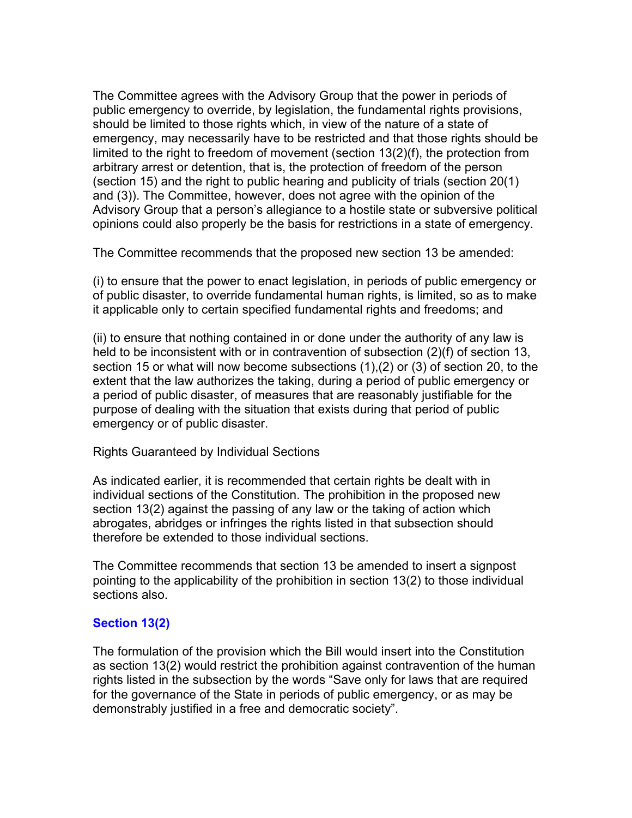The Committee agrees with the Advisory Group that the power in periods of public emergency to override, by legislation, the fundamental rights provisions, should be limited to those rights which, in view of the nature of a state of emergency, may necessarily have to be restricted and that those rights should be limited to the right to freedom of movement (section 13(2)(f), the protection from arbitrary arrest or detention, that is, the protection of freedom of the person (section 15) and the right to public hearing and publicity of trials (section 20(1) and (3)). The Committee, however, does not agree with the opinion of the Advisory Group that a person's allegiance to a hostile state or subversive political opinions could also properly be the basis for restrictions in a state of emergency.

The Committee recommends that the proposed new section 13 be amended:

(i) to ensure that the power to enact legislation, in periods of public emergency or of public disaster, to override fundamental human rights, is limited, so as to make it applicable only to certain specified fundamental rights and freedoms; and

(ii) to ensure that nothing contained in or done under the authority of any law is held to be inconsistent with or in contravention of subsection (2)(f) of section 13, section 15 or what will now become subsections (1),(2) or (3) of section 20, to the extent that the law authorizes the taking, during a period of public emergency or a period of public disaster, of measures that are reasonably justifiable for the purpose of dealing with the situation that exists during that period of public emergency or of public disaster.

Rights Guaranteed by Individual Sections

As indicated earlier, it is recommended that certain rights be dealt with in individual sections of the Constitution. The prohibition in the proposed new section 13(2) against the passing of any law or the taking of action which abrogates, abridges or infringes the rights listed in that subsection should therefore be extended to those individual sections.

The Committee recommends that section 13 be amended to insert a signpost pointing to the applicability of the prohibition in section 13(2) to those individual sections also.

# **Section 13(2)**

The formulation of the provision which the Bill would insert into the Constitution as section 13(2) would restrict the prohibition against contravention of the human rights listed in the subsection by the words "Save only for laws that are required for the governance of the State in periods of public emergency, or as may be demonstrably justified in a free and democratic society".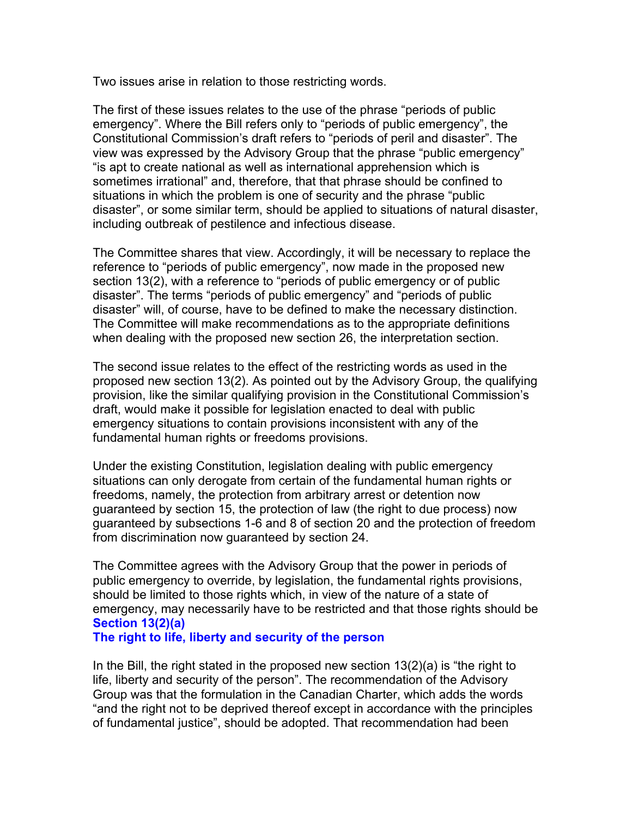Two issues arise in relation to those restricting words.

The first of these issues relates to the use of the phrase "periods of public emergency". Where the Bill refers only to "periods of public emergency", the Constitutional Commission's draft refers to "periods of peril and disaster". The view was expressed by the Advisory Group that the phrase "public emergency" "is apt to create national as well as international apprehension which is sometimes irrational" and, therefore, that that phrase should be confined to situations in which the problem is one of security and the phrase "public disaster", or some similar term, should be applied to situations of natural disaster, including outbreak of pestilence and infectious disease.

The Committee shares that view. Accordingly, it will be necessary to replace the reference to "periods of public emergency", now made in the proposed new section 13(2), with a reference to "periods of public emergency or of public disaster". The terms "periods of public emergency" and "periods of public disaster" will, of course, have to be defined to make the necessary distinction. The Committee will make recommendations as to the appropriate definitions when dealing with the proposed new section 26, the interpretation section.

The second issue relates to the effect of the restricting words as used in the proposed new section 13(2). As pointed out by the Advisory Group, the qualifying provision, like the similar qualifying provision in the Constitutional Commission's draft, would make it possible for legislation enacted to deal with public emergency situations to contain provisions inconsistent with any of the fundamental human rights or freedoms provisions.

Under the existing Constitution, legislation dealing with public emergency situations can only derogate from certain of the fundamental human rights or freedoms, namely, the protection from arbitrary arrest or detention now guaranteed by section 15, the protection of law (the right to due process) now guaranteed by subsections 1-6 and 8 of section 20 and the protection of freedom from discrimination now guaranteed by section 24.

The Committee agrees with the Advisory Group that the power in periods of public emergency to override, by legislation, the fundamental rights provisions, should be limited to those rights which, in view of the nature of a state of emergency, may necessarily have to be restricted and that those rights should be **Section 13(2)(a)** 

#### **The right to life, liberty and security of the person**

In the Bill, the right stated in the proposed new section  $13(2)(a)$  is "the right to life, liberty and security of the person". The recommendation of the Advisory Group was that the formulation in the Canadian Charter, which adds the words "and the right not to be deprived thereof except in accordance with the principles of fundamental justice", should be adopted. That recommendation had been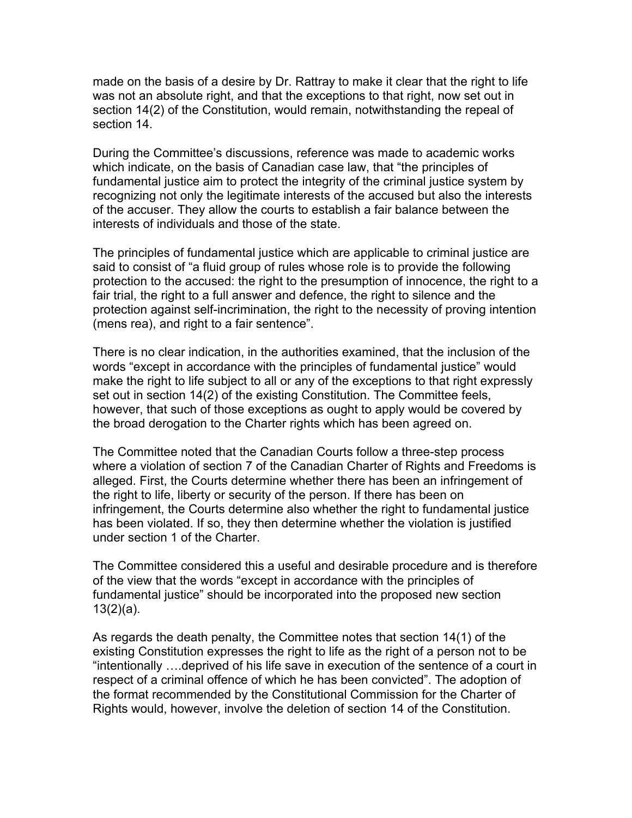made on the basis of a desire by Dr. Rattray to make it clear that the right to life was not an absolute right, and that the exceptions to that right, now set out in section 14(2) of the Constitution, would remain, notwithstanding the repeal of section 14.

During the Committee's discussions, reference was made to academic works which indicate, on the basis of Canadian case law, that "the principles of fundamental justice aim to protect the integrity of the criminal justice system by recognizing not only the legitimate interests of the accused but also the interests of the accuser. They allow the courts to establish a fair balance between the interests of individuals and those of the state.

The principles of fundamental justice which are applicable to criminal justice are said to consist of "a fluid group of rules whose role is to provide the following protection to the accused: the right to the presumption of innocence, the right to a fair trial, the right to a full answer and defence, the right to silence and the protection against self-incrimination, the right to the necessity of proving intention (mens rea), and right to a fair sentence".

There is no clear indication, in the authorities examined, that the inclusion of the words "except in accordance with the principles of fundamental justice" would make the right to life subject to all or any of the exceptions to that right expressly set out in section 14(2) of the existing Constitution. The Committee feels, however, that such of those exceptions as ought to apply would be covered by the broad derogation to the Charter rights which has been agreed on.

The Committee noted that the Canadian Courts follow a three-step process where a violation of section 7 of the Canadian Charter of Rights and Freedoms is alleged. First, the Courts determine whether there has been an infringement of the right to life, liberty or security of the person. If there has been on infringement, the Courts determine also whether the right to fundamental justice has been violated. If so, they then determine whether the violation is justified under section 1 of the Charter.

The Committee considered this a useful and desirable procedure and is therefore of the view that the words "except in accordance with the principles of fundamental justice" should be incorporated into the proposed new section  $13(2)(a)$ .

As regards the death penalty, the Committee notes that section 14(1) of the existing Constitution expresses the right to life as the right of a person not to be "intentionally ….deprived of his life save in execution of the sentence of a court in respect of a criminal offence of which he has been convicted". The adoption of the format recommended by the Constitutional Commission for the Charter of Rights would, however, involve the deletion of section 14 of the Constitution.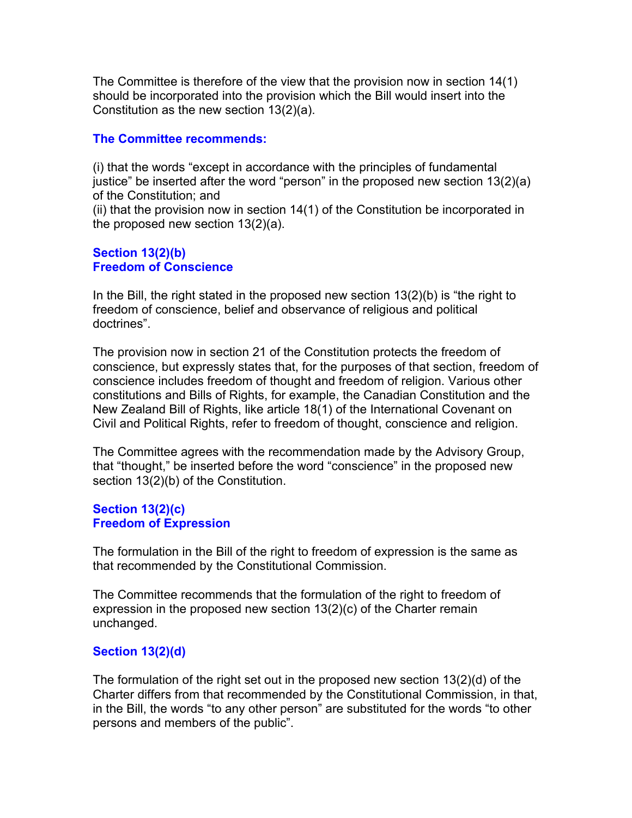The Committee is therefore of the view that the provision now in section 14(1) should be incorporated into the provision which the Bill would insert into the Constitution as the new section 13(2)(a).

## **The Committee recommends:**

(i) that the words "except in accordance with the principles of fundamental justice" be inserted after the word "person" in the proposed new section 13(2)(a) of the Constitution; and

(ii) that the provision now in section 14(1) of the Constitution be incorporated in the proposed new section 13(2)(a).

#### **Section 13(2)(b) Freedom of Conscience**

In the Bill, the right stated in the proposed new section 13(2)(b) is "the right to freedom of conscience, belief and observance of religious and political doctrines".

The provision now in section 21 of the Constitution protects the freedom of conscience, but expressly states that, for the purposes of that section, freedom of conscience includes freedom of thought and freedom of religion. Various other constitutions and Bills of Rights, for example, the Canadian Constitution and the New Zealand Bill of Rights, like article 18(1) of the International Covenant on Civil and Political Rights, refer to freedom of thought, conscience and religion.

The Committee agrees with the recommendation made by the Advisory Group, that "thought," be inserted before the word "conscience" in the proposed new section 13(2)(b) of the Constitution.

## **Section 13(2)(c) Freedom of Expression**

The formulation in the Bill of the right to freedom of expression is the same as that recommended by the Constitutional Commission.

The Committee recommends that the formulation of the right to freedom of expression in the proposed new section 13(2)(c) of the Charter remain unchanged.

# **Section 13(2)(d)**

The formulation of the right set out in the proposed new section 13(2)(d) of the Charter differs from that recommended by the Constitutional Commission, in that, in the Bill, the words "to any other person" are substituted for the words "to other persons and members of the public".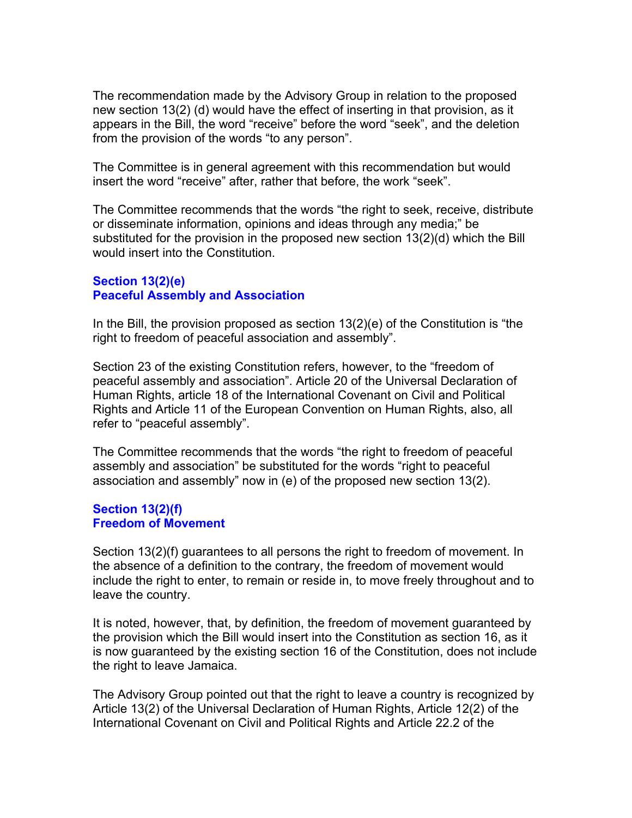The recommendation made by the Advisory Group in relation to the proposed new section 13(2) (d) would have the effect of inserting in that provision, as it appears in the Bill, the word "receive" before the word "seek", and the deletion from the provision of the words "to any person".

The Committee is in general agreement with this recommendation but would insert the word "receive" after, rather that before, the work "seek".

The Committee recommends that the words "the right to seek, receive, distribute or disseminate information, opinions and ideas through any media;" be substituted for the provision in the proposed new section 13(2)(d) which the Bill would insert into the Constitution.

## **Section 13(2)(e) Peaceful Assembly and Association**

In the Bill, the provision proposed as section  $13(2)(e)$  of the Constitution is "the right to freedom of peaceful association and assembly".

Section 23 of the existing Constitution refers, however, to the "freedom of peaceful assembly and association". Article 20 of the Universal Declaration of Human Rights, article 18 of the International Covenant on Civil and Political Rights and Article 11 of the European Convention on Human Rights, also, all refer to "peaceful assembly".

The Committee recommends that the words "the right to freedom of peaceful assembly and association" be substituted for the words "right to peaceful association and assembly" now in (e) of the proposed new section 13(2).

#### **Section 13(2)(f) Freedom of Movement**

Section 13(2)(f) guarantees to all persons the right to freedom of movement. In the absence of a definition to the contrary, the freedom of movement would include the right to enter, to remain or reside in, to move freely throughout and to leave the country.

It is noted, however, that, by definition, the freedom of movement guaranteed by the provision which the Bill would insert into the Constitution as section 16, as it is now guaranteed by the existing section 16 of the Constitution, does not include the right to leave Jamaica.

The Advisory Group pointed out that the right to leave a country is recognized by Article 13(2) of the Universal Declaration of Human Rights, Article 12(2) of the International Covenant on Civil and Political Rights and Article 22.2 of the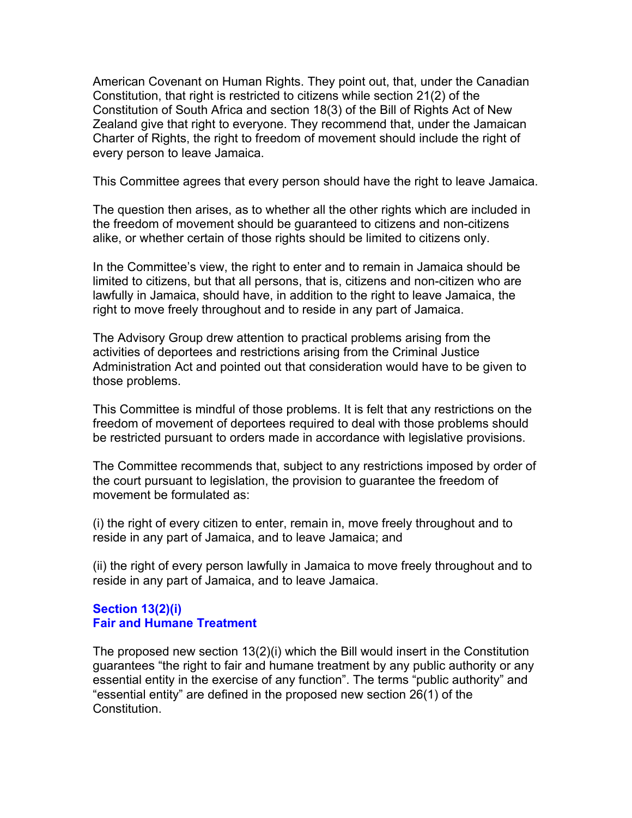American Covenant on Human Rights. They point out, that, under the Canadian Constitution, that right is restricted to citizens while section 21(2) of the Constitution of South Africa and section 18(3) of the Bill of Rights Act of New Zealand give that right to everyone. They recommend that, under the Jamaican Charter of Rights, the right to freedom of movement should include the right of every person to leave Jamaica.

This Committee agrees that every person should have the right to leave Jamaica.

The question then arises, as to whether all the other rights which are included in the freedom of movement should be guaranteed to citizens and non-citizens alike, or whether certain of those rights should be limited to citizens only.

In the Committee's view, the right to enter and to remain in Jamaica should be limited to citizens, but that all persons, that is, citizens and non-citizen who are lawfully in Jamaica, should have, in addition to the right to leave Jamaica, the right to move freely throughout and to reside in any part of Jamaica.

The Advisory Group drew attention to practical problems arising from the activities of deportees and restrictions arising from the Criminal Justice Administration Act and pointed out that consideration would have to be given to those problems.

This Committee is mindful of those problems. It is felt that any restrictions on the freedom of movement of deportees required to deal with those problems should be restricted pursuant to orders made in accordance with legislative provisions.

The Committee recommends that, subject to any restrictions imposed by order of the court pursuant to legislation, the provision to guarantee the freedom of movement be formulated as:

(i) the right of every citizen to enter, remain in, move freely throughout and to reside in any part of Jamaica, and to leave Jamaica; and

(ii) the right of every person lawfully in Jamaica to move freely throughout and to reside in any part of Jamaica, and to leave Jamaica.

# **Section 13(2)(i) Fair and Humane Treatment**

The proposed new section 13(2)(i) which the Bill would insert in the Constitution guarantees "the right to fair and humane treatment by any public authority or any essential entity in the exercise of any function". The terms "public authority" and "essential entity" are defined in the proposed new section 26(1) of the **Constitution**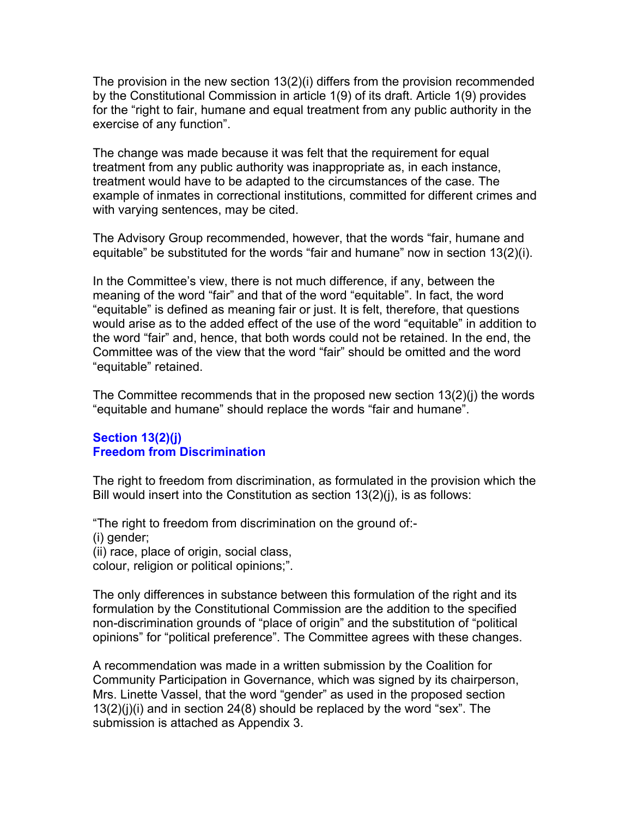The provision in the new section 13(2)(i) differs from the provision recommended by the Constitutional Commission in article 1(9) of its draft. Article 1(9) provides for the "right to fair, humane and equal treatment from any public authority in the exercise of any function".

The change was made because it was felt that the requirement for equal treatment from any public authority was inappropriate as, in each instance, treatment would have to be adapted to the circumstances of the case. The example of inmates in correctional institutions, committed for different crimes and with varying sentences, may be cited.

The Advisory Group recommended, however, that the words "fair, humane and equitable" be substituted for the words "fair and humane" now in section 13(2)(i).

In the Committee's view, there is not much difference, if any, between the meaning of the word "fair" and that of the word "equitable". In fact, the word "equitable" is defined as meaning fair or just. It is felt, therefore, that questions would arise as to the added effect of the use of the word "equitable" in addition to the word "fair" and, hence, that both words could not be retained. In the end, the Committee was of the view that the word "fair" should be omitted and the word "equitable" retained.

The Committee recommends that in the proposed new section 13(2)(j) the words "equitable and humane" should replace the words "fair and humane".

## **Section 13(2)(j) Freedom from Discrimination**

The right to freedom from discrimination, as formulated in the provision which the Bill would insert into the Constitution as section 13(2)(j), is as follows:

"The right to freedom from discrimination on the ground of:-

(i) gender;

(ii) race, place of origin, social class,

colour, religion or political opinions;".

The only differences in substance between this formulation of the right and its formulation by the Constitutional Commission are the addition to the specified non-discrimination grounds of "place of origin" and the substitution of "political opinions" for "political preference". The Committee agrees with these changes.

A recommendation was made in a written submission by the Coalition for Community Participation in Governance, which was signed by its chairperson, Mrs. Linette Vassel, that the word "gender" as used in the proposed section  $13(2)(j)(i)$  and in section 24(8) should be replaced by the word "sex". The submission is attached as Appendix 3.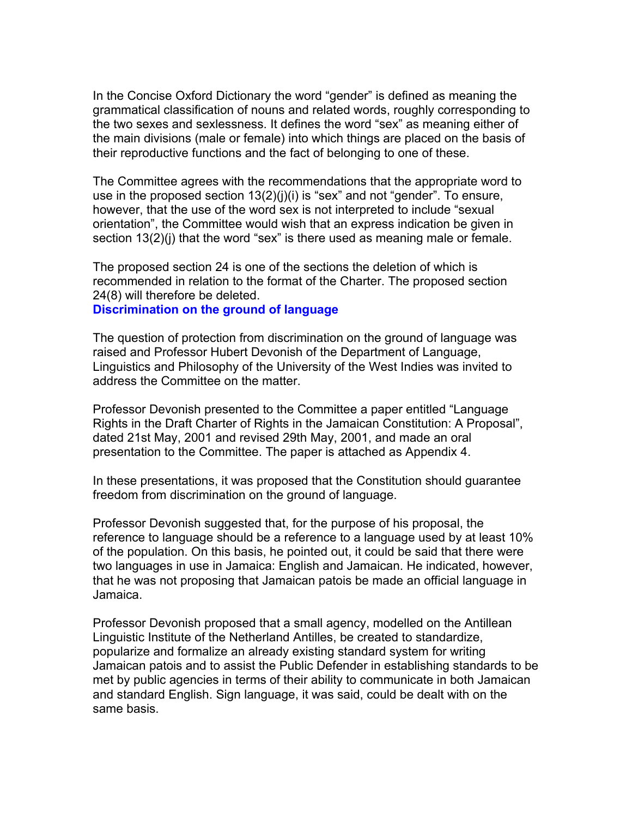In the Concise Oxford Dictionary the word "gender" is defined as meaning the grammatical classification of nouns and related words, roughly corresponding to the two sexes and sexlessness. It defines the word "sex" as meaning either of the main divisions (male or female) into which things are placed on the basis of their reproductive functions and the fact of belonging to one of these.

The Committee agrees with the recommendations that the appropriate word to use in the proposed section 13(2)(j)(i) is "sex" and not "gender". To ensure, however, that the use of the word sex is not interpreted to include "sexual orientation", the Committee would wish that an express indication be given in section 13(2)(j) that the word "sex" is there used as meaning male or female.

The proposed section 24 is one of the sections the deletion of which is recommended in relation to the format of the Charter. The proposed section 24(8) will therefore be deleted.

#### **Discrimination on the ground of language**

The question of protection from discrimination on the ground of language was raised and Professor Hubert Devonish of the Department of Language, Linguistics and Philosophy of the University of the West Indies was invited to address the Committee on the matter.

Professor Devonish presented to the Committee a paper entitled "Language Rights in the Draft Charter of Rights in the Jamaican Constitution: A Proposal", dated 21st May, 2001 and revised 29th May, 2001, and made an oral presentation to the Committee. The paper is attached as Appendix 4.

In these presentations, it was proposed that the Constitution should guarantee freedom from discrimination on the ground of language.

Professor Devonish suggested that, for the purpose of his proposal, the reference to language should be a reference to a language used by at least 10% of the population. On this basis, he pointed out, it could be said that there were two languages in use in Jamaica: English and Jamaican. He indicated, however, that he was not proposing that Jamaican patois be made an official language in Jamaica.

Professor Devonish proposed that a small agency, modelled on the Antillean Linguistic Institute of the Netherland Antilles, be created to standardize, popularize and formalize an already existing standard system for writing Jamaican patois and to assist the Public Defender in establishing standards to be met by public agencies in terms of their ability to communicate in both Jamaican and standard English. Sign language, it was said, could be dealt with on the same basis.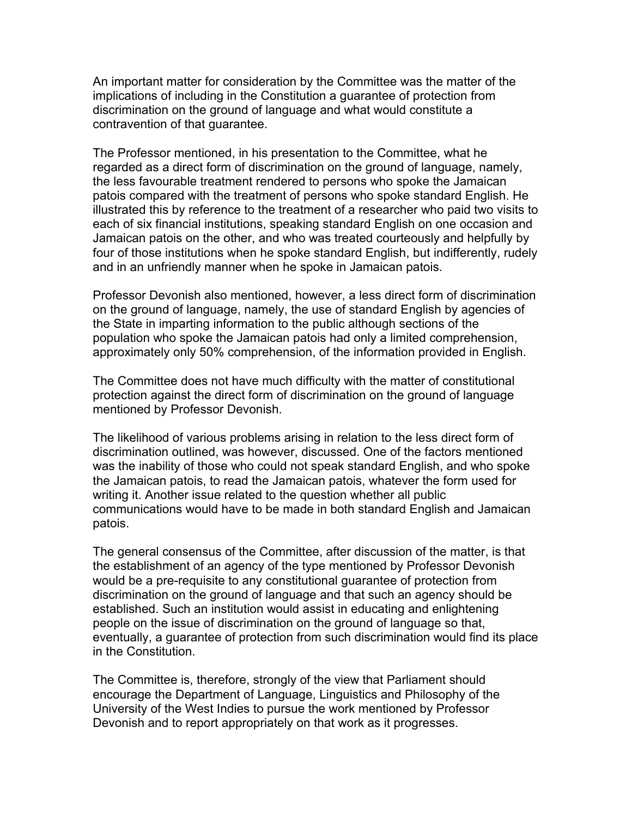An important matter for consideration by the Committee was the matter of the implications of including in the Constitution a guarantee of protection from discrimination on the ground of language and what would constitute a contravention of that guarantee.

The Professor mentioned, in his presentation to the Committee, what he regarded as a direct form of discrimination on the ground of language, namely, the less favourable treatment rendered to persons who spoke the Jamaican patois compared with the treatment of persons who spoke standard English. He illustrated this by reference to the treatment of a researcher who paid two visits to each of six financial institutions, speaking standard English on one occasion and Jamaican patois on the other, and who was treated courteously and helpfully by four of those institutions when he spoke standard English, but indifferently, rudely and in an unfriendly manner when he spoke in Jamaican patois.

Professor Devonish also mentioned, however, a less direct form of discrimination on the ground of language, namely, the use of standard English by agencies of the State in imparting information to the public although sections of the population who spoke the Jamaican patois had only a limited comprehension, approximately only 50% comprehension, of the information provided in English.

The Committee does not have much difficulty with the matter of constitutional protection against the direct form of discrimination on the ground of language mentioned by Professor Devonish.

The likelihood of various problems arising in relation to the less direct form of discrimination outlined, was however, discussed. One of the factors mentioned was the inability of those who could not speak standard English, and who spoke the Jamaican patois, to read the Jamaican patois, whatever the form used for writing it. Another issue related to the question whether all public communications would have to be made in both standard English and Jamaican patois.

The general consensus of the Committee, after discussion of the matter, is that the establishment of an agency of the type mentioned by Professor Devonish would be a pre-requisite to any constitutional guarantee of protection from discrimination on the ground of language and that such an agency should be established. Such an institution would assist in educating and enlightening people on the issue of discrimination on the ground of language so that, eventually, a guarantee of protection from such discrimination would find its place in the Constitution.

The Committee is, therefore, strongly of the view that Parliament should encourage the Department of Language, Linguistics and Philosophy of the University of the West Indies to pursue the work mentioned by Professor Devonish and to report appropriately on that work as it progresses.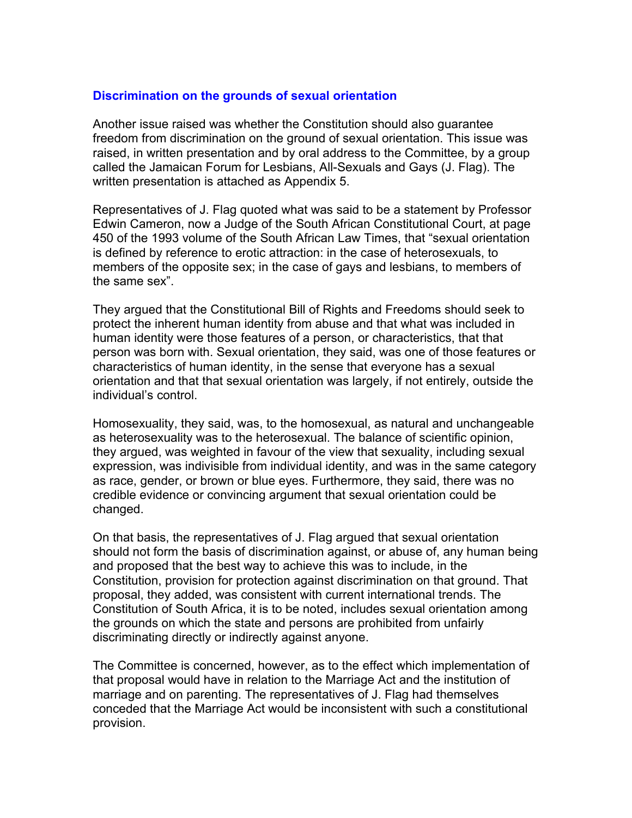# **Discrimination on the grounds of sexual orientation**

Another issue raised was whether the Constitution should also guarantee freedom from discrimination on the ground of sexual orientation. This issue was raised, in written presentation and by oral address to the Committee, by a group called the Jamaican Forum for Lesbians, All-Sexuals and Gays (J. Flag). The written presentation is attached as Appendix 5.

Representatives of J. Flag quoted what was said to be a statement by Professor Edwin Cameron, now a Judge of the South African Constitutional Court, at page 450 of the 1993 volume of the South African Law Times, that "sexual orientation is defined by reference to erotic attraction: in the case of heterosexuals, to members of the opposite sex; in the case of gays and lesbians, to members of the same sex".

They argued that the Constitutional Bill of Rights and Freedoms should seek to protect the inherent human identity from abuse and that what was included in human identity were those features of a person, or characteristics, that that person was born with. Sexual orientation, they said, was one of those features or characteristics of human identity, in the sense that everyone has a sexual orientation and that that sexual orientation was largely, if not entirely, outside the individual's control.

Homosexuality, they said, was, to the homosexual, as natural and unchangeable as heterosexuality was to the heterosexual. The balance of scientific opinion, they argued, was weighted in favour of the view that sexuality, including sexual expression, was indivisible from individual identity, and was in the same category as race, gender, or brown or blue eyes. Furthermore, they said, there was no credible evidence or convincing argument that sexual orientation could be changed.

On that basis, the representatives of J. Flag argued that sexual orientation should not form the basis of discrimination against, or abuse of, any human being and proposed that the best way to achieve this was to include, in the Constitution, provision for protection against discrimination on that ground. That proposal, they added, was consistent with current international trends. The Constitution of South Africa, it is to be noted, includes sexual orientation among the grounds on which the state and persons are prohibited from unfairly discriminating directly or indirectly against anyone.

The Committee is concerned, however, as to the effect which implementation of that proposal would have in relation to the Marriage Act and the institution of marriage and on parenting. The representatives of J. Flag had themselves conceded that the Marriage Act would be inconsistent with such a constitutional provision.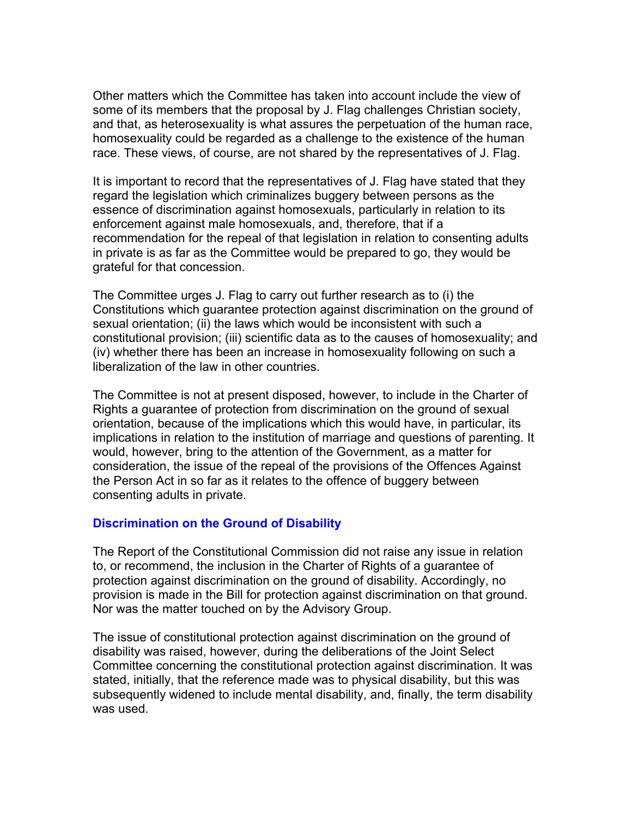Other matters which the Committee has taken into account include the view of some of its members that the proposal by J. Flag challenges Christian society, and that, as heterosexuality is what assures the perpetuation of the human race, homosexuality could be regarded as a challenge to the existence of the human race. These views, of course, are not shared by the representatives of J. Flag.

It is important to record that the representatives of J. Flag have stated that they regard the legislation which criminalizes buggery between persons as the essence of discrimination against homosexuals, particularly in relation to its enforcement against male homosexuals, and, therefore, that if a recommendation for the repeal of that legislation in relation to consenting adults in private is as far as the Committee would be prepared to go, they would be grateful for that concession.

The Committee urges J. Flag to carry out further research as to (i) the Constitutions which guarantee protection against discrimination on the ground of sexual orientation; (ii) the laws which would be inconsistent with such a constitutional provision; (iii) scientific data as to the causes of homosexuality; and (iv) whether there has been an increase in homosexuality following on such a liberalization of the law in other countries.

The Committee is not at present disposed, however, to include in the Charter of Rights a guarantee of protection from discrimination on the ground of sexual orientation, because of the implications which this would have, in particular, its implications in relation to the institution of marriage and questions of parenting. It would, however, bring to the attention of the Government, as a matter for consideration, the issue of the repeal of the provisions of the Offences Against the Person Act in so far as it relates to the offence of buggery between consenting adults in private.

#### **Discrimination on the Ground of Disability**

The Report of the Constitutional Commission did not raise any issue in relation to, or recommend, the inclusion in the Charter of Rights of a guarantee of protection against discrimination on the ground of disability. Accordingly, no provision is made in the Bill for protection against discrimination on that ground. Nor was the matter touched on by the Advisory Group.

The issue of constitutional protection against discrimination on the ground of disability was raised, however, during the deliberations of the Joint Select Committee concerning the constitutional protection against discrimination. It was stated, initially, that the reference made was to physical disability, but this was subsequently widened to include mental disability, and, finally, the term disability was used.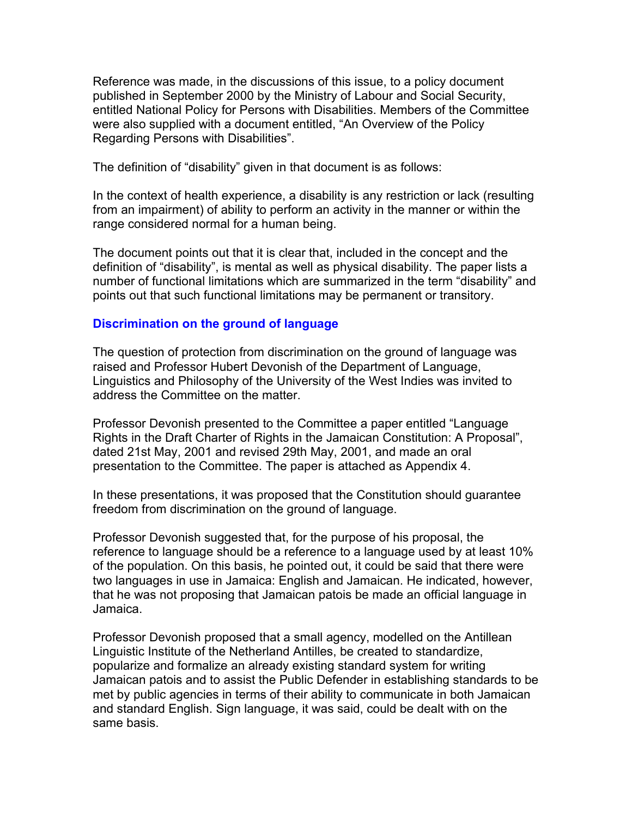Reference was made, in the discussions of this issue, to a policy document published in September 2000 by the Ministry of Labour and Social Security, entitled National Policy for Persons with Disabilities. Members of the Committee were also supplied with a document entitled, "An Overview of the Policy Regarding Persons with Disabilities".

The definition of "disability" given in that document is as follows:

In the context of health experience, a disability is any restriction or lack (resulting from an impairment) of ability to perform an activity in the manner or within the range considered normal for a human being.

The document points out that it is clear that, included in the concept and the definition of "disability", is mental as well as physical disability. The paper lists a number of functional limitations which are summarized in the term "disability" and points out that such functional limitations may be permanent or transitory.

# **Discrimination on the ground of language**

The question of protection from discrimination on the ground of language was raised and Professor Hubert Devonish of the Department of Language, Linguistics and Philosophy of the University of the West Indies was invited to address the Committee on the matter.

Professor Devonish presented to the Committee a paper entitled "Language Rights in the Draft Charter of Rights in the Jamaican Constitution: A Proposal", dated 21st May, 2001 and revised 29th May, 2001, and made an oral presentation to the Committee. The paper is attached as Appendix 4.

In these presentations, it was proposed that the Constitution should guarantee freedom from discrimination on the ground of language.

Professor Devonish suggested that, for the purpose of his proposal, the reference to language should be a reference to a language used by at least 10% of the population. On this basis, he pointed out, it could be said that there were two languages in use in Jamaica: English and Jamaican. He indicated, however, that he was not proposing that Jamaican patois be made an official language in Jamaica.

Professor Devonish proposed that a small agency, modelled on the Antillean Linguistic Institute of the Netherland Antilles, be created to standardize, popularize and formalize an already existing standard system for writing Jamaican patois and to assist the Public Defender in establishing standards to be met by public agencies in terms of their ability to communicate in both Jamaican and standard English. Sign language, it was said, could be dealt with on the same basis.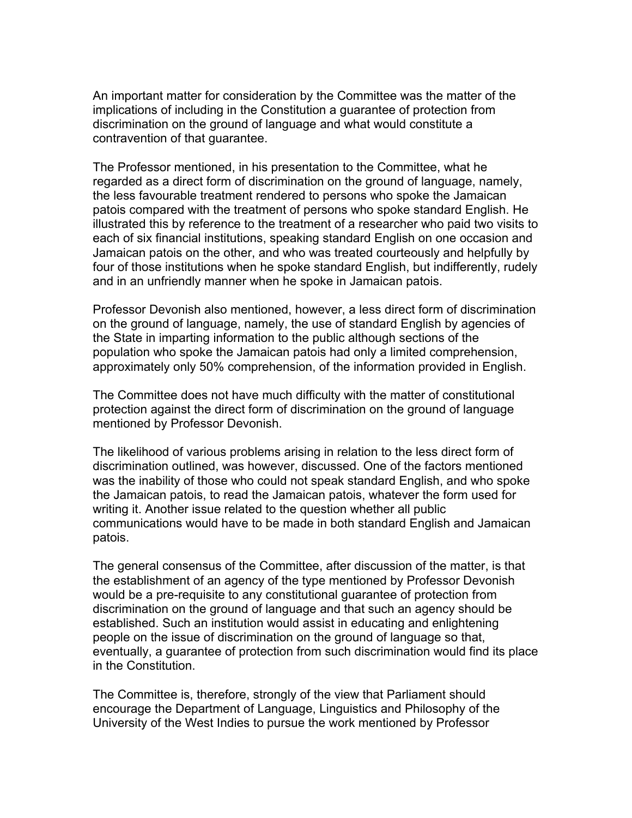An important matter for consideration by the Committee was the matter of the implications of including in the Constitution a guarantee of protection from discrimination on the ground of language and what would constitute a contravention of that guarantee.

The Professor mentioned, in his presentation to the Committee, what he regarded as a direct form of discrimination on the ground of language, namely, the less favourable treatment rendered to persons who spoke the Jamaican patois compared with the treatment of persons who spoke standard English. He illustrated this by reference to the treatment of a researcher who paid two visits to each of six financial institutions, speaking standard English on one occasion and Jamaican patois on the other, and who was treated courteously and helpfully by four of those institutions when he spoke standard English, but indifferently, rudely and in an unfriendly manner when he spoke in Jamaican patois.

Professor Devonish also mentioned, however, a less direct form of discrimination on the ground of language, namely, the use of standard English by agencies of the State in imparting information to the public although sections of the population who spoke the Jamaican patois had only a limited comprehension, approximately only 50% comprehension, of the information provided in English.

The Committee does not have much difficulty with the matter of constitutional protection against the direct form of discrimination on the ground of language mentioned by Professor Devonish.

The likelihood of various problems arising in relation to the less direct form of discrimination outlined, was however, discussed. One of the factors mentioned was the inability of those who could not speak standard English, and who spoke the Jamaican patois, to read the Jamaican patois, whatever the form used for writing it. Another issue related to the question whether all public communications would have to be made in both standard English and Jamaican patois.

The general consensus of the Committee, after discussion of the matter, is that the establishment of an agency of the type mentioned by Professor Devonish would be a pre-requisite to any constitutional guarantee of protection from discrimination on the ground of language and that such an agency should be established. Such an institution would assist in educating and enlightening people on the issue of discrimination on the ground of language so that, eventually, a guarantee of protection from such discrimination would find its place in the Constitution.

The Committee is, therefore, strongly of the view that Parliament should encourage the Department of Language, Linguistics and Philosophy of the University of the West Indies to pursue the work mentioned by Professor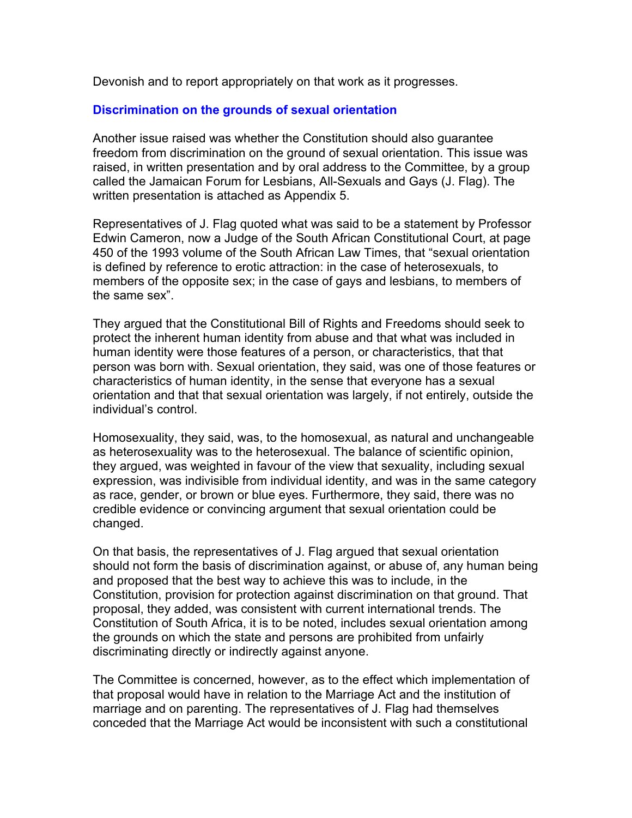Devonish and to report appropriately on that work as it progresses.

# **Discrimination on the grounds of sexual orientation**

Another issue raised was whether the Constitution should also guarantee freedom from discrimination on the ground of sexual orientation. This issue was raised, in written presentation and by oral address to the Committee, by a group called the Jamaican Forum for Lesbians, All-Sexuals and Gays (J. Flag). The written presentation is attached as Appendix 5.

Representatives of J. Flag quoted what was said to be a statement by Professor Edwin Cameron, now a Judge of the South African Constitutional Court, at page 450 of the 1993 volume of the South African Law Times, that "sexual orientation is defined by reference to erotic attraction: in the case of heterosexuals, to members of the opposite sex; in the case of gays and lesbians, to members of the same sex".

They argued that the Constitutional Bill of Rights and Freedoms should seek to protect the inherent human identity from abuse and that what was included in human identity were those features of a person, or characteristics, that that person was born with. Sexual orientation, they said, was one of those features or characteristics of human identity, in the sense that everyone has a sexual orientation and that that sexual orientation was largely, if not entirely, outside the individual's control.

Homosexuality, they said, was, to the homosexual, as natural and unchangeable as heterosexuality was to the heterosexual. The balance of scientific opinion, they argued, was weighted in favour of the view that sexuality, including sexual expression, was indivisible from individual identity, and was in the same category as race, gender, or brown or blue eyes. Furthermore, they said, there was no credible evidence or convincing argument that sexual orientation could be changed.

On that basis, the representatives of J. Flag argued that sexual orientation should not form the basis of discrimination against, or abuse of, any human being and proposed that the best way to achieve this was to include, in the Constitution, provision for protection against discrimination on that ground. That proposal, they added, was consistent with current international trends. The Constitution of South Africa, it is to be noted, includes sexual orientation among the grounds on which the state and persons are prohibited from unfairly discriminating directly or indirectly against anyone.

The Committee is concerned, however, as to the effect which implementation of that proposal would have in relation to the Marriage Act and the institution of marriage and on parenting. The representatives of J. Flag had themselves conceded that the Marriage Act would be inconsistent with such a constitutional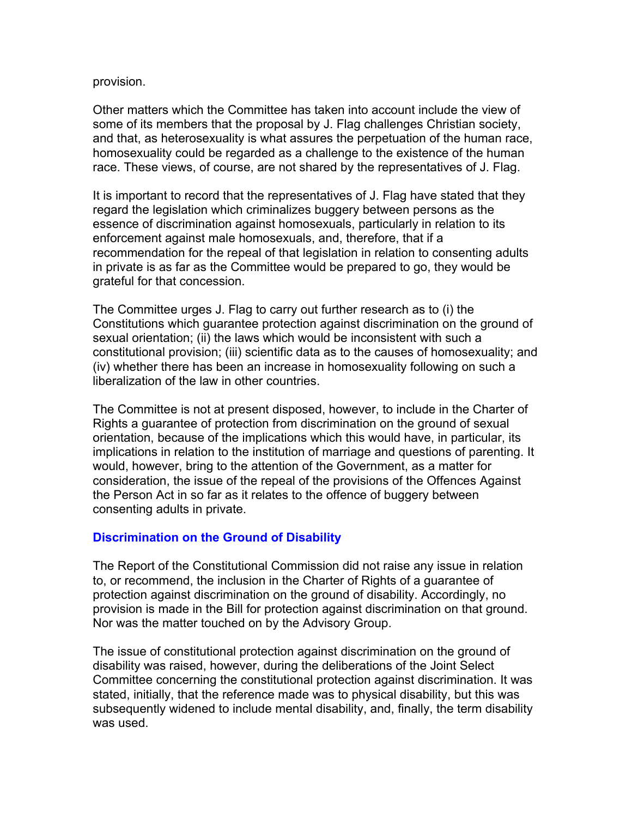#### provision.

Other matters which the Committee has taken into account include the view of some of its members that the proposal by J. Flag challenges Christian society, and that, as heterosexuality is what assures the perpetuation of the human race, homosexuality could be regarded as a challenge to the existence of the human race. These views, of course, are not shared by the representatives of J. Flag.

It is important to record that the representatives of J. Flag have stated that they regard the legislation which criminalizes buggery between persons as the essence of discrimination against homosexuals, particularly in relation to its enforcement against male homosexuals, and, therefore, that if a recommendation for the repeal of that legislation in relation to consenting adults in private is as far as the Committee would be prepared to go, they would be grateful for that concession.

The Committee urges J. Flag to carry out further research as to (i) the Constitutions which guarantee protection against discrimination on the ground of sexual orientation; (ii) the laws which would be inconsistent with such a constitutional provision; (iii) scientific data as to the causes of homosexuality; and (iv) whether there has been an increase in homosexuality following on such a liberalization of the law in other countries.

The Committee is not at present disposed, however, to include in the Charter of Rights a guarantee of protection from discrimination on the ground of sexual orientation, because of the implications which this would have, in particular, its implications in relation to the institution of marriage and questions of parenting. It would, however, bring to the attention of the Government, as a matter for consideration, the issue of the repeal of the provisions of the Offences Against the Person Act in so far as it relates to the offence of buggery between consenting adults in private.

# **Discrimination on the Ground of Disability**

The Report of the Constitutional Commission did not raise any issue in relation to, or recommend, the inclusion in the Charter of Rights of a guarantee of protection against discrimination on the ground of disability. Accordingly, no provision is made in the Bill for protection against discrimination on that ground. Nor was the matter touched on by the Advisory Group.

The issue of constitutional protection against discrimination on the ground of disability was raised, however, during the deliberations of the Joint Select Committee concerning the constitutional protection against discrimination. It was stated, initially, that the reference made was to physical disability, but this was subsequently widened to include mental disability, and, finally, the term disability was used.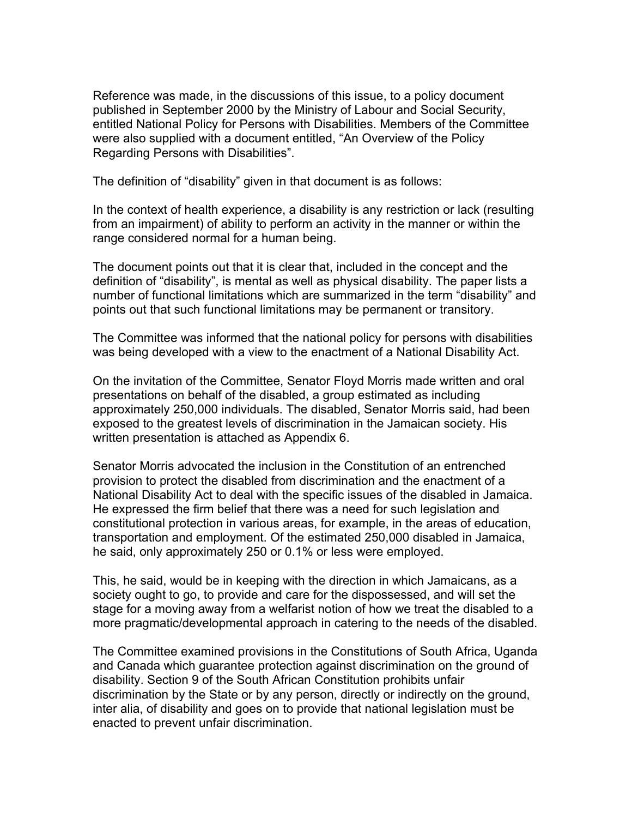Reference was made, in the discussions of this issue, to a policy document published in September 2000 by the Ministry of Labour and Social Security, entitled National Policy for Persons with Disabilities. Members of the Committee were also supplied with a document entitled, "An Overview of the Policy Regarding Persons with Disabilities".

The definition of "disability" given in that document is as follows:

In the context of health experience, a disability is any restriction or lack (resulting from an impairment) of ability to perform an activity in the manner or within the range considered normal for a human being.

The document points out that it is clear that, included in the concept and the definition of "disability", is mental as well as physical disability. The paper lists a number of functional limitations which are summarized in the term "disability" and points out that such functional limitations may be permanent or transitory.

The Committee was informed that the national policy for persons with disabilities was being developed with a view to the enactment of a National Disability Act.

On the invitation of the Committee, Senator Floyd Morris made written and oral presentations on behalf of the disabled, a group estimated as including approximately 250,000 individuals. The disabled, Senator Morris said, had been exposed to the greatest levels of discrimination in the Jamaican society. His written presentation is attached as Appendix 6.

Senator Morris advocated the inclusion in the Constitution of an entrenched provision to protect the disabled from discrimination and the enactment of a National Disability Act to deal with the specific issues of the disabled in Jamaica. He expressed the firm belief that there was a need for such legislation and constitutional protection in various areas, for example, in the areas of education, transportation and employment. Of the estimated 250,000 disabled in Jamaica, he said, only approximately 250 or 0.1% or less were employed.

This, he said, would be in keeping with the direction in which Jamaicans, as a society ought to go, to provide and care for the dispossessed, and will set the stage for a moving away from a welfarist notion of how we treat the disabled to a more pragmatic/developmental approach in catering to the needs of the disabled.

The Committee examined provisions in the Constitutions of South Africa, Uganda and Canada which guarantee protection against discrimination on the ground of disability. Section 9 of the South African Constitution prohibits unfair discrimination by the State or by any person, directly or indirectly on the ground, inter alia, of disability and goes on to provide that national legislation must be enacted to prevent unfair discrimination.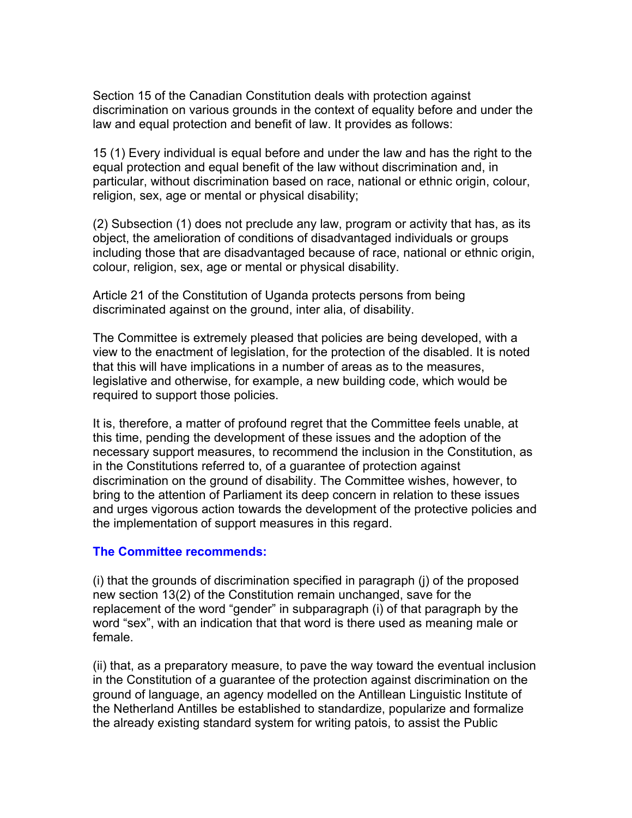Section 15 of the Canadian Constitution deals with protection against discrimination on various grounds in the context of equality before and under the law and equal protection and benefit of law. It provides as follows:

15 (1) Every individual is equal before and under the law and has the right to the equal protection and equal benefit of the law without discrimination and, in particular, without discrimination based on race, national or ethnic origin, colour, religion, sex, age or mental or physical disability;

(2) Subsection (1) does not preclude any law, program or activity that has, as its object, the amelioration of conditions of disadvantaged individuals or groups including those that are disadvantaged because of race, national or ethnic origin, colour, religion, sex, age or mental or physical disability.

Article 21 of the Constitution of Uganda protects persons from being discriminated against on the ground, inter alia, of disability.

The Committee is extremely pleased that policies are being developed, with a view to the enactment of legislation, for the protection of the disabled. It is noted that this will have implications in a number of areas as to the measures, legislative and otherwise, for example, a new building code, which would be required to support those policies.

It is, therefore, a matter of profound regret that the Committee feels unable, at this time, pending the development of these issues and the adoption of the necessary support measures, to recommend the inclusion in the Constitution, as in the Constitutions referred to, of a guarantee of protection against discrimination on the ground of disability. The Committee wishes, however, to bring to the attention of Parliament its deep concern in relation to these issues and urges vigorous action towards the development of the protective policies and the implementation of support measures in this regard.

#### **The Committee recommends:**

(i) that the grounds of discrimination specified in paragraph (j) of the proposed new section 13(2) of the Constitution remain unchanged, save for the replacement of the word "gender" in subparagraph (i) of that paragraph by the word "sex", with an indication that that word is there used as meaning male or female.

(ii) that, as a preparatory measure, to pave the way toward the eventual inclusion in the Constitution of a guarantee of the protection against discrimination on the ground of language, an agency modelled on the Antillean Linguistic Institute of the Netherland Antilles be established to standardize, popularize and formalize the already existing standard system for writing patois, to assist the Public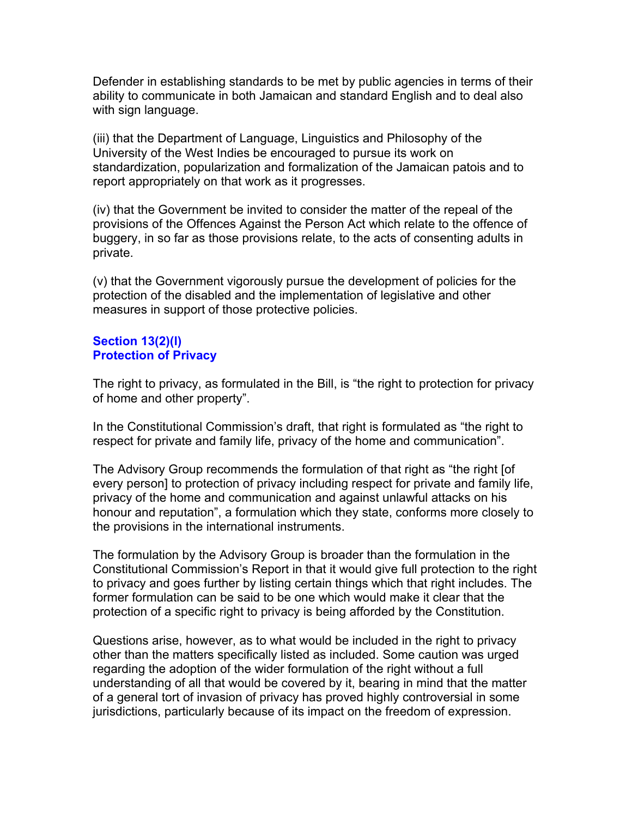Defender in establishing standards to be met by public agencies in terms of their ability to communicate in both Jamaican and standard English and to deal also with sign language.

(iii) that the Department of Language, Linguistics and Philosophy of the University of the West Indies be encouraged to pursue its work on standardization, popularization and formalization of the Jamaican patois and to report appropriately on that work as it progresses.

(iv) that the Government be invited to consider the matter of the repeal of the provisions of the Offences Against the Person Act which relate to the offence of buggery, in so far as those provisions relate, to the acts of consenting adults in private.

(v) that the Government vigorously pursue the development of policies for the protection of the disabled and the implementation of legislative and other measures in support of those protective policies.

# **Section 13(2)(l) Protection of Privacy**

The right to privacy, as formulated in the Bill, is "the right to protection for privacy of home and other property".

In the Constitutional Commission's draft, that right is formulated as "the right to respect for private and family life, privacy of the home and communication".

The Advisory Group recommends the formulation of that right as "the right [of every person] to protection of privacy including respect for private and family life, privacy of the home and communication and against unlawful attacks on his honour and reputation", a formulation which they state, conforms more closely to the provisions in the international instruments.

The formulation by the Advisory Group is broader than the formulation in the Constitutional Commission's Report in that it would give full protection to the right to privacy and goes further by listing certain things which that right includes. The former formulation can be said to be one which would make it clear that the protection of a specific right to privacy is being afforded by the Constitution.

Questions arise, however, as to what would be included in the right to privacy other than the matters specifically listed as included. Some caution was urged regarding the adoption of the wider formulation of the right without a full understanding of all that would be covered by it, bearing in mind that the matter of a general tort of invasion of privacy has proved highly controversial in some jurisdictions, particularly because of its impact on the freedom of expression.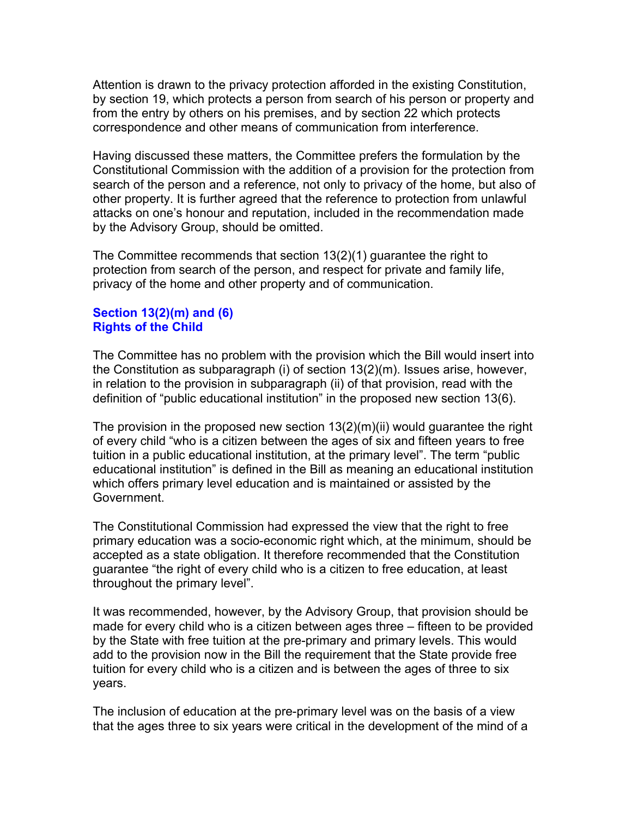Attention is drawn to the privacy protection afforded in the existing Constitution, by section 19, which protects a person from search of his person or property and from the entry by others on his premises, and by section 22 which protects correspondence and other means of communication from interference.

Having discussed these matters, the Committee prefers the formulation by the Constitutional Commission with the addition of a provision for the protection from search of the person and a reference, not only to privacy of the home, but also of other property. It is further agreed that the reference to protection from unlawful attacks on one's honour and reputation, included in the recommendation made by the Advisory Group, should be omitted.

The Committee recommends that section 13(2)(1) guarantee the right to protection from search of the person, and respect for private and family life, privacy of the home and other property and of communication.

## **Section 13(2)(m) and (6) Rights of the Child**

The Committee has no problem with the provision which the Bill would insert into the Constitution as subparagraph (i) of section 13(2)(m). Issues arise, however, in relation to the provision in subparagraph (ii) of that provision, read with the definition of "public educational institution" in the proposed new section 13(6).

The provision in the proposed new section 13(2)(m)(ii) would guarantee the right of every child "who is a citizen between the ages of six and fifteen years to free tuition in a public educational institution, at the primary level". The term "public educational institution" is defined in the Bill as meaning an educational institution which offers primary level education and is maintained or assisted by the Government.

The Constitutional Commission had expressed the view that the right to free primary education was a socio-economic right which, at the minimum, should be accepted as a state obligation. It therefore recommended that the Constitution guarantee "the right of every child who is a citizen to free education, at least throughout the primary level".

It was recommended, however, by the Advisory Group, that provision should be made for every child who is a citizen between ages three – fifteen to be provided by the State with free tuition at the pre-primary and primary levels. This would add to the provision now in the Bill the requirement that the State provide free tuition for every child who is a citizen and is between the ages of three to six years.

The inclusion of education at the pre-primary level was on the basis of a view that the ages three to six years were critical in the development of the mind of a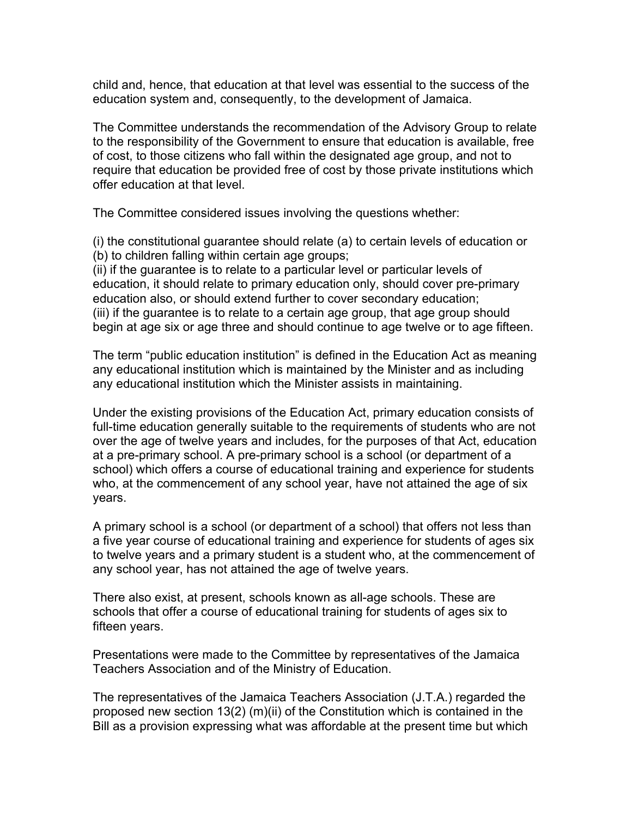child and, hence, that education at that level was essential to the success of the education system and, consequently, to the development of Jamaica.

The Committee understands the recommendation of the Advisory Group to relate to the responsibility of the Government to ensure that education is available, free of cost, to those citizens who fall within the designated age group, and not to require that education be provided free of cost by those private institutions which offer education at that level.

The Committee considered issues involving the questions whether:

(i) the constitutional guarantee should relate (a) to certain levels of education or (b) to children falling within certain age groups;

(ii) if the guarantee is to relate to a particular level or particular levels of education, it should relate to primary education only, should cover pre-primary education also, or should extend further to cover secondary education; (iii) if the guarantee is to relate to a certain age group, that age group should begin at age six or age three and should continue to age twelve or to age fifteen.

The term "public education institution" is defined in the Education Act as meaning any educational institution which is maintained by the Minister and as including any educational institution which the Minister assists in maintaining.

Under the existing provisions of the Education Act, primary education consists of full-time education generally suitable to the requirements of students who are not over the age of twelve years and includes, for the purposes of that Act, education at a pre-primary school. A pre-primary school is a school (or department of a school) which offers a course of educational training and experience for students who, at the commencement of any school year, have not attained the age of six years.

A primary school is a school (or department of a school) that offers not less than a five year course of educational training and experience for students of ages six to twelve years and a primary student is a student who, at the commencement of any school year, has not attained the age of twelve years.

There also exist, at present, schools known as all-age schools. These are schools that offer a course of educational training for students of ages six to fifteen years.

Presentations were made to the Committee by representatives of the Jamaica Teachers Association and of the Ministry of Education.

The representatives of the Jamaica Teachers Association (J.T.A.) regarded the proposed new section 13(2) (m)(ii) of the Constitution which is contained in the Bill as a provision expressing what was affordable at the present time but which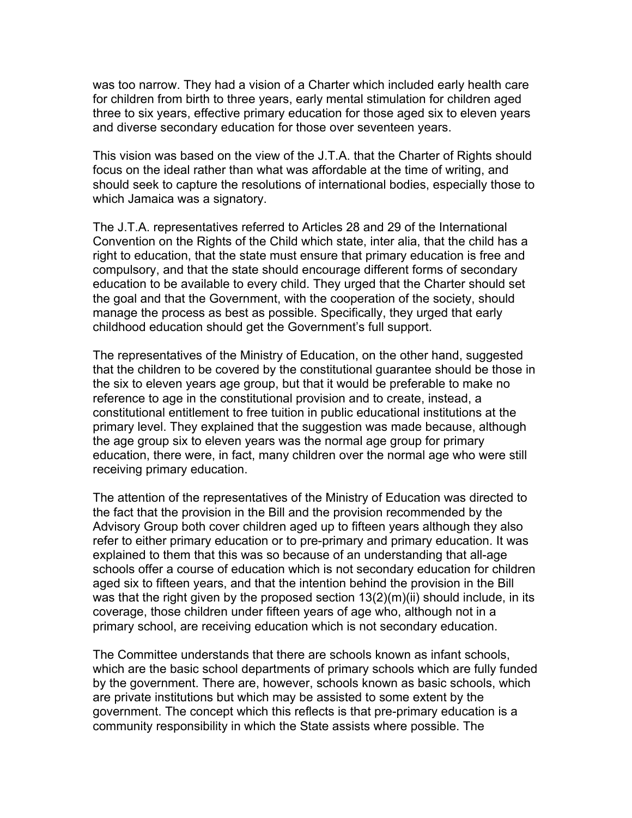was too narrow. They had a vision of a Charter which included early health care for children from birth to three years, early mental stimulation for children aged three to six years, effective primary education for those aged six to eleven years and diverse secondary education for those over seventeen years.

This vision was based on the view of the J.T.A. that the Charter of Rights should focus on the ideal rather than what was affordable at the time of writing, and should seek to capture the resolutions of international bodies, especially those to which Jamaica was a signatory.

The J.T.A. representatives referred to Articles 28 and 29 of the International Convention on the Rights of the Child which state, inter alia, that the child has a right to education, that the state must ensure that primary education is free and compulsory, and that the state should encourage different forms of secondary education to be available to every child. They urged that the Charter should set the goal and that the Government, with the cooperation of the society, should manage the process as best as possible. Specifically, they urged that early childhood education should get the Government's full support.

The representatives of the Ministry of Education, on the other hand, suggested that the children to be covered by the constitutional guarantee should be those in the six to eleven years age group, but that it would be preferable to make no reference to age in the constitutional provision and to create, instead, a constitutional entitlement to free tuition in public educational institutions at the primary level. They explained that the suggestion was made because, although the age group six to eleven years was the normal age group for primary education, there were, in fact, many children over the normal age who were still receiving primary education.

The attention of the representatives of the Ministry of Education was directed to the fact that the provision in the Bill and the provision recommended by the Advisory Group both cover children aged up to fifteen years although they also refer to either primary education or to pre-primary and primary education. It was explained to them that this was so because of an understanding that all-age schools offer a course of education which is not secondary education for children aged six to fifteen years, and that the intention behind the provision in the Bill was that the right given by the proposed section 13(2)(m)(ii) should include, in its coverage, those children under fifteen years of age who, although not in a primary school, are receiving education which is not secondary education.

The Committee understands that there are schools known as infant schools, which are the basic school departments of primary schools which are fully funded by the government. There are, however, schools known as basic schools, which are private institutions but which may be assisted to some extent by the government. The concept which this reflects is that pre-primary education is a community responsibility in which the State assists where possible. The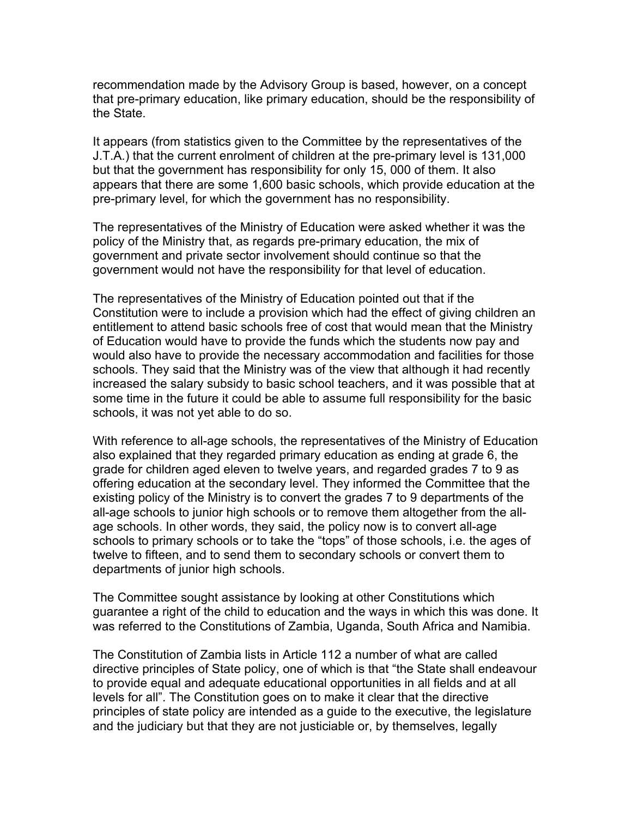recommendation made by the Advisory Group is based, however, on a concept that pre-primary education, like primary education, should be the responsibility of the State.

It appears (from statistics given to the Committee by the representatives of the J.T.A.) that the current enrolment of children at the pre-primary level is 131,000 but that the government has responsibility for only 15, 000 of them. It also appears that there are some 1,600 basic schools, which provide education at the pre-primary level, for which the government has no responsibility.

The representatives of the Ministry of Education were asked whether it was the policy of the Ministry that, as regards pre-primary education, the mix of government and private sector involvement should continue so that the government would not have the responsibility for that level of education.

The representatives of the Ministry of Education pointed out that if the Constitution were to include a provision which had the effect of giving children an entitlement to attend basic schools free of cost that would mean that the Ministry of Education would have to provide the funds which the students now pay and would also have to provide the necessary accommodation and facilities for those schools. They said that the Ministry was of the view that although it had recently increased the salary subsidy to basic school teachers, and it was possible that at some time in the future it could be able to assume full responsibility for the basic schools, it was not yet able to do so.

With reference to all-age schools, the representatives of the Ministry of Education also explained that they regarded primary education as ending at grade 6, the grade for children aged eleven to twelve years, and regarded grades 7 to 9 as offering education at the secondary level. They informed the Committee that the existing policy of the Ministry is to convert the grades 7 to 9 departments of the all-age schools to junior high schools or to remove them altogether from the allage schools. In other words, they said, the policy now is to convert all-age schools to primary schools or to take the "tops" of those schools, i.e. the ages of twelve to fifteen, and to send them to secondary schools or convert them to departments of junior high schools.

The Committee sought assistance by looking at other Constitutions which guarantee a right of the child to education and the ways in which this was done. It was referred to the Constitutions of Zambia, Uganda, South Africa and Namibia.

The Constitution of Zambia lists in Article 112 a number of what are called directive principles of State policy, one of which is that "the State shall endeavour to provide equal and adequate educational opportunities in all fields and at all levels for all". The Constitution goes on to make it clear that the directive principles of state policy are intended as a guide to the executive, the legislature and the judiciary but that they are not justiciable or, by themselves, legally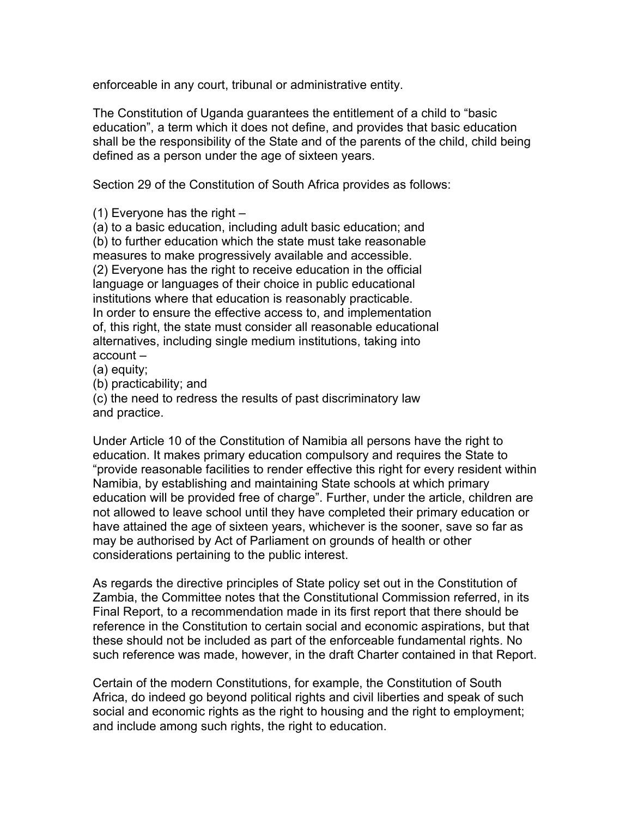enforceable in any court, tribunal or administrative entity.

The Constitution of Uganda guarantees the entitlement of a child to "basic education", a term which it does not define, and provides that basic education shall be the responsibility of the State and of the parents of the child, child being defined as a person under the age of sixteen years.

Section 29 of the Constitution of South Africa provides as follows:

(1) Everyone has the right –

(a) to a basic education, including adult basic education; and (b) to further education which the state must take reasonable measures to make progressively available and accessible. (2) Everyone has the right to receive education in the official language or languages of their choice in public educational institutions where that education is reasonably practicable. In order to ensure the effective access to, and implementation of, this right, the state must consider all reasonable educational alternatives, including single medium institutions, taking into account –

(a) equity;

(b) practicability; and

(c) the need to redress the results of past discriminatory law and practice.

Under Article 10 of the Constitution of Namibia all persons have the right to education. It makes primary education compulsory and requires the State to "provide reasonable facilities to render effective this right for every resident within Namibia, by establishing and maintaining State schools at which primary education will be provided free of charge". Further, under the article, children are not allowed to leave school until they have completed their primary education or have attained the age of sixteen years, whichever is the sooner, save so far as may be authorised by Act of Parliament on grounds of health or other considerations pertaining to the public interest.

As regards the directive principles of State policy set out in the Constitution of Zambia, the Committee notes that the Constitutional Commission referred, in its Final Report, to a recommendation made in its first report that there should be reference in the Constitution to certain social and economic aspirations, but that these should not be included as part of the enforceable fundamental rights. No such reference was made, however, in the draft Charter contained in that Report.

Certain of the modern Constitutions, for example, the Constitution of South Africa, do indeed go beyond political rights and civil liberties and speak of such social and economic rights as the right to housing and the right to employment; and include among such rights, the right to education.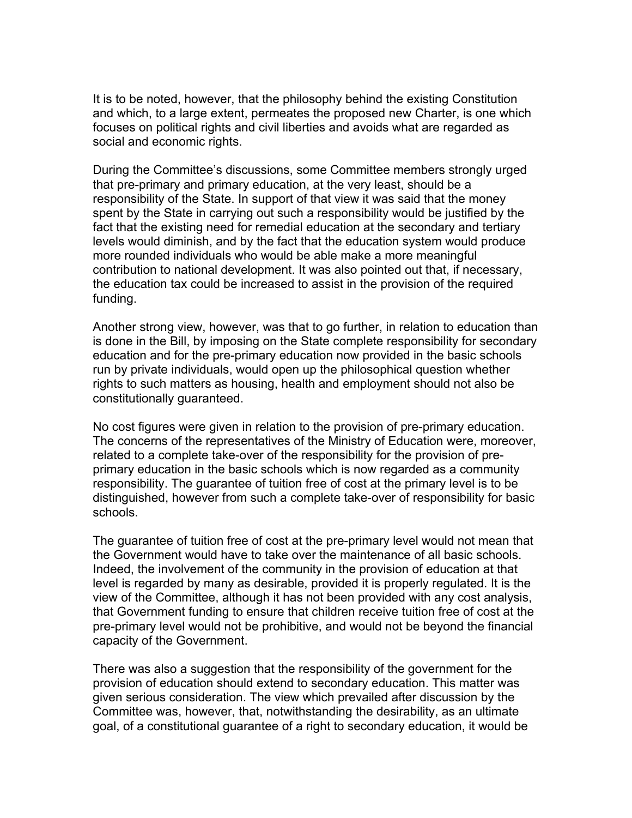It is to be noted, however, that the philosophy behind the existing Constitution and which, to a large extent, permeates the proposed new Charter, is one which focuses on political rights and civil liberties and avoids what are regarded as social and economic rights.

During the Committee's discussions, some Committee members strongly urged that pre-primary and primary education, at the very least, should be a responsibility of the State. In support of that view it was said that the money spent by the State in carrying out such a responsibility would be justified by the fact that the existing need for remedial education at the secondary and tertiary levels would diminish, and by the fact that the education system would produce more rounded individuals who would be able make a more meaningful contribution to national development. It was also pointed out that, if necessary, the education tax could be increased to assist in the provision of the required funding.

Another strong view, however, was that to go further, in relation to education than is done in the Bill, by imposing on the State complete responsibility for secondary education and for the pre-primary education now provided in the basic schools run by private individuals, would open up the philosophical question whether rights to such matters as housing, health and employment should not also be constitutionally guaranteed.

No cost figures were given in relation to the provision of pre-primary education. The concerns of the representatives of the Ministry of Education were, moreover, related to a complete take-over of the responsibility for the provision of preprimary education in the basic schools which is now regarded as a community responsibility. The guarantee of tuition free of cost at the primary level is to be distinguished, however from such a complete take-over of responsibility for basic schools.

The guarantee of tuition free of cost at the pre-primary level would not mean that the Government would have to take over the maintenance of all basic schools. Indeed, the involvement of the community in the provision of education at that level is regarded by many as desirable, provided it is properly regulated. It is the view of the Committee, although it has not been provided with any cost analysis, that Government funding to ensure that children receive tuition free of cost at the pre-primary level would not be prohibitive, and would not be beyond the financial capacity of the Government.

There was also a suggestion that the responsibility of the government for the provision of education should extend to secondary education. This matter was given serious consideration. The view which prevailed after discussion by the Committee was, however, that, notwithstanding the desirability, as an ultimate goal, of a constitutional guarantee of a right to secondary education, it would be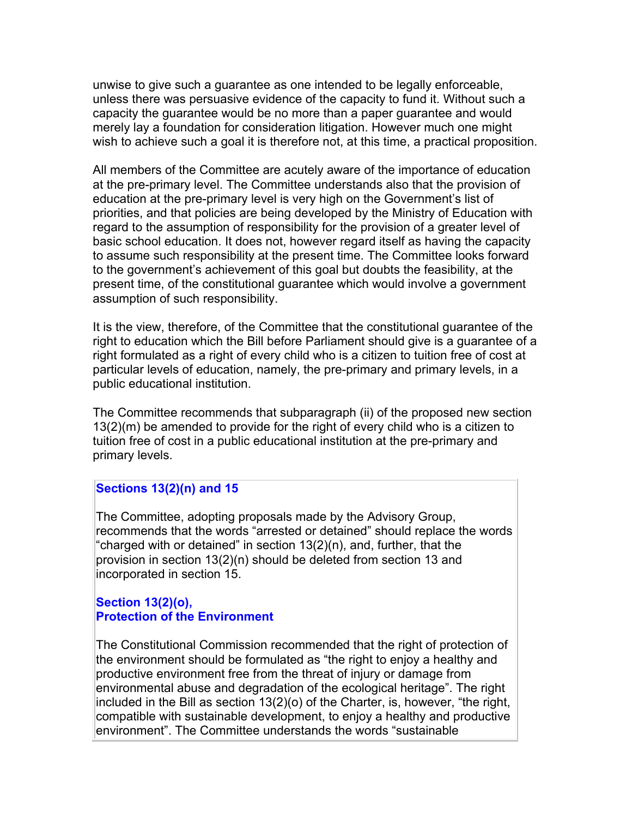unwise to give such a guarantee as one intended to be legally enforceable, unless there was persuasive evidence of the capacity to fund it. Without such a capacity the guarantee would be no more than a paper guarantee and would merely lay a foundation for consideration litigation. However much one might wish to achieve such a goal it is therefore not, at this time, a practical proposition.

All members of the Committee are acutely aware of the importance of education at the pre-primary level. The Committee understands also that the provision of education at the pre-primary level is very high on the Government's list of priorities, and that policies are being developed by the Ministry of Education with regard to the assumption of responsibility for the provision of a greater level of basic school education. It does not, however regard itself as having the capacity to assume such responsibility at the present time. The Committee looks forward to the government's achievement of this goal but doubts the feasibility, at the present time, of the constitutional guarantee which would involve a government assumption of such responsibility.

It is the view, therefore, of the Committee that the constitutional guarantee of the right to education which the Bill before Parliament should give is a guarantee of a right formulated as a right of every child who is a citizen to tuition free of cost at particular levels of education, namely, the pre-primary and primary levels, in a public educational institution.

The Committee recommends that subparagraph (ii) of the proposed new section 13(2)(m) be amended to provide for the right of every child who is a citizen to tuition free of cost in a public educational institution at the pre-primary and primary levels.

# **Sections 13(2)(n) and 15**

The Committee, adopting proposals made by the Advisory Group, recommends that the words "arrested or detained" should replace the words "charged with or detained" in section 13(2)(n), and, further, that the provision in section 13(2)(n) should be deleted from section 13 and incorporated in section 15.

# **Section 13(2)(o), Protection of the Environment**

The Constitutional Commission recommended that the right of protection of the environment should be formulated as "the right to enjoy a healthy and productive environment free from the threat of injury or damage from environmental abuse and degradation of the ecological heritage". The right included in the Bill as section 13(2)(o) of the Charter, is, however, "the right, compatible with sustainable development, to enjoy a healthy and productive environment". The Committee understands the words "sustainable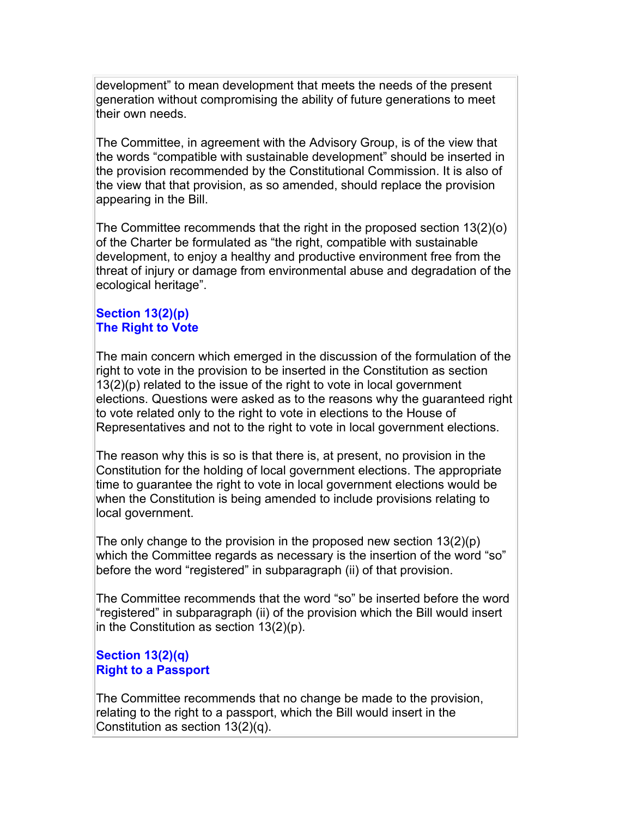development" to mean development that meets the needs of the present generation without compromising the ability of future generations to meet their own needs.

The Committee, in agreement with the Advisory Group, is of the view that the words "compatible with sustainable development" should be inserted in the provision recommended by the Constitutional Commission. It is also of the view that that provision, as so amended, should replace the provision appearing in the Bill.

The Committee recommends that the right in the proposed section 13(2)(o) of the Charter be formulated as "the right, compatible with sustainable development, to enjoy a healthy and productive environment free from the threat of injury or damage from environmental abuse and degradation of the ecological heritage".

# **Section 13(2)(p) The Right to Vote**

The main concern which emerged in the discussion of the formulation of the right to vote in the provision to be inserted in the Constitution as section 13(2)(p) related to the issue of the right to vote in local government elections. Questions were asked as to the reasons why the guaranteed right to vote related only to the right to vote in elections to the House of Representatives and not to the right to vote in local government elections.

The reason why this is so is that there is, at present, no provision in the Constitution for the holding of local government elections. The appropriate time to guarantee the right to vote in local government elections would be when the Constitution is being amended to include provisions relating to local government.

The only change to the provision in the proposed new section 13(2)(p) which the Committee regards as necessary is the insertion of the word "so" before the word "registered" in subparagraph (ii) of that provision.

The Committee recommends that the word "so" be inserted before the word "registered" in subparagraph (ii) of the provision which the Bill would insert in the Constitution as section 13(2)(p).

# **Section 13(2)(q) Right to a Passport**

The Committee recommends that no change be made to the provision, relating to the right to a passport, which the Bill would insert in the Constitution as section 13(2)(q).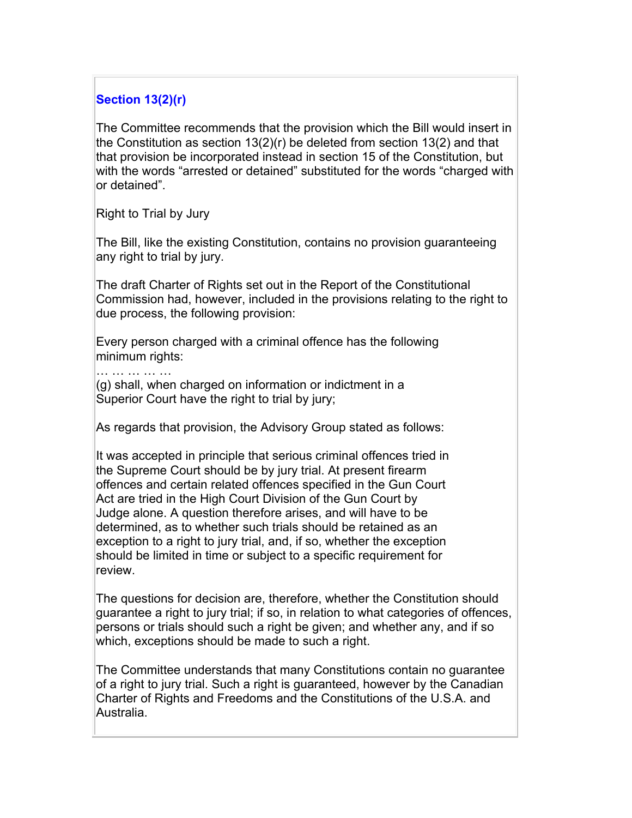# **Section 13(2)(r)**

The Committee recommends that the provision which the Bill would insert in the Constitution as section 13(2)(r) be deleted from section 13(2) and that that provision be incorporated instead in section 15 of the Constitution, but with the words "arrested or detained" substituted for the words "charged with or detained".

Right to Trial by Jury

… … … … … …

The Bill, like the existing Constitution, contains no provision guaranteeing any right to trial by jury.

The draft Charter of Rights set out in the Report of the Constitutional Commission had, however, included in the provisions relating to the right to due process, the following provision:

Every person charged with a criminal offence has the following minimum rights:

(g) shall, when charged on information or indictment in a Superior Court have the right to trial by jury;

As regards that provision, the Advisory Group stated as follows:

It was accepted in principle that serious criminal offences tried in the Supreme Court should be by jury trial. At present firearm offences and certain related offences specified in the Gun Court Act are tried in the High Court Division of the Gun Court by Judge alone. A question therefore arises, and will have to be determined, as to whether such trials should be retained as an exception to a right to jury trial, and, if so, whether the exception should be limited in time or subject to a specific requirement for review.

The questions for decision are, therefore, whether the Constitution should guarantee a right to jury trial; if so, in relation to what categories of offences, persons or trials should such a right be given; and whether any, and if so which, exceptions should be made to such a right.

The Committee understands that many Constitutions contain no guarantee of a right to jury trial. Such a right is guaranteed, however by the Canadian Charter of Rights and Freedoms and the Constitutions of the U.S.A. and Australia.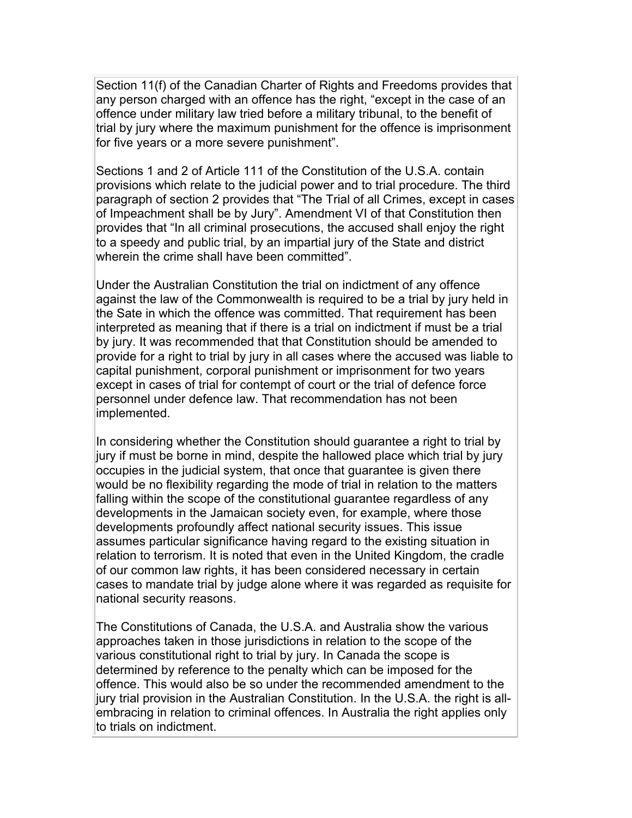Section 11(f) of the Canadian Charter of Rights and Freedoms provides that any person charged with an offence has the right, "except in the case of an offence under military law tried before a military tribunal, to the benefit of trial by jury where the maximum punishment for the offence is imprisonment for five years or a more severe punishment".

Sections 1 and 2 of Article 111 of the Constitution of the U.S.A. contain provisions which relate to the judicial power and to trial procedure. The third paragraph of section 2 provides that "The Trial of all Crimes, except in cases of Impeachment shall be by Jury". Amendment VI of that Constitution then provides that "In all criminal prosecutions, the accused shall enjoy the right to a speedy and public trial, by an impartial jury of the State and district wherein the crime shall have been committed".

Under the Australian Constitution the trial on indictment of any offence against the law of the Commonwealth is required to be a trial by jury held in the Sate in which the offence was committed. That requirement has been interpreted as meaning that if there is a trial on indictment if must be a trial by jury. It was recommended that that Constitution should be amended to provide for a right to trial by jury in all cases where the accused was liable to capital punishment, corporal punishment or imprisonment for two years except in cases of trial for contempt of court or the trial of defence force personnel under defence law. That recommendation has not been implemented.

In considering whether the Constitution should guarantee a right to trial by jury if must be borne in mind, despite the hallowed place which trial by jury occupies in the judicial system, that once that guarantee is given there would be no flexibility regarding the mode of trial in relation to the matters falling within the scope of the constitutional guarantee regardless of any developments in the Jamaican society even, for example, where those developments profoundly affect national security issues. This issue assumes particular significance having regard to the existing situation in relation to terrorism. It is noted that even in the United Kingdom, the cradle of our common law rights, it has been considered necessary in certain cases to mandate trial by judge alone where it was regarded as requisite for national security reasons.

The Constitutions of Canada, the U.S.A. and Australia show the various approaches taken in those jurisdictions in relation to the scope of the various constitutional right to trial by jury. In Canada the scope is determined by reference to the penalty which can be imposed for the offence. This would also be so under the recommended amendment to the jury trial provision in the Australian Constitution. In the U.S.A. the right is allembracing in relation to criminal offences. In Australia the right applies only to trials on indictment.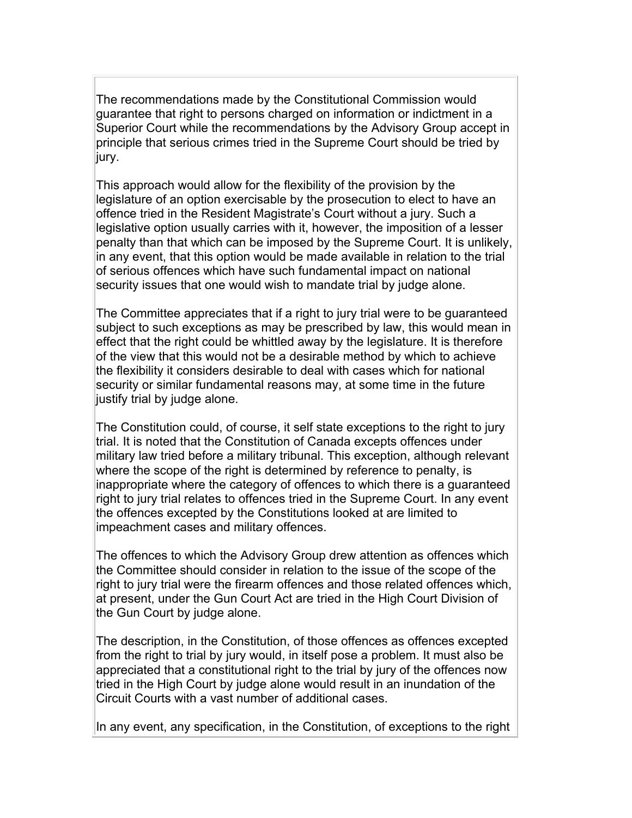The recommendations made by the Constitutional Commission would guarantee that right to persons charged on information or indictment in a Superior Court while the recommendations by the Advisory Group accept in principle that serious crimes tried in the Supreme Court should be tried by jury.

This approach would allow for the flexibility of the provision by the legislature of an option exercisable by the prosecution to elect to have an offence tried in the Resident Magistrate's Court without a jury. Such a legislative option usually carries with it, however, the imposition of a lesser penalty than that which can be imposed by the Supreme Court. It is unlikely, in any event, that this option would be made available in relation to the trial of serious offences which have such fundamental impact on national security issues that one would wish to mandate trial by judge alone.

The Committee appreciates that if a right to jury trial were to be guaranteed subject to such exceptions as may be prescribed by law, this would mean in effect that the right could be whittled away by the legislature. It is therefore of the view that this would not be a desirable method by which to achieve the flexibility it considers desirable to deal with cases which for national security or similar fundamental reasons may, at some time in the future justify trial by judge alone.

The Constitution could, of course, it self state exceptions to the right to jury trial. It is noted that the Constitution of Canada excepts offences under military law tried before a military tribunal. This exception, although relevant where the scope of the right is determined by reference to penalty, is inappropriate where the category of offences to which there is a guaranteed right to jury trial relates to offences tried in the Supreme Court. In any event the offences excepted by the Constitutions looked at are limited to impeachment cases and military offences.

The offences to which the Advisory Group drew attention as offences which the Committee should consider in relation to the issue of the scope of the right to jury trial were the firearm offences and those related offences which, at present, under the Gun Court Act are tried in the High Court Division of the Gun Court by judge alone.

The description, in the Constitution, of those offences as offences excepted from the right to trial by jury would, in itself pose a problem. It must also be appreciated that a constitutional right to the trial by jury of the offences now tried in the High Court by judge alone would result in an inundation of the Circuit Courts with a vast number of additional cases.

In any event, any specification, in the Constitution, of exceptions to the right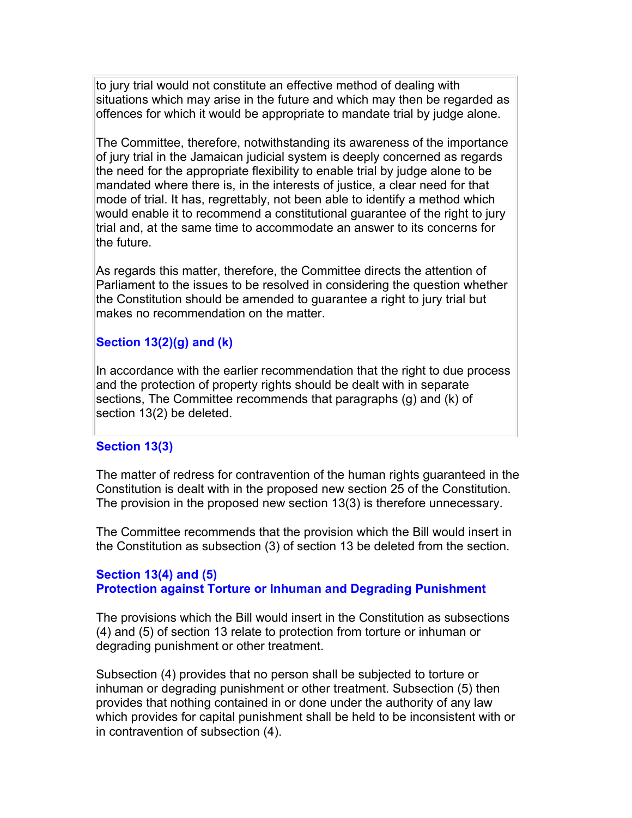to jury trial would not constitute an effective method of dealing with situations which may arise in the future and which may then be regarded as offences for which it would be appropriate to mandate trial by judge alone.

The Committee, therefore, notwithstanding its awareness of the importance of jury trial in the Jamaican judicial system is deeply concerned as regards the need for the appropriate flexibility to enable trial by judge alone to be mandated where there is, in the interests of justice, a clear need for that mode of trial. It has, regrettably, not been able to identify a method which would enable it to recommend a constitutional guarantee of the right to jury trial and, at the same time to accommodate an answer to its concerns for the future.

As regards this matter, therefore, the Committee directs the attention of Parliament to the issues to be resolved in considering the question whether the Constitution should be amended to guarantee a right to jury trial but makes no recommendation on the matter.

## **Section 13(2)(g) and (k)**

In accordance with the earlier recommendation that the right to due process and the protection of property rights should be dealt with in separate sections, The Committee recommends that paragraphs (g) and (k) of section 13(2) be deleted.

#### **Section 13(3)**

The matter of redress for contravention of the human rights guaranteed in the Constitution is dealt with in the proposed new section 25 of the Constitution. The provision in the proposed new section 13(3) is therefore unnecessary.

The Committee recommends that the provision which the Bill would insert in the Constitution as subsection (3) of section 13 be deleted from the section.

## **Section 13(4) and (5) Protection against Torture or Inhuman and Degrading Punishment**

The provisions which the Bill would insert in the Constitution as subsections (4) and (5) of section 13 relate to protection from torture or inhuman or degrading punishment or other treatment.

Subsection (4) provides that no person shall be subjected to torture or inhuman or degrading punishment or other treatment. Subsection (5) then provides that nothing contained in or done under the authority of any law which provides for capital punishment shall be held to be inconsistent with or in contravention of subsection (4).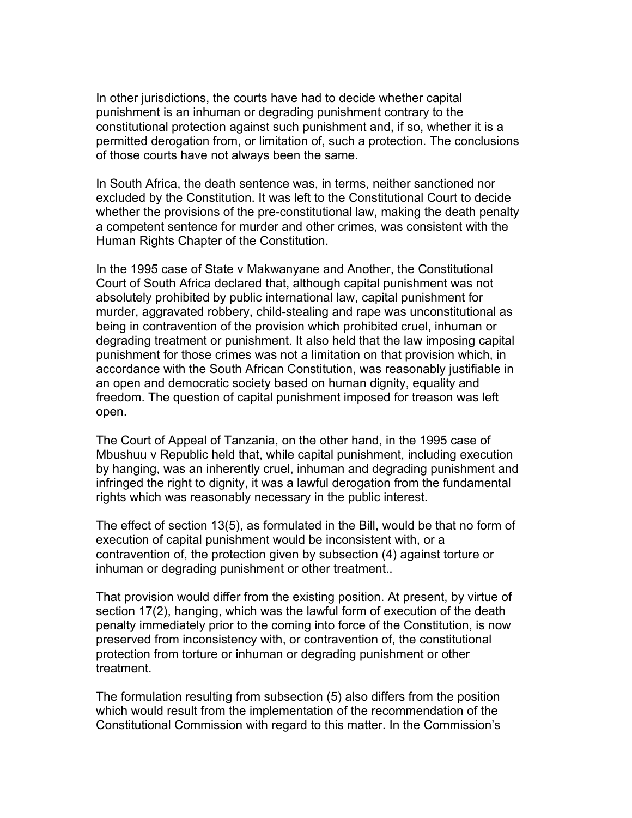In other jurisdictions, the courts have had to decide whether capital punishment is an inhuman or degrading punishment contrary to the constitutional protection against such punishment and, if so, whether it is a permitted derogation from, or limitation of, such a protection. The conclusions of those courts have not always been the same.

In South Africa, the death sentence was, in terms, neither sanctioned nor excluded by the Constitution. It was left to the Constitutional Court to decide whether the provisions of the pre-constitutional law, making the death penalty a competent sentence for murder and other crimes, was consistent with the Human Rights Chapter of the Constitution.

In the 1995 case of State v Makwanyane and Another, the Constitutional Court of South Africa declared that, although capital punishment was not absolutely prohibited by public international law, capital punishment for murder, aggravated robbery, child-stealing and rape was unconstitutional as being in contravention of the provision which prohibited cruel, inhuman or degrading treatment or punishment. It also held that the law imposing capital punishment for those crimes was not a limitation on that provision which, in accordance with the South African Constitution, was reasonably justifiable in an open and democratic society based on human dignity, equality and freedom. The question of capital punishment imposed for treason was left open.

The Court of Appeal of Tanzania, on the other hand, in the 1995 case of Mbushuu v Republic held that, while capital punishment, including execution by hanging, was an inherently cruel, inhuman and degrading punishment and infringed the right to dignity, it was a lawful derogation from the fundamental rights which was reasonably necessary in the public interest.

The effect of section 13(5), as formulated in the Bill, would be that no form of execution of capital punishment would be inconsistent with, or a contravention of, the protection given by subsection (4) against torture or inhuman or degrading punishment or other treatment..

That provision would differ from the existing position. At present, by virtue of section 17(2), hanging, which was the lawful form of execution of the death penalty immediately prior to the coming into force of the Constitution, is now preserved from inconsistency with, or contravention of, the constitutional protection from torture or inhuman or degrading punishment or other treatment.

The formulation resulting from subsection (5) also differs from the position which would result from the implementation of the recommendation of the Constitutional Commission with regard to this matter. In the Commission's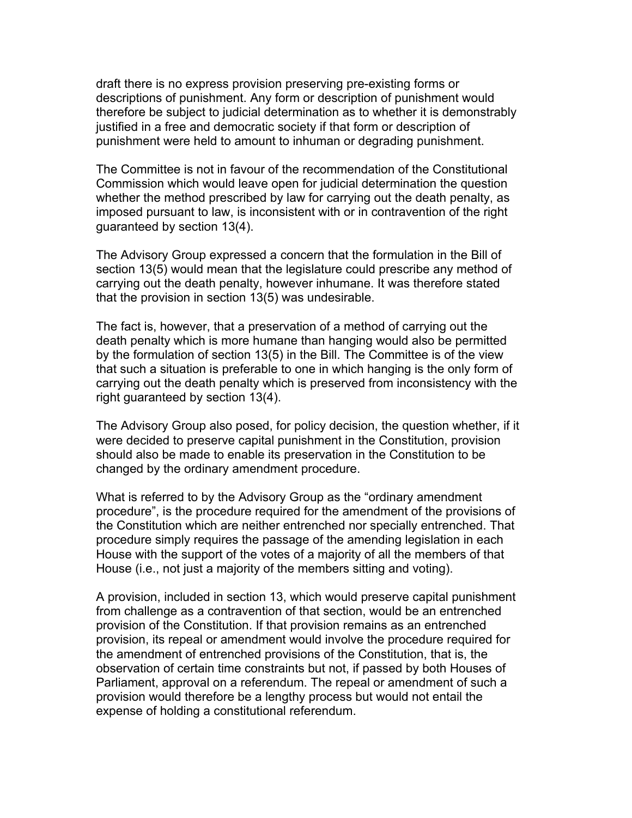draft there is no express provision preserving pre-existing forms or descriptions of punishment. Any form or description of punishment would therefore be subject to judicial determination as to whether it is demonstrably justified in a free and democratic society if that form or description of punishment were held to amount to inhuman or degrading punishment.

The Committee is not in favour of the recommendation of the Constitutional Commission which would leave open for judicial determination the question whether the method prescribed by law for carrying out the death penalty, as imposed pursuant to law, is inconsistent with or in contravention of the right guaranteed by section 13(4).

The Advisory Group expressed a concern that the formulation in the Bill of section 13(5) would mean that the legislature could prescribe any method of carrying out the death penalty, however inhumane. It was therefore stated that the provision in section 13(5) was undesirable.

The fact is, however, that a preservation of a method of carrying out the death penalty which is more humane than hanging would also be permitted by the formulation of section 13(5) in the Bill. The Committee is of the view that such a situation is preferable to one in which hanging is the only form of carrying out the death penalty which is preserved from inconsistency with the right guaranteed by section 13(4).

The Advisory Group also posed, for policy decision, the question whether, if it were decided to preserve capital punishment in the Constitution, provision should also be made to enable its preservation in the Constitution to be changed by the ordinary amendment procedure.

What is referred to by the Advisory Group as the "ordinary amendment procedure", is the procedure required for the amendment of the provisions of the Constitution which are neither entrenched nor specially entrenched. That procedure simply requires the passage of the amending legislation in each House with the support of the votes of a majority of all the members of that House (i.e., not just a majority of the members sitting and voting).

A provision, included in section 13, which would preserve capital punishment from challenge as a contravention of that section, would be an entrenched provision of the Constitution. If that provision remains as an entrenched provision, its repeal or amendment would involve the procedure required for the amendment of entrenched provisions of the Constitution, that is, the observation of certain time constraints but not, if passed by both Houses of Parliament, approval on a referendum. The repeal or amendment of such a provision would therefore be a lengthy process but would not entail the expense of holding a constitutional referendum.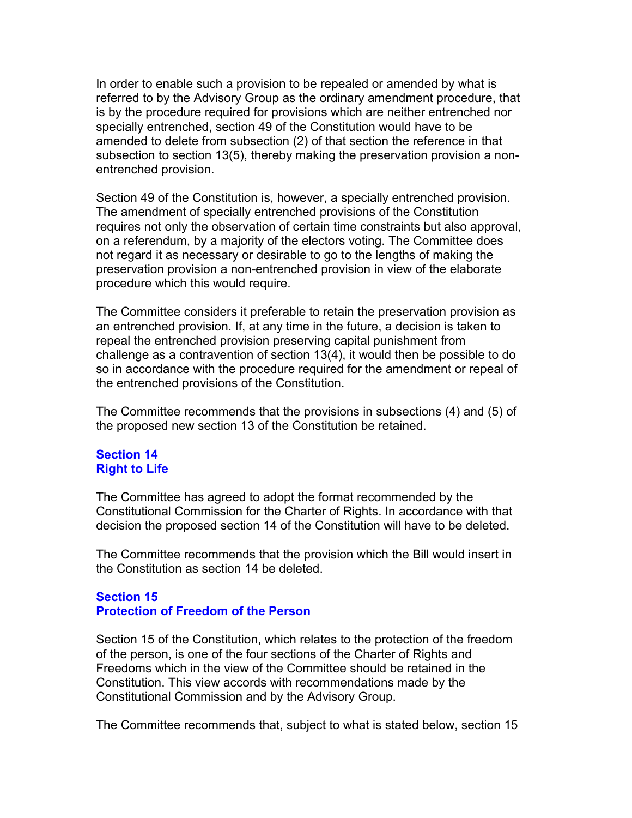In order to enable such a provision to be repealed or amended by what is referred to by the Advisory Group as the ordinary amendment procedure, that is by the procedure required for provisions which are neither entrenched nor specially entrenched, section 49 of the Constitution would have to be amended to delete from subsection (2) of that section the reference in that subsection to section 13(5), thereby making the preservation provision a nonentrenched provision.

Section 49 of the Constitution is, however, a specially entrenched provision. The amendment of specially entrenched provisions of the Constitution requires not only the observation of certain time constraints but also approval, on a referendum, by a majority of the electors voting. The Committee does not regard it as necessary or desirable to go to the lengths of making the preservation provision a non-entrenched provision in view of the elaborate procedure which this would require.

The Committee considers it preferable to retain the preservation provision as an entrenched provision. If, at any time in the future, a decision is taken to repeal the entrenched provision preserving capital punishment from challenge as a contravention of section 13(4), it would then be possible to do so in accordance with the procedure required for the amendment or repeal of the entrenched provisions of the Constitution.

The Committee recommends that the provisions in subsections (4) and (5) of the proposed new section 13 of the Constitution be retained.

## **Section 14 Right to Life**

The Committee has agreed to adopt the format recommended by the Constitutional Commission for the Charter of Rights. In accordance with that decision the proposed section 14 of the Constitution will have to be deleted.

The Committee recommends that the provision which the Bill would insert in the Constitution as section 14 be deleted.

## **Section 15 Protection of Freedom of the Person**

Section 15 of the Constitution, which relates to the protection of the freedom of the person, is one of the four sections of the Charter of Rights and Freedoms which in the view of the Committee should be retained in the Constitution. This view accords with recommendations made by the Constitutional Commission and by the Advisory Group.

The Committee recommends that, subject to what is stated below, section 15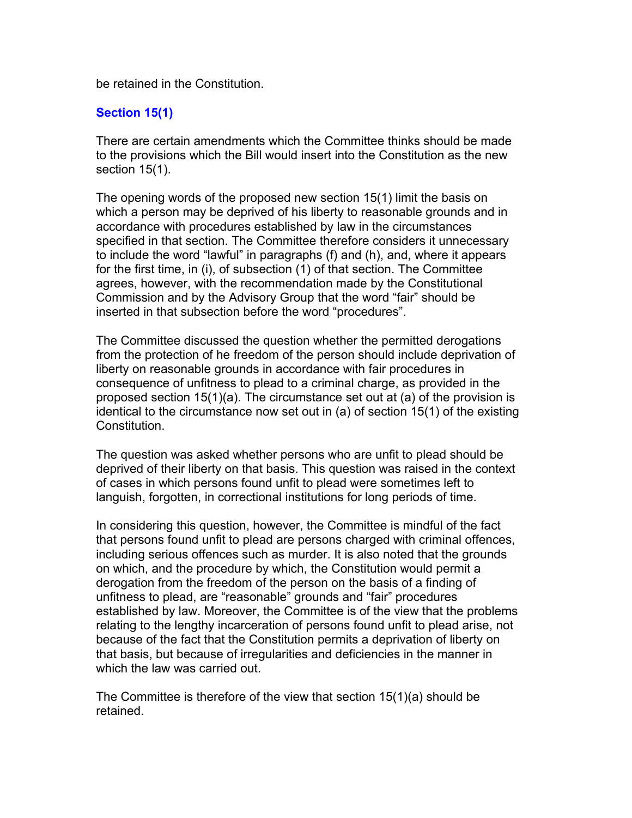be retained in the Constitution.

# **Section 15(1)**

There are certain amendments which the Committee thinks should be made to the provisions which the Bill would insert into the Constitution as the new section 15(1).

The opening words of the proposed new section 15(1) limit the basis on which a person may be deprived of his liberty to reasonable grounds and in accordance with procedures established by law in the circumstances specified in that section. The Committee therefore considers it unnecessary to include the word "lawful" in paragraphs (f) and (h), and, where it appears for the first time, in (i), of subsection (1) of that section. The Committee agrees, however, with the recommendation made by the Constitutional Commission and by the Advisory Group that the word "fair" should be inserted in that subsection before the word "procedures".

The Committee discussed the question whether the permitted derogations from the protection of he freedom of the person should include deprivation of liberty on reasonable grounds in accordance with fair procedures in consequence of unfitness to plead to a criminal charge, as provided in the proposed section 15(1)(a). The circumstance set out at (a) of the provision is identical to the circumstance now set out in (a) of section 15(1) of the existing **Constitution** 

The question was asked whether persons who are unfit to plead should be deprived of their liberty on that basis. This question was raised in the context of cases in which persons found unfit to plead were sometimes left to languish, forgotten, in correctional institutions for long periods of time.

In considering this question, however, the Committee is mindful of the fact that persons found unfit to plead are persons charged with criminal offences, including serious offences such as murder. It is also noted that the grounds on which, and the procedure by which, the Constitution would permit a derogation from the freedom of the person on the basis of a finding of unfitness to plead, are "reasonable" grounds and "fair" procedures established by law. Moreover, the Committee is of the view that the problems relating to the lengthy incarceration of persons found unfit to plead arise, not because of the fact that the Constitution permits a deprivation of liberty on that basis, but because of irregularities and deficiencies in the manner in which the law was carried out.

The Committee is therefore of the view that section 15(1)(a) should be retained.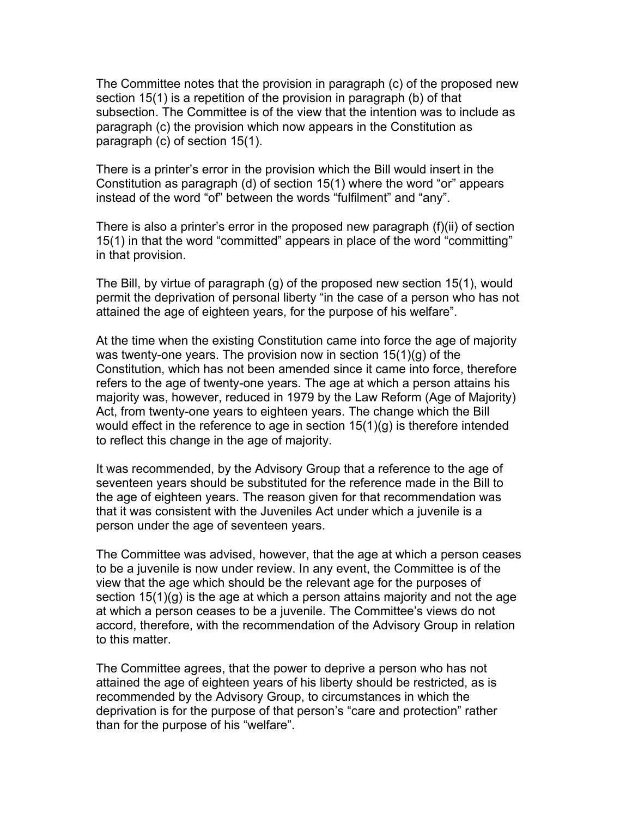The Committee notes that the provision in paragraph (c) of the proposed new section 15(1) is a repetition of the provision in paragraph (b) of that subsection. The Committee is of the view that the intention was to include as paragraph (c) the provision which now appears in the Constitution as paragraph (c) of section 15(1).

There is a printer's error in the provision which the Bill would insert in the Constitution as paragraph (d) of section 15(1) where the word "or" appears instead of the word "of" between the words "fulfilment" and "any".

There is also a printer's error in the proposed new paragraph (f)(ii) of section 15(1) in that the word "committed" appears in place of the word "committing" in that provision.

The Bill, by virtue of paragraph (g) of the proposed new section 15(1), would permit the deprivation of personal liberty "in the case of a person who has not attained the age of eighteen years, for the purpose of his welfare".

At the time when the existing Constitution came into force the age of majority was twenty-one years. The provision now in section 15(1)(g) of the Constitution, which has not been amended since it came into force, therefore refers to the age of twenty-one years. The age at which a person attains his majority was, however, reduced in 1979 by the Law Reform (Age of Majority) Act, from twenty-one years to eighteen years. The change which the Bill would effect in the reference to age in section 15(1)(g) is therefore intended to reflect this change in the age of majority.

It was recommended, by the Advisory Group that a reference to the age of seventeen years should be substituted for the reference made in the Bill to the age of eighteen years. The reason given for that recommendation was that it was consistent with the Juveniles Act under which a juvenile is a person under the age of seventeen years.

The Committee was advised, however, that the age at which a person ceases to be a juvenile is now under review. In any event, the Committee is of the view that the age which should be the relevant age for the purposes of section 15(1)(g) is the age at which a person attains majority and not the age at which a person ceases to be a juvenile. The Committee's views do not accord, therefore, with the recommendation of the Advisory Group in relation to this matter.

The Committee agrees, that the power to deprive a person who has not attained the age of eighteen years of his liberty should be restricted, as is recommended by the Advisory Group, to circumstances in which the deprivation is for the purpose of that person's "care and protection" rather than for the purpose of his "welfare".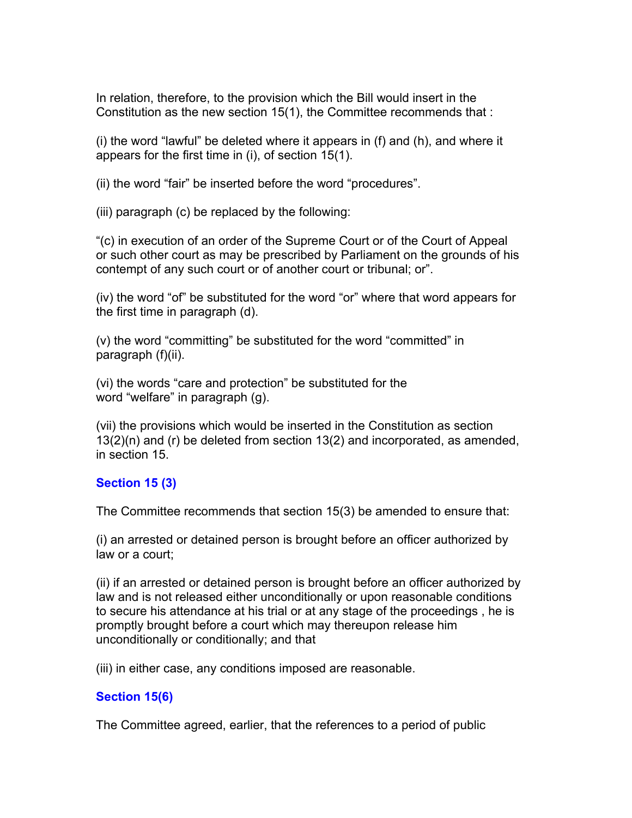In relation, therefore, to the provision which the Bill would insert in the Constitution as the new section 15(1), the Committee recommends that :

(i) the word "lawful" be deleted where it appears in (f) and (h), and where it appears for the first time in (i), of section 15(1).

(ii) the word "fair" be inserted before the word "procedures".

(iii) paragraph (c) be replaced by the following:

"(c) in execution of an order of the Supreme Court or of the Court of Appeal or such other court as may be prescribed by Parliament on the grounds of his contempt of any such court or of another court or tribunal; or".

(iv) the word "of" be substituted for the word "or" where that word appears for the first time in paragraph (d).

(v) the word "committing" be substituted for the word "committed" in paragraph (f)(ii).

(vi) the words "care and protection" be substituted for the word "welfare" in paragraph (g).

(vii) the provisions which would be inserted in the Constitution as section 13(2)(n) and (r) be deleted from section 13(2) and incorporated, as amended, in section 15.

# **Section 15 (3)**

The Committee recommends that section 15(3) be amended to ensure that:

(i) an arrested or detained person is brought before an officer authorized by law or a court;

(ii) if an arrested or detained person is brought before an officer authorized by law and is not released either unconditionally or upon reasonable conditions to secure his attendance at his trial or at any stage of the proceedings , he is promptly brought before a court which may thereupon release him unconditionally or conditionally; and that

(iii) in either case, any conditions imposed are reasonable.

# **Section 15(6)**

The Committee agreed, earlier, that the references to a period of public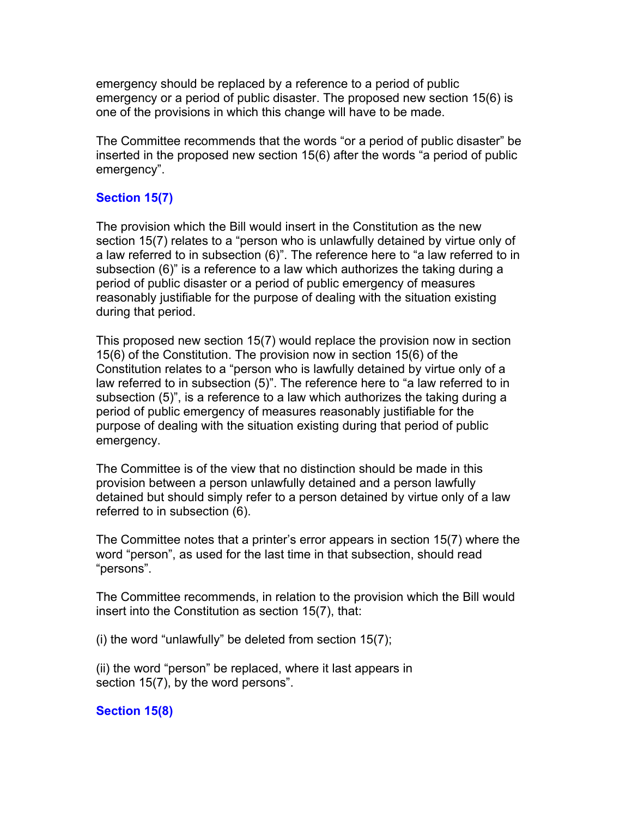emergency should be replaced by a reference to a period of public emergency or a period of public disaster. The proposed new section 15(6) is one of the provisions in which this change will have to be made.

The Committee recommends that the words "or a period of public disaster" be inserted in the proposed new section 15(6) after the words "a period of public emergency".

## **Section 15(7)**

The provision which the Bill would insert in the Constitution as the new section 15(7) relates to a "person who is unlawfully detained by virtue only of a law referred to in subsection (6)". The reference here to "a law referred to in subsection (6)" is a reference to a law which authorizes the taking during a period of public disaster or a period of public emergency of measures reasonably justifiable for the purpose of dealing with the situation existing during that period.

This proposed new section 15(7) would replace the provision now in section 15(6) of the Constitution. The provision now in section 15(6) of the Constitution relates to a "person who is lawfully detained by virtue only of a law referred to in subsection (5)". The reference here to "a law referred to in subsection (5)", is a reference to a law which authorizes the taking during a period of public emergency of measures reasonably justifiable for the purpose of dealing with the situation existing during that period of public emergency.

The Committee is of the view that no distinction should be made in this provision between a person unlawfully detained and a person lawfully detained but should simply refer to a person detained by virtue only of a law referred to in subsection (6).

The Committee notes that a printer's error appears in section 15(7) where the word "person", as used for the last time in that subsection, should read "persons".

The Committee recommends, in relation to the provision which the Bill would insert into the Constitution as section 15(7), that:

(i) the word "unlawfully" be deleted from section 15(7);

(ii) the word "person" be replaced, where it last appears in section 15(7), by the word persons".

#### **Section 15(8)**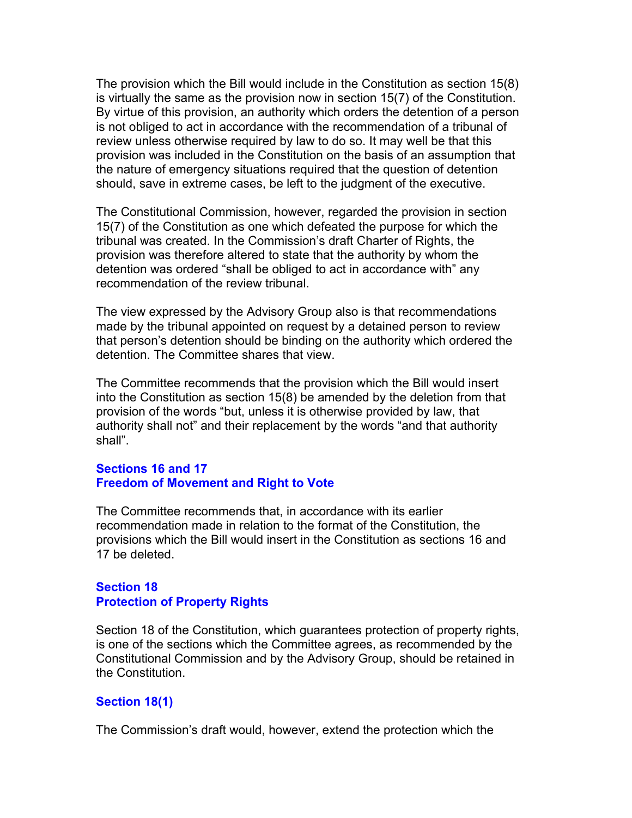The provision which the Bill would include in the Constitution as section 15(8) is virtually the same as the provision now in section 15(7) of the Constitution. By virtue of this provision, an authority which orders the detention of a person is not obliged to act in accordance with the recommendation of a tribunal of review unless otherwise required by law to do so. It may well be that this provision was included in the Constitution on the basis of an assumption that the nature of emergency situations required that the question of detention should, save in extreme cases, be left to the judgment of the executive.

The Constitutional Commission, however, regarded the provision in section 15(7) of the Constitution as one which defeated the purpose for which the tribunal was created. In the Commission's draft Charter of Rights, the provision was therefore altered to state that the authority by whom the detention was ordered "shall be obliged to act in accordance with" any recommendation of the review tribunal.

The view expressed by the Advisory Group also is that recommendations made by the tribunal appointed on request by a detained person to review that person's detention should be binding on the authority which ordered the detention. The Committee shares that view.

The Committee recommends that the provision which the Bill would insert into the Constitution as section 15(8) be amended by the deletion from that provision of the words "but, unless it is otherwise provided by law, that authority shall not" and their replacement by the words "and that authority shall".

## **Sections 16 and 17 Freedom of Movement and Right to Vote**

The Committee recommends that, in accordance with its earlier recommendation made in relation to the format of the Constitution, the provisions which the Bill would insert in the Constitution as sections 16 and 17 be deleted.

## **Section 18 Protection of Property Rights**

Section 18 of the Constitution, which guarantees protection of property rights, is one of the sections which the Committee agrees, as recommended by the Constitutional Commission and by the Advisory Group, should be retained in the Constitution.

# **Section 18(1)**

The Commission's draft would, however, extend the protection which the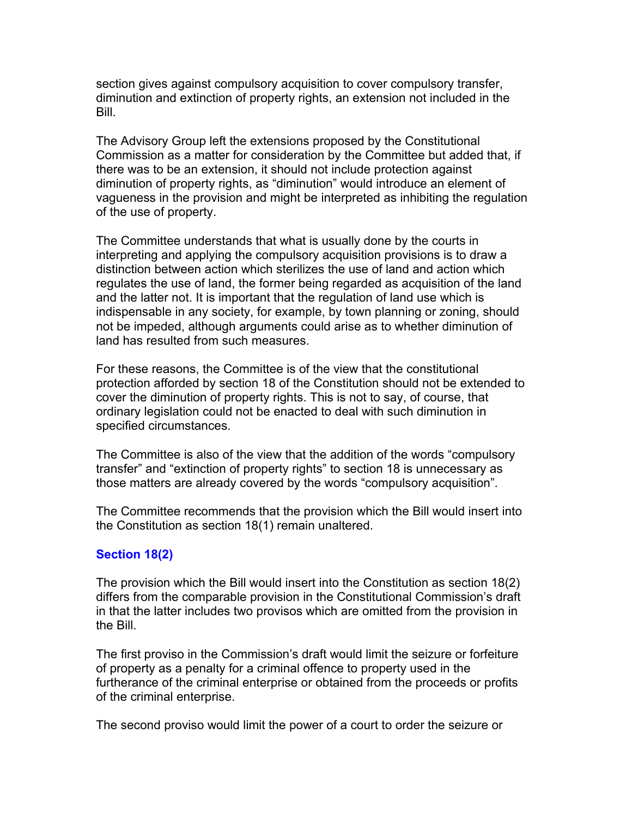section gives against compulsory acquisition to cover compulsory transfer, diminution and extinction of property rights, an extension not included in the Bill.

The Advisory Group left the extensions proposed by the Constitutional Commission as a matter for consideration by the Committee but added that, if there was to be an extension, it should not include protection against diminution of property rights, as "diminution" would introduce an element of vagueness in the provision and might be interpreted as inhibiting the regulation of the use of property.

The Committee understands that what is usually done by the courts in interpreting and applying the compulsory acquisition provisions is to draw a distinction between action which sterilizes the use of land and action which regulates the use of land, the former being regarded as acquisition of the land and the latter not. It is important that the regulation of land use which is indispensable in any society, for example, by town planning or zoning, should not be impeded, although arguments could arise as to whether diminution of land has resulted from such measures.

For these reasons, the Committee is of the view that the constitutional protection afforded by section 18 of the Constitution should not be extended to cover the diminution of property rights. This is not to say, of course, that ordinary legislation could not be enacted to deal with such diminution in specified circumstances.

The Committee is also of the view that the addition of the words "compulsory transfer" and "extinction of property rights" to section 18 is unnecessary as those matters are already covered by the words "compulsory acquisition".

The Committee recommends that the provision which the Bill would insert into the Constitution as section 18(1) remain unaltered.

#### **Section 18(2)**

The provision which the Bill would insert into the Constitution as section 18(2) differs from the comparable provision in the Constitutional Commission's draft in that the latter includes two provisos which are omitted from the provision in the Bill.

The first proviso in the Commission's draft would limit the seizure or forfeiture of property as a penalty for a criminal offence to property used in the furtherance of the criminal enterprise or obtained from the proceeds or profits of the criminal enterprise.

The second proviso would limit the power of a court to order the seizure or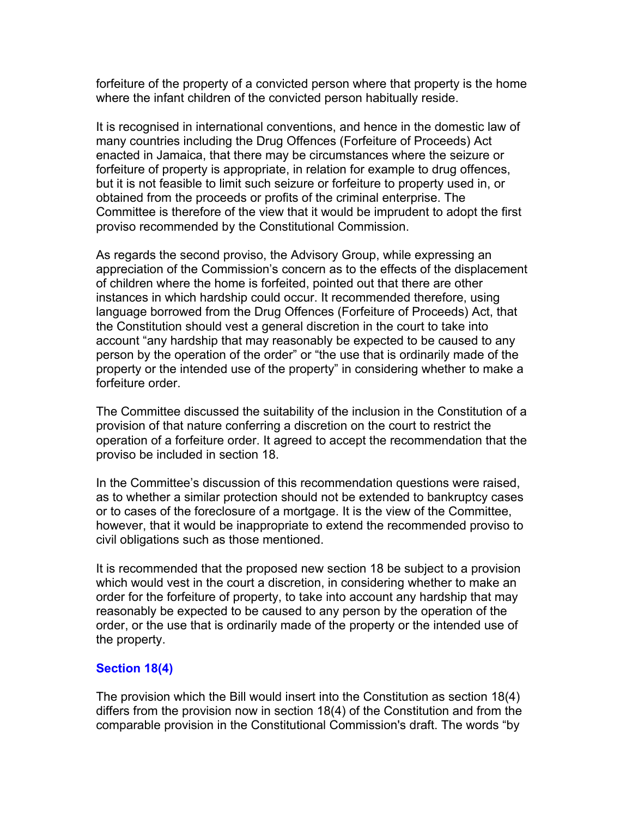forfeiture of the property of a convicted person where that property is the home where the infant children of the convicted person habitually reside.

It is recognised in international conventions, and hence in the domestic law of many countries including the Drug Offences (Forfeiture of Proceeds) Act enacted in Jamaica, that there may be circumstances where the seizure or forfeiture of property is appropriate, in relation for example to drug offences, but it is not feasible to limit such seizure or forfeiture to property used in, or obtained from the proceeds or profits of the criminal enterprise. The Committee is therefore of the view that it would be imprudent to adopt the first proviso recommended by the Constitutional Commission.

As regards the second proviso, the Advisory Group, while expressing an appreciation of the Commission's concern as to the effects of the displacement of children where the home is forfeited, pointed out that there are other instances in which hardship could occur. It recommended therefore, using language borrowed from the Drug Offences (Forfeiture of Proceeds) Act, that the Constitution should vest a general discretion in the court to take into account "any hardship that may reasonably be expected to be caused to any person by the operation of the order" or "the use that is ordinarily made of the property or the intended use of the property" in considering whether to make a forfeiture order.

The Committee discussed the suitability of the inclusion in the Constitution of a provision of that nature conferring a discretion on the court to restrict the operation of a forfeiture order. It agreed to accept the recommendation that the proviso be included in section 18.

In the Committee's discussion of this recommendation questions were raised, as to whether a similar protection should not be extended to bankruptcy cases or to cases of the foreclosure of a mortgage. It is the view of the Committee, however, that it would be inappropriate to extend the recommended proviso to civil obligations such as those mentioned.

It is recommended that the proposed new section 18 be subject to a provision which would vest in the court a discretion, in considering whether to make an order for the forfeiture of property, to take into account any hardship that may reasonably be expected to be caused to any person by the operation of the order, or the use that is ordinarily made of the property or the intended use of the property.

#### **Section 18(4)**

The provision which the Bill would insert into the Constitution as section 18(4) differs from the provision now in section 18(4) of the Constitution and from the comparable provision in the Constitutional Commission's draft. The words "by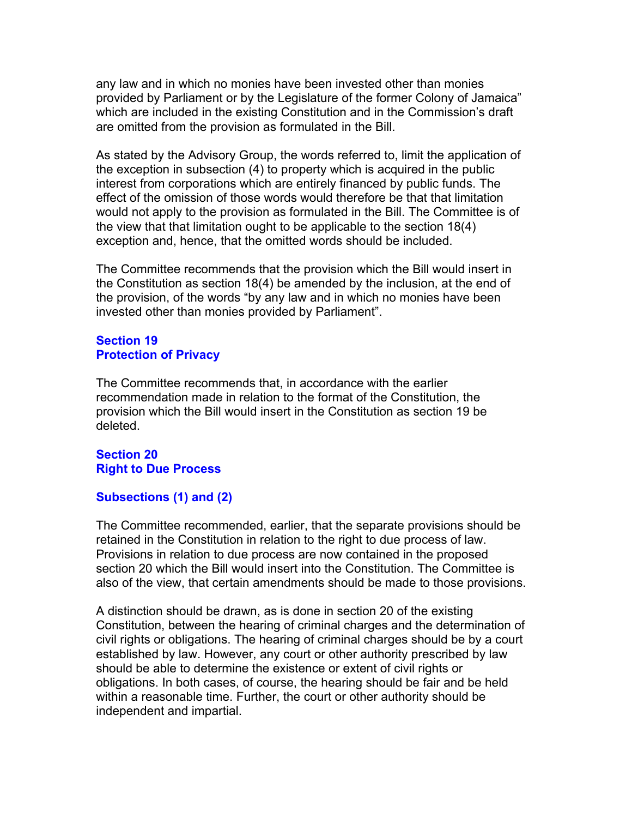any law and in which no monies have been invested other than monies provided by Parliament or by the Legislature of the former Colony of Jamaica" which are included in the existing Constitution and in the Commission's draft are omitted from the provision as formulated in the Bill.

As stated by the Advisory Group, the words referred to, limit the application of the exception in subsection (4) to property which is acquired in the public interest from corporations which are entirely financed by public funds. The effect of the omission of those words would therefore be that that limitation would not apply to the provision as formulated in the Bill. The Committee is of the view that that limitation ought to be applicable to the section 18(4) exception and, hence, that the omitted words should be included.

The Committee recommends that the provision which the Bill would insert in the Constitution as section 18(4) be amended by the inclusion, at the end of the provision, of the words "by any law and in which no monies have been invested other than monies provided by Parliament".

## **Section 19 Protection of Privacy**

The Committee recommends that, in accordance with the earlier recommendation made in relation to the format of the Constitution, the provision which the Bill would insert in the Constitution as section 19 be deleted.

## **Section 20 Right to Due Process**

#### **Subsections (1) and (2)**

The Committee recommended, earlier, that the separate provisions should be retained in the Constitution in relation to the right to due process of law. Provisions in relation to due process are now contained in the proposed section 20 which the Bill would insert into the Constitution. The Committee is also of the view, that certain amendments should be made to those provisions.

A distinction should be drawn, as is done in section 20 of the existing Constitution, between the hearing of criminal charges and the determination of civil rights or obligations. The hearing of criminal charges should be by a court established by law. However, any court or other authority prescribed by law should be able to determine the existence or extent of civil rights or obligations. In both cases, of course, the hearing should be fair and be held within a reasonable time. Further, the court or other authority should be independent and impartial.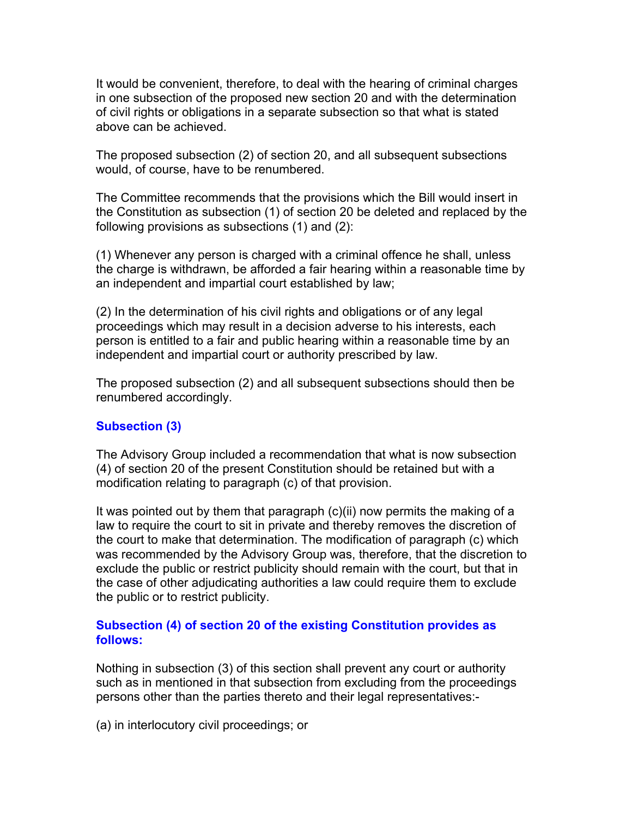It would be convenient, therefore, to deal with the hearing of criminal charges in one subsection of the proposed new section 20 and with the determination of civil rights or obligations in a separate subsection so that what is stated above can be achieved.

The proposed subsection (2) of section 20, and all subsequent subsections would, of course, have to be renumbered.

The Committee recommends that the provisions which the Bill would insert in the Constitution as subsection (1) of section 20 be deleted and replaced by the following provisions as subsections (1) and (2):

(1) Whenever any person is charged with a criminal offence he shall, unless the charge is withdrawn, be afforded a fair hearing within a reasonable time by an independent and impartial court established by law;

(2) In the determination of his civil rights and obligations or of any legal proceedings which may result in a decision adverse to his interests, each person is entitled to a fair and public hearing within a reasonable time by an independent and impartial court or authority prescribed by law.

The proposed subsection (2) and all subsequent subsections should then be renumbered accordingly.

#### **Subsection (3)**

The Advisory Group included a recommendation that what is now subsection (4) of section 20 of the present Constitution should be retained but with a modification relating to paragraph (c) of that provision.

It was pointed out by them that paragraph (c)(ii) now permits the making of a law to require the court to sit in private and thereby removes the discretion of the court to make that determination. The modification of paragraph (c) which was recommended by the Advisory Group was, therefore, that the discretion to exclude the public or restrict publicity should remain with the court, but that in the case of other adjudicating authorities a law could require them to exclude the public or to restrict publicity.

### **Subsection (4) of section 20 of the existing Constitution provides as follows:**

Nothing in subsection (3) of this section shall prevent any court or authority such as in mentioned in that subsection from excluding from the proceedings persons other than the parties thereto and their legal representatives:-

(a) in interlocutory civil proceedings; or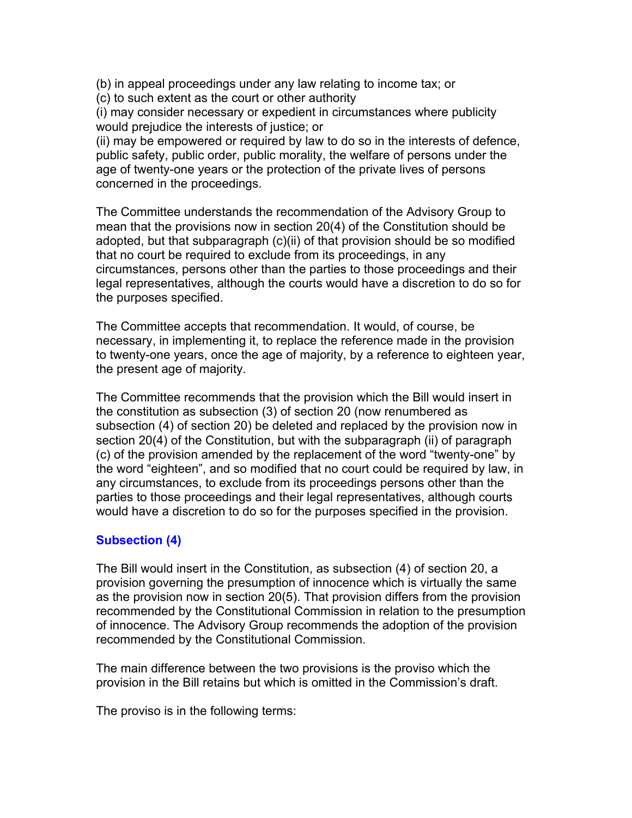(b) in appeal proceedings under any law relating to income tax; or

(c) to such extent as the court or other authority

(i) may consider necessary or expedient in circumstances where publicity would prejudice the interests of justice; or

(ii) may be empowered or required by law to do so in the interests of defence, public safety, public order, public morality, the welfare of persons under the age of twenty-one years or the protection of the private lives of persons concerned in the proceedings.

The Committee understands the recommendation of the Advisory Group to mean that the provisions now in section 20(4) of the Constitution should be adopted, but that subparagraph (c)(ii) of that provision should be so modified that no court be required to exclude from its proceedings, in any circumstances, persons other than the parties to those proceedings and their legal representatives, although the courts would have a discretion to do so for the purposes specified.

The Committee accepts that recommendation. It would, of course, be necessary, in implementing it, to replace the reference made in the provision to twenty-one years, once the age of majority, by a reference to eighteen year, the present age of majority.

The Committee recommends that the provision which the Bill would insert in the constitution as subsection (3) of section 20 (now renumbered as subsection (4) of section 20) be deleted and replaced by the provision now in section 20(4) of the Constitution, but with the subparagraph (ii) of paragraph (c) of the provision amended by the replacement of the word "twenty-one" by the word "eighteen", and so modified that no court could be required by law, in any circumstances, to exclude from its proceedings persons other than the parties to those proceedings and their legal representatives, although courts would have a discretion to do so for the purposes specified in the provision.

# **Subsection (4)**

The Bill would insert in the Constitution, as subsection (4) of section 20, a provision governing the presumption of innocence which is virtually the same as the provision now in section 20(5). That provision differs from the provision recommended by the Constitutional Commission in relation to the presumption of innocence. The Advisory Group recommends the adoption of the provision recommended by the Constitutional Commission.

The main difference between the two provisions is the proviso which the provision in the Bill retains but which is omitted in the Commission's draft.

The proviso is in the following terms: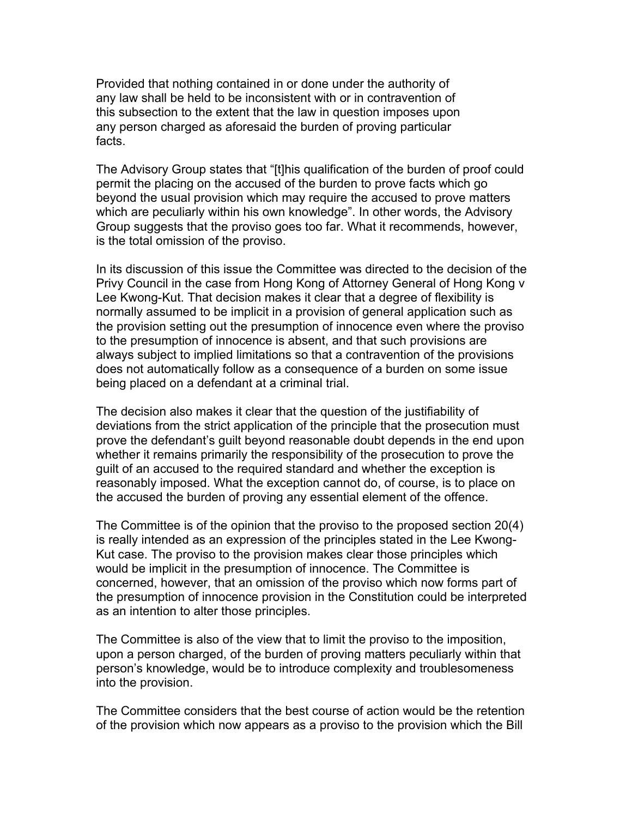Provided that nothing contained in or done under the authority of any law shall be held to be inconsistent with or in contravention of this subsection to the extent that the law in question imposes upon any person charged as aforesaid the burden of proving particular facts.

The Advisory Group states that "[t]his qualification of the burden of proof could permit the placing on the accused of the burden to prove facts which go beyond the usual provision which may require the accused to prove matters which are peculiarly within his own knowledge". In other words, the Advisory Group suggests that the proviso goes too far. What it recommends, however, is the total omission of the proviso.

In its discussion of this issue the Committee was directed to the decision of the Privy Council in the case from Hong Kong of Attorney General of Hong Kong v Lee Kwong-Kut. That decision makes it clear that a degree of flexibility is normally assumed to be implicit in a provision of general application such as the provision setting out the presumption of innocence even where the proviso to the presumption of innocence is absent, and that such provisions are always subject to implied limitations so that a contravention of the provisions does not automatically follow as a consequence of a burden on some issue being placed on a defendant at a criminal trial.

The decision also makes it clear that the question of the justifiability of deviations from the strict application of the principle that the prosecution must prove the defendant's guilt beyond reasonable doubt depends in the end upon whether it remains primarily the responsibility of the prosecution to prove the guilt of an accused to the required standard and whether the exception is reasonably imposed. What the exception cannot do, of course, is to place on the accused the burden of proving any essential element of the offence.

The Committee is of the opinion that the proviso to the proposed section 20(4) is really intended as an expression of the principles stated in the Lee Kwong-Kut case. The proviso to the provision makes clear those principles which would be implicit in the presumption of innocence. The Committee is concerned, however, that an omission of the proviso which now forms part of the presumption of innocence provision in the Constitution could be interpreted as an intention to alter those principles.

The Committee is also of the view that to limit the proviso to the imposition, upon a person charged, of the burden of proving matters peculiarly within that person's knowledge, would be to introduce complexity and troublesomeness into the provision.

The Committee considers that the best course of action would be the retention of the provision which now appears as a proviso to the provision which the Bill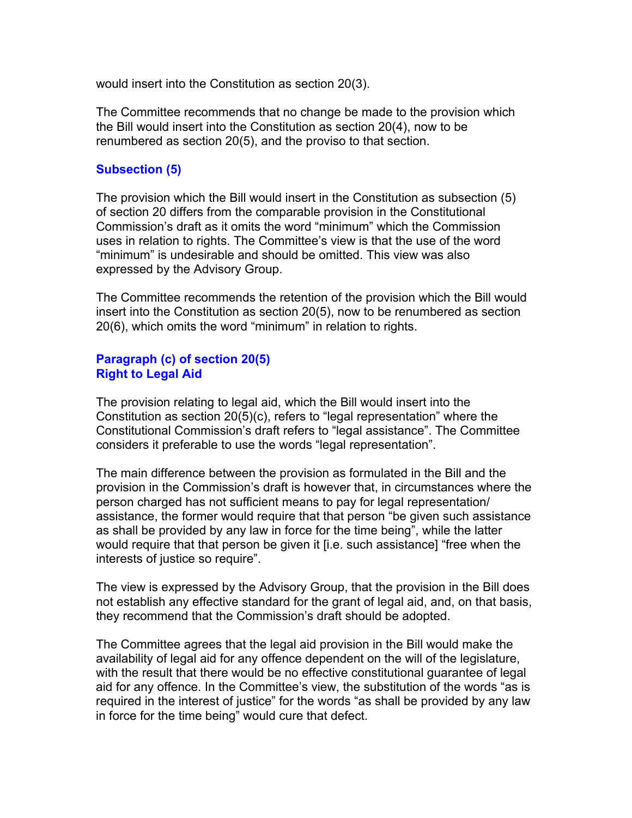would insert into the Constitution as section 20(3).

The Committee recommends that no change be made to the provision which the Bill would insert into the Constitution as section 20(4), now to be renumbered as section 20(5), and the proviso to that section.

#### **Subsection (5)**

The provision which the Bill would insert in the Constitution as subsection (5) of section 20 differs from the comparable provision in the Constitutional Commission's draft as it omits the word "minimum" which the Commission uses in relation to rights. The Committee's view is that the use of the word "minimum" is undesirable and should be omitted. This view was also expressed by the Advisory Group.

The Committee recommends the retention of the provision which the Bill would insert into the Constitution as section 20(5), now to be renumbered as section 20(6), which omits the word "minimum" in relation to rights.

## **Paragraph (c) of section 20(5) Right to Legal Aid**

The provision relating to legal aid, which the Bill would insert into the Constitution as section 20(5)(c), refers to "legal representation" where the Constitutional Commission's draft refers to "legal assistance". The Committee considers it preferable to use the words "legal representation".

The main difference between the provision as formulated in the Bill and the provision in the Commission's draft is however that, in circumstances where the person charged has not sufficient means to pay for legal representation/ assistance, the former would require that that person "be given such assistance as shall be provided by any law in force for the time being", while the latter would require that that person be given it [i.e. such assistance] "free when the interests of justice so require".

The view is expressed by the Advisory Group, that the provision in the Bill does not establish any effective standard for the grant of legal aid, and, on that basis, they recommend that the Commission's draft should be adopted.

The Committee agrees that the legal aid provision in the Bill would make the availability of legal aid for any offence dependent on the will of the legislature, with the result that there would be no effective constitutional guarantee of legal aid for any offence. In the Committee's view, the substitution of the words "as is required in the interest of justice" for the words "as shall be provided by any law in force for the time being" would cure that defect.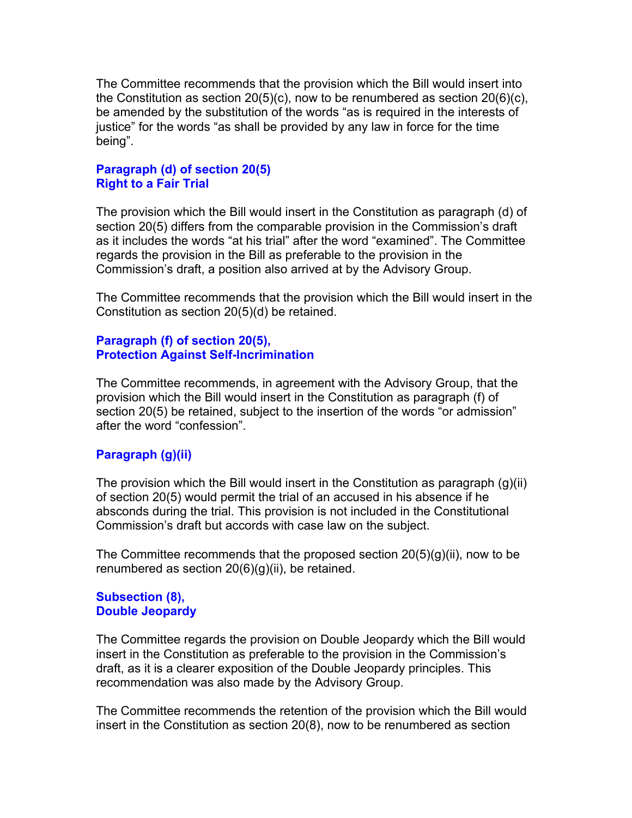The Committee recommends that the provision which the Bill would insert into the Constitution as section 20(5)(c), now to be renumbered as section 20(6)(c), be amended by the substitution of the words "as is required in the interests of justice" for the words "as shall be provided by any law in force for the time being".

## **Paragraph (d) of section 20(5) Right to a Fair Trial**

The provision which the Bill would insert in the Constitution as paragraph (d) of section 20(5) differs from the comparable provision in the Commission's draft as it includes the words "at his trial" after the word "examined". The Committee regards the provision in the Bill as preferable to the provision in the Commission's draft, a position also arrived at by the Advisory Group.

The Committee recommends that the provision which the Bill would insert in the Constitution as section 20(5)(d) be retained.

# **Paragraph (f) of section 20(5), Protection Against Self-Incrimination**

The Committee recommends, in agreement with the Advisory Group, that the provision which the Bill would insert in the Constitution as paragraph (f) of section 20(5) be retained, subject to the insertion of the words "or admission" after the word "confession".

# **Paragraph (g)(ii)**

The provision which the Bill would insert in the Constitution as paragraph (g)(ii) of section 20(5) would permit the trial of an accused in his absence if he absconds during the trial. This provision is not included in the Constitutional Commission's draft but accords with case law on the subject.

The Committee recommends that the proposed section  $20(5)(q)(ii)$ , now to be renumbered as section 20(6)(g)(ii), be retained.

## **Subsection (8), Double Jeopardy**

The Committee regards the provision on Double Jeopardy which the Bill would insert in the Constitution as preferable to the provision in the Commission's draft, as it is a clearer exposition of the Double Jeopardy principles. This recommendation was also made by the Advisory Group.

The Committee recommends the retention of the provision which the Bill would insert in the Constitution as section 20(8), now to be renumbered as section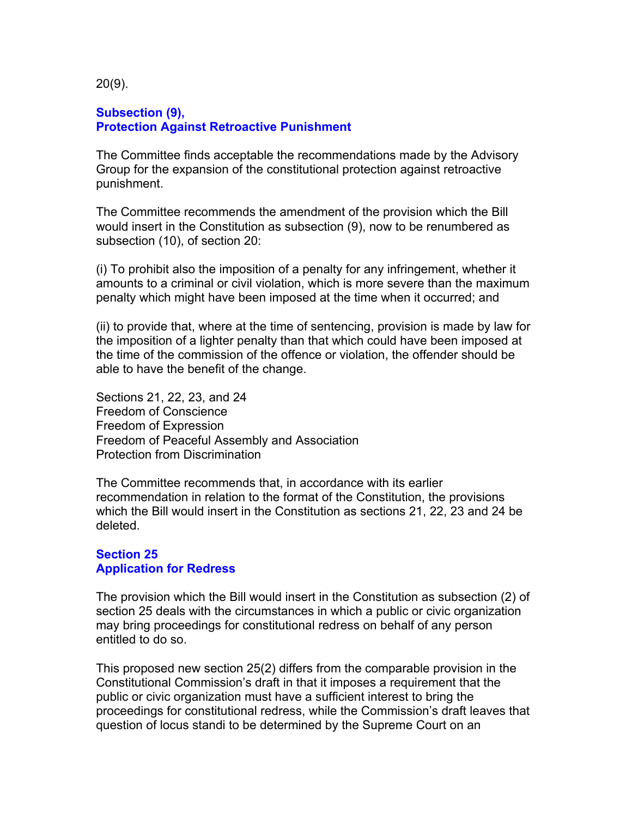20(9).

#### **Subsection (9), Protection Against Retroactive Punishment**

The Committee finds acceptable the recommendations made by the Advisory Group for the expansion of the constitutional protection against retroactive punishment.

The Committee recommends the amendment of the provision which the Bill would insert in the Constitution as subsection (9), now to be renumbered as subsection (10), of section 20:

(i) To prohibit also the imposition of a penalty for any infringement, whether it amounts to a criminal or civil violation, which is more severe than the maximum penalty which might have been imposed at the time when it occurred; and

(ii) to provide that, where at the time of sentencing, provision is made by law for the imposition of a lighter penalty than that which could have been imposed at the time of the commission of the offence or violation, the offender should be able to have the benefit of the change.

Sections 21, 22, 23, and 24 Freedom of Conscience Freedom of Expression Freedom of Peaceful Assembly and Association Protection from Discrimination

The Committee recommends that, in accordance with its earlier recommendation in relation to the format of the Constitution, the provisions which the Bill would insert in the Constitution as sections 21, 22, 23 and 24 be deleted.

#### **Section 25 Application for Redress**

The provision which the Bill would insert in the Constitution as subsection (2) of section 25 deals with the circumstances in which a public or civic organization may bring proceedings for constitutional redress on behalf of any person entitled to do so.

This proposed new section 25(2) differs from the comparable provision in the Constitutional Commission's draft in that it imposes a requirement that the public or civic organization must have a sufficient interest to bring the proceedings for constitutional redress, while the Commission's draft leaves that question of locus standi to be determined by the Supreme Court on an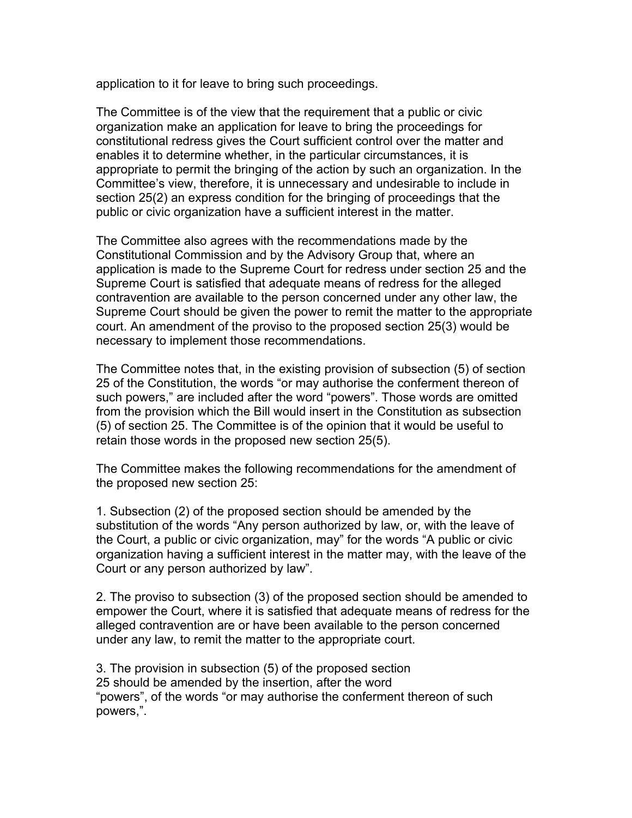application to it for leave to bring such proceedings.

The Committee is of the view that the requirement that a public or civic organization make an application for leave to bring the proceedings for constitutional redress gives the Court sufficient control over the matter and enables it to determine whether, in the particular circumstances, it is appropriate to permit the bringing of the action by such an organization. In the Committee's view, therefore, it is unnecessary and undesirable to include in section 25(2) an express condition for the bringing of proceedings that the public or civic organization have a sufficient interest in the matter.

The Committee also agrees with the recommendations made by the Constitutional Commission and by the Advisory Group that, where an application is made to the Supreme Court for redress under section 25 and the Supreme Court is satisfied that adequate means of redress for the alleged contravention are available to the person concerned under any other law, the Supreme Court should be given the power to remit the matter to the appropriate court. An amendment of the proviso to the proposed section 25(3) would be necessary to implement those recommendations.

The Committee notes that, in the existing provision of subsection (5) of section 25 of the Constitution, the words "or may authorise the conferment thereon of such powers," are included after the word "powers". Those words are omitted from the provision which the Bill would insert in the Constitution as subsection (5) of section 25. The Committee is of the opinion that it would be useful to retain those words in the proposed new section 25(5).

The Committee makes the following recommendations for the amendment of the proposed new section 25:

1. Subsection (2) of the proposed section should be amended by the substitution of the words "Any person authorized by law, or, with the leave of the Court, a public or civic organization, may" for the words "A public or civic organization having a sufficient interest in the matter may, with the leave of the Court or any person authorized by law".

2. The proviso to subsection (3) of the proposed section should be amended to empower the Court, where it is satisfied that adequate means of redress for the alleged contravention are or have been available to the person concerned under any law, to remit the matter to the appropriate court.

3. The provision in subsection (5) of the proposed section 25 should be amended by the insertion, after the word "powers", of the words "or may authorise the conferment thereon of such powers,".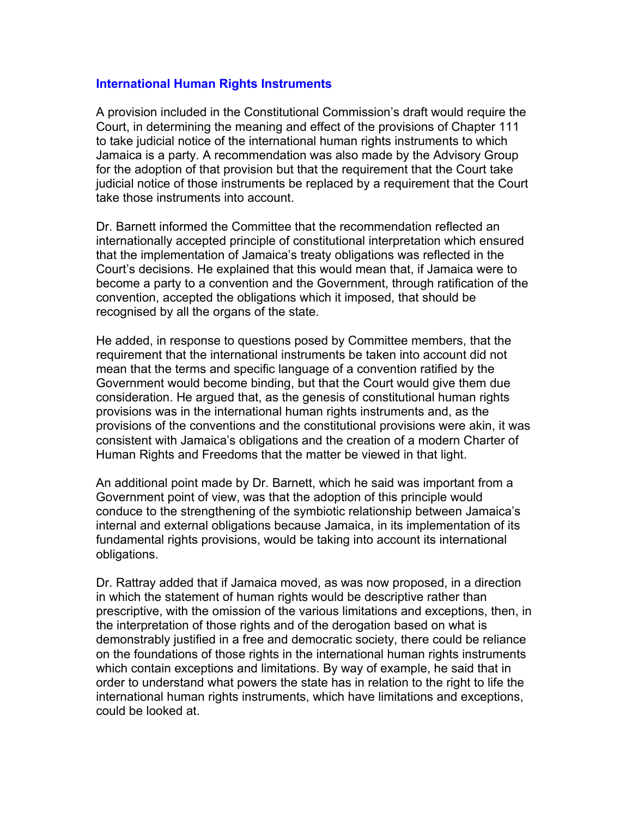## **International Human Rights Instruments**

A provision included in the Constitutional Commission's draft would require the Court, in determining the meaning and effect of the provisions of Chapter 111 to take judicial notice of the international human rights instruments to which Jamaica is a party. A recommendation was also made by the Advisory Group for the adoption of that provision but that the requirement that the Court take judicial notice of those instruments be replaced by a requirement that the Court take those instruments into account.

Dr. Barnett informed the Committee that the recommendation reflected an internationally accepted principle of constitutional interpretation which ensured that the implementation of Jamaica's treaty obligations was reflected in the Court's decisions. He explained that this would mean that, if Jamaica were to become a party to a convention and the Government, through ratification of the convention, accepted the obligations which it imposed, that should be recognised by all the organs of the state.

He added, in response to questions posed by Committee members, that the requirement that the international instruments be taken into account did not mean that the terms and specific language of a convention ratified by the Government would become binding, but that the Court would give them due consideration. He argued that, as the genesis of constitutional human rights provisions was in the international human rights instruments and, as the provisions of the conventions and the constitutional provisions were akin, it was consistent with Jamaica's obligations and the creation of a modern Charter of Human Rights and Freedoms that the matter be viewed in that light.

An additional point made by Dr. Barnett, which he said was important from a Government point of view, was that the adoption of this principle would conduce to the strengthening of the symbiotic relationship between Jamaica's internal and external obligations because Jamaica, in its implementation of its fundamental rights provisions, would be taking into account its international obligations.

Dr. Rattray added that if Jamaica moved, as was now proposed, in a direction in which the statement of human rights would be descriptive rather than prescriptive, with the omission of the various limitations and exceptions, then, in the interpretation of those rights and of the derogation based on what is demonstrably justified in a free and democratic society, there could be reliance on the foundations of those rights in the international human rights instruments which contain exceptions and limitations. By way of example, he said that in order to understand what powers the state has in relation to the right to life the international human rights instruments, which have limitations and exceptions, could be looked at.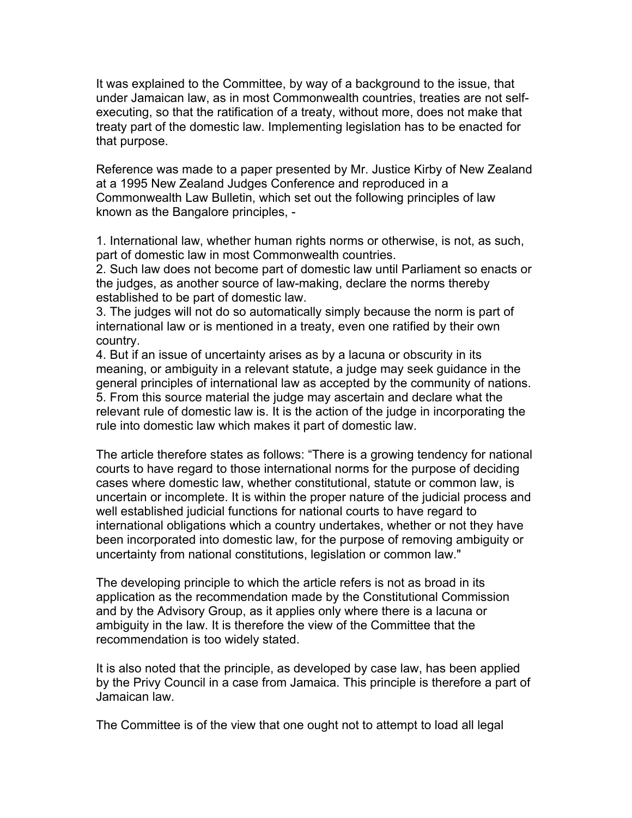It was explained to the Committee, by way of a background to the issue, that under Jamaican law, as in most Commonwealth countries, treaties are not selfexecuting, so that the ratification of a treaty, without more, does not make that treaty part of the domestic law. Implementing legislation has to be enacted for that purpose.

Reference was made to a paper presented by Mr. Justice Kirby of New Zealand at a 1995 New Zealand Judges Conference and reproduced in a Commonwealth Law Bulletin, which set out the following principles of law known as the Bangalore principles, -

1. International law, whether human rights norms or otherwise, is not, as such, part of domestic law in most Commonwealth countries.

2. Such law does not become part of domestic law until Parliament so enacts or the judges, as another source of law-making, declare the norms thereby established to be part of domestic law.

3. The judges will not do so automatically simply because the norm is part of international law or is mentioned in a treaty, even one ratified by their own country.

4. But if an issue of uncertainty arises as by a lacuna or obscurity in its meaning, or ambiguity in a relevant statute, a judge may seek guidance in the general principles of international law as accepted by the community of nations. 5. From this source material the judge may ascertain and declare what the relevant rule of domestic law is. It is the action of the judge in incorporating the rule into domestic law which makes it part of domestic law.

The article therefore states as follows: "There is a growing tendency for national courts to have regard to those international norms for the purpose of deciding cases where domestic law, whether constitutional, statute or common law, is uncertain or incomplete. It is within the proper nature of the judicial process and well established judicial functions for national courts to have regard to international obligations which a country undertakes, whether or not they have been incorporated into domestic law, for the purpose of removing ambiguity or uncertainty from national constitutions, legislation or common law."

The developing principle to which the article refers is not as broad in its application as the recommendation made by the Constitutional Commission and by the Advisory Group, as it applies only where there is a lacuna or ambiguity in the law. It is therefore the view of the Committee that the recommendation is too widely stated.

It is also noted that the principle, as developed by case law, has been applied by the Privy Council in a case from Jamaica. This principle is therefore a part of Jamaican law.

The Committee is of the view that one ought not to attempt to load all legal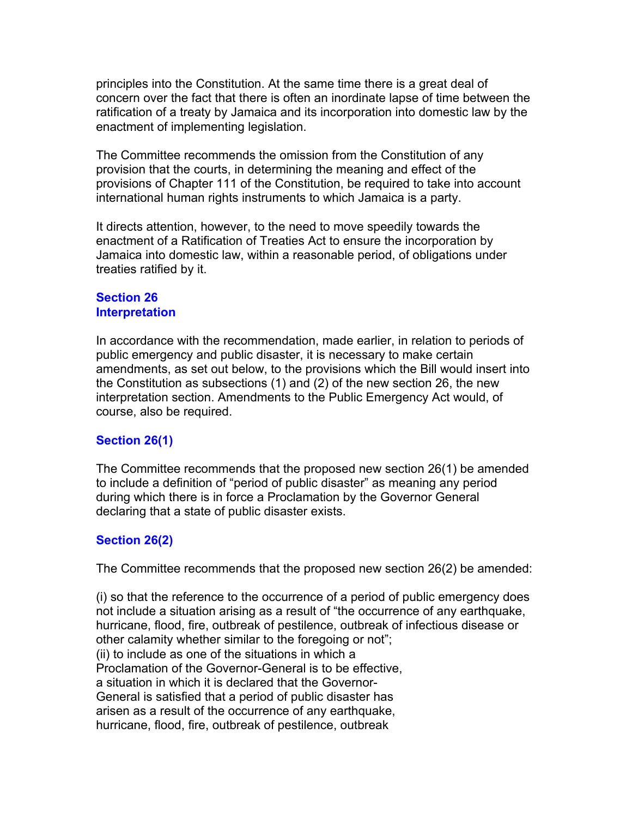principles into the Constitution. At the same time there is a great deal of concern over the fact that there is often an inordinate lapse of time between the ratification of a treaty by Jamaica and its incorporation into domestic law by the enactment of implementing legislation.

The Committee recommends the omission from the Constitution of any provision that the courts, in determining the meaning and effect of the provisions of Chapter 111 of the Constitution, be required to take into account international human rights instruments to which Jamaica is a party.

It directs attention, however, to the need to move speedily towards the enactment of a Ratification of Treaties Act to ensure the incorporation by Jamaica into domestic law, within a reasonable period, of obligations under treaties ratified by it.

#### **Section 26 Interpretation**

In accordance with the recommendation, made earlier, in relation to periods of public emergency and public disaster, it is necessary to make certain amendments, as set out below, to the provisions which the Bill would insert into the Constitution as subsections (1) and (2) of the new section 26, the new interpretation section. Amendments to the Public Emergency Act would, of course, also be required.

# **Section 26(1)**

The Committee recommends that the proposed new section 26(1) be amended to include a definition of "period of public disaster" as meaning any period during which there is in force a Proclamation by the Governor General declaring that a state of public disaster exists.

# **Section 26(2)**

The Committee recommends that the proposed new section 26(2) be amended:

(i) so that the reference to the occurrence of a period of public emergency does not include a situation arising as a result of "the occurrence of any earthquake, hurricane, flood, fire, outbreak of pestilence, outbreak of infectious disease or other calamity whether similar to the foregoing or not"; (ii) to include as one of the situations in which a Proclamation of the Governor-General is to be effective, a situation in which it is declared that the Governor-General is satisfied that a period of public disaster has arisen as a result of the occurrence of any earthquake, hurricane, flood, fire, outbreak of pestilence, outbreak